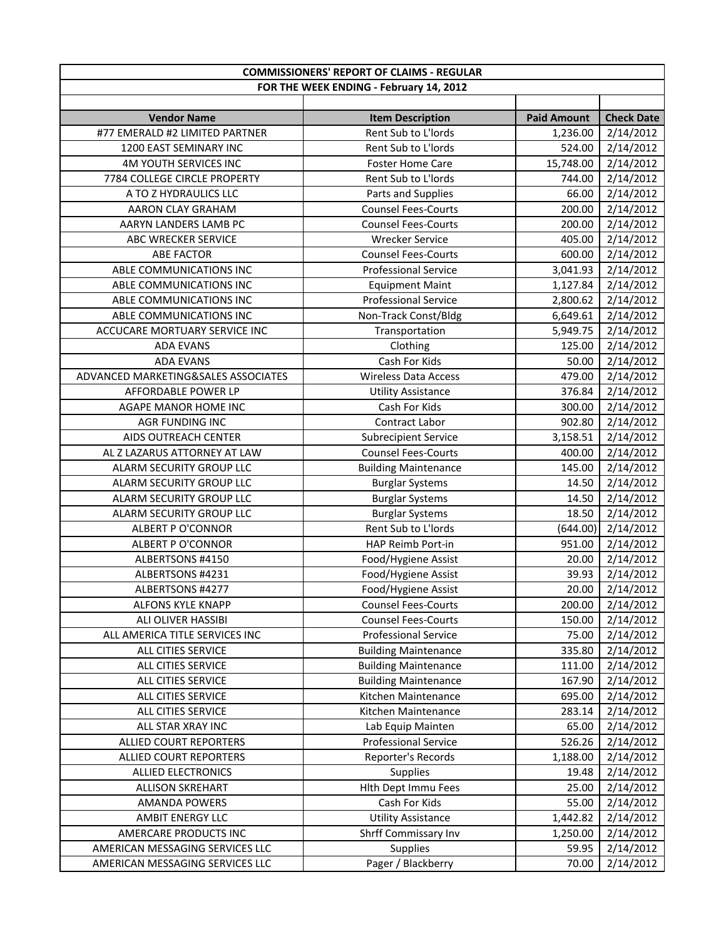| <b>COMMISSIONERS' REPORT OF CLAIMS - REGULAR</b> |                                         |                    |                   |  |
|--------------------------------------------------|-----------------------------------------|--------------------|-------------------|--|
|                                                  | FOR THE WEEK ENDING - February 14, 2012 |                    |                   |  |
|                                                  |                                         |                    |                   |  |
| <b>Vendor Name</b>                               | <b>Item Description</b>                 | <b>Paid Amount</b> | <b>Check Date</b> |  |
| #77 EMERALD #2 LIMITED PARTNER                   | Rent Sub to L'Iords                     | 1,236.00           | 2/14/2012         |  |
| 1200 EAST SEMINARY INC                           | Rent Sub to L'Iords                     | 524.00             | 2/14/2012         |  |
| 4M YOUTH SERVICES INC                            | Foster Home Care                        | 15,748.00          | 2/14/2012         |  |
| 7784 COLLEGE CIRCLE PROPERTY                     | Rent Sub to L'Iords                     | 744.00             | 2/14/2012         |  |
| A TO Z HYDRAULICS LLC                            | Parts and Supplies                      | 66.00              | 2/14/2012         |  |
| AARON CLAY GRAHAM                                | <b>Counsel Fees-Courts</b>              | 200.00             | 2/14/2012         |  |
| AARYN LANDERS LAMB PC                            | <b>Counsel Fees-Courts</b>              | 200.00             | 2/14/2012         |  |
| ABC WRECKER SERVICE                              | <b>Wrecker Service</b>                  | 405.00             | 2/14/2012         |  |
| <b>ABE FACTOR</b>                                | <b>Counsel Fees-Courts</b>              | 600.00             | 2/14/2012         |  |
| ABLE COMMUNICATIONS INC                          | <b>Professional Service</b>             | 3,041.93           | 2/14/2012         |  |
| ABLE COMMUNICATIONS INC                          | <b>Equipment Maint</b>                  | 1,127.84           | 2/14/2012         |  |
| ABLE COMMUNICATIONS INC                          | <b>Professional Service</b>             | 2,800.62           | 2/14/2012         |  |
| ABLE COMMUNICATIONS INC                          | Non-Track Const/Bldg                    | 6,649.61           | 2/14/2012         |  |
| ACCUCARE MORTUARY SERVICE INC                    | Transportation                          | 5,949.75           | 2/14/2012         |  |
| <b>ADA EVANS</b>                                 | Clothing                                | 125.00             | 2/14/2012         |  |
| <b>ADA EVANS</b>                                 | Cash For Kids                           | 50.00              | 2/14/2012         |  |
| ADVANCED MARKETING&SALES ASSOCIATES              | <b>Wireless Data Access</b>             | 479.00             | 2/14/2012         |  |
| AFFORDABLE POWER LP                              | <b>Utility Assistance</b>               | 376.84             | 2/14/2012         |  |
| AGAPE MANOR HOME INC                             | Cash For Kids                           | 300.00             | 2/14/2012         |  |
| AGR FUNDING INC                                  | Contract Labor                          | 902.80             | 2/14/2012         |  |
| AIDS OUTREACH CENTER                             | <b>Subrecipient Service</b>             | 3,158.51           | 2/14/2012         |  |
| AL Z LAZARUS ATTORNEY AT LAW                     | <b>Counsel Fees-Courts</b>              | 400.00             | 2/14/2012         |  |
| ALARM SECURITY GROUP LLC                         | <b>Building Maintenance</b>             | 145.00             | 2/14/2012         |  |
| ALARM SECURITY GROUP LLC                         | <b>Burglar Systems</b>                  | 14.50              | 2/14/2012         |  |
| ALARM SECURITY GROUP LLC                         | <b>Burglar Systems</b>                  | 14.50              | 2/14/2012         |  |
| ALARM SECURITY GROUP LLC                         | <b>Burglar Systems</b>                  | 18.50              | 2/14/2012         |  |
| <b>ALBERT P O'CONNOR</b>                         | Rent Sub to L'Iords                     | (644.00)           | 2/14/2012         |  |
| <b>ALBERT P O'CONNOR</b>                         | HAP Reimb Port-in                       | 951.00             | 2/14/2012         |  |
| ALBERTSONS #4150                                 | Food/Hygiene Assist                     | 20.00              | 2/14/2012         |  |
| ALBERTSONS #4231                                 | Food/Hygiene Assist                     | 39.93              | 2/14/2012         |  |
| ALBERTSONS #4277                                 | Food/Hygiene Assist                     | 20.00              | 2/14/2012         |  |
| ALFONS KYLE KNAPP                                | <b>Counsel Fees-Courts</b>              | 200.00             | 2/14/2012         |  |
| ALI OLIVER HASSIBI                               | <b>Counsel Fees-Courts</b>              | 150.00             | 2/14/2012         |  |
| ALL AMERICA TITLE SERVICES INC                   | <b>Professional Service</b>             | 75.00              | 2/14/2012         |  |
| ALL CITIES SERVICE                               | <b>Building Maintenance</b>             | 335.80             | 2/14/2012         |  |
| ALL CITIES SERVICE                               | <b>Building Maintenance</b>             | 111.00             | 2/14/2012         |  |
| ALL CITIES SERVICE                               | <b>Building Maintenance</b>             | 167.90             | 2/14/2012         |  |
| ALL CITIES SERVICE                               | Kitchen Maintenance                     | 695.00             | 2/14/2012         |  |
| ALL CITIES SERVICE                               | Kitchen Maintenance                     | 283.14             | 2/14/2012         |  |
| ALL STAR XRAY INC                                | Lab Equip Mainten                       | 65.00              | 2/14/2012         |  |
| ALLIED COURT REPORTERS                           | <b>Professional Service</b>             | 526.26             | 2/14/2012         |  |
| ALLIED COURT REPORTERS                           | Reporter's Records                      | 1,188.00           | 2/14/2012         |  |
| <b>ALLIED ELECTRONICS</b>                        | Supplies                                | 19.48              | 2/14/2012         |  |
| <b>ALLISON SKREHART</b>                          | Hlth Dept Immu Fees                     | 25.00              | 2/14/2012         |  |
| <b>AMANDA POWERS</b>                             | Cash For Kids                           | 55.00              | 2/14/2012         |  |
| AMBIT ENERGY LLC                                 | <b>Utility Assistance</b>               | 1,442.82           | 2/14/2012         |  |
| AMERCARE PRODUCTS INC                            | Shrff Commissary Inv                    | 1,250.00           | 2/14/2012         |  |
| AMERICAN MESSAGING SERVICES LLC                  | <b>Supplies</b>                         | 59.95              | 2/14/2012         |  |
| AMERICAN MESSAGING SERVICES LLC                  | Pager / Blackberry                      | 70.00              | 2/14/2012         |  |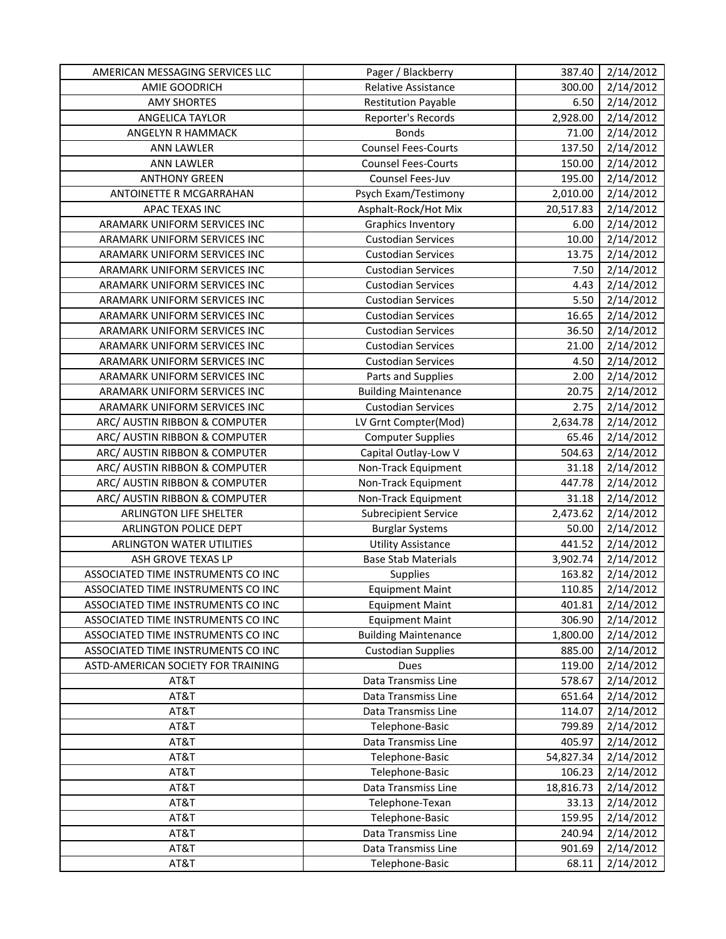| AMERICAN MESSAGING SERVICES LLC    | Pager / Blackberry          | 387.40    | 2/14/2012 |
|------------------------------------|-----------------------------|-----------|-----------|
| AMIE GOODRICH                      | Relative Assistance         | 300.00    | 2/14/2012 |
| <b>AMY SHORTES</b>                 | <b>Restitution Payable</b>  | 6.50      | 2/14/2012 |
| ANGELICA TAYLOR                    | Reporter's Records          | 2,928.00  | 2/14/2012 |
| ANGELYN R HAMMACK                  | <b>Bonds</b>                | 71.00     | 2/14/2012 |
| <b>ANN LAWLER</b>                  | <b>Counsel Fees-Courts</b>  | 137.50    | 2/14/2012 |
| <b>ANN LAWLER</b>                  | <b>Counsel Fees-Courts</b>  | 150.00    | 2/14/2012 |
| <b>ANTHONY GREEN</b>               | Counsel Fees-Juv            | 195.00    | 2/14/2012 |
| ANTOINETTE R MCGARRAHAN            | Psych Exam/Testimony        | 2,010.00  | 2/14/2012 |
| <b>APAC TEXAS INC</b>              | Asphalt-Rock/Hot Mix        | 20,517.83 | 2/14/2012 |
| ARAMARK UNIFORM SERVICES INC       | <b>Graphics Inventory</b>   | 6.00      | 2/14/2012 |
| ARAMARK UNIFORM SERVICES INC       | <b>Custodian Services</b>   | 10.00     | 2/14/2012 |
| ARAMARK UNIFORM SERVICES INC       | <b>Custodian Services</b>   | 13.75     | 2/14/2012 |
| ARAMARK UNIFORM SERVICES INC       | <b>Custodian Services</b>   | 7.50      | 2/14/2012 |
| ARAMARK UNIFORM SERVICES INC       | <b>Custodian Services</b>   | 4.43      | 2/14/2012 |
| ARAMARK UNIFORM SERVICES INC       | <b>Custodian Services</b>   | 5.50      | 2/14/2012 |
| ARAMARK UNIFORM SERVICES INC       | <b>Custodian Services</b>   | 16.65     | 2/14/2012 |
| ARAMARK UNIFORM SERVICES INC       | <b>Custodian Services</b>   | 36.50     | 2/14/2012 |
| ARAMARK UNIFORM SERVICES INC       | <b>Custodian Services</b>   | 21.00     | 2/14/2012 |
| ARAMARK UNIFORM SERVICES INC       | <b>Custodian Services</b>   | 4.50      | 2/14/2012 |
| ARAMARK UNIFORM SERVICES INC       | Parts and Supplies          | 2.00      | 2/14/2012 |
| ARAMARK UNIFORM SERVICES INC       | <b>Building Maintenance</b> | 20.75     | 2/14/2012 |
| ARAMARK UNIFORM SERVICES INC       | <b>Custodian Services</b>   | 2.75      | 2/14/2012 |
| ARC/ AUSTIN RIBBON & COMPUTER      | LV Grnt Compter(Mod)        | 2,634.78  | 2/14/2012 |
| ARC/ AUSTIN RIBBON & COMPUTER      | <b>Computer Supplies</b>    | 65.46     | 2/14/2012 |
| ARC/ AUSTIN RIBBON & COMPUTER      | Capital Outlay-Low V        | 504.63    | 2/14/2012 |
| ARC/ AUSTIN RIBBON & COMPUTER      | Non-Track Equipment         | 31.18     | 2/14/2012 |
| ARC/ AUSTIN RIBBON & COMPUTER      | Non-Track Equipment         | 447.78    | 2/14/2012 |
| ARC/ AUSTIN RIBBON & COMPUTER      | Non-Track Equipment         | 31.18     | 2/14/2012 |
| ARLINGTON LIFE SHELTER             | <b>Subrecipient Service</b> | 2,473.62  | 2/14/2012 |
| ARLINGTON POLICE DEPT              | <b>Burglar Systems</b>      | 50.00     | 2/14/2012 |
| ARLINGTON WATER UTILITIES          | <b>Utility Assistance</b>   | 441.52    | 2/14/2012 |
| ASH GROVE TEXAS LP                 | <b>Base Stab Materials</b>  | 3,902.74  | 2/14/2012 |
| ASSOCIATED TIME INSTRUMENTS CO INC | Supplies                    | 163.82    | 2/14/2012 |
| ASSOCIATED TIME INSTRUMENTS CO INC | <b>Equipment Maint</b>      | 110.85    | 2/14/2012 |
| ASSOCIATED TIME INSTRUMENTS CO INC | <b>Equipment Maint</b>      | 401.81    | 2/14/2012 |
| ASSOCIATED TIME INSTRUMENTS CO INC | <b>Equipment Maint</b>      | 306.90    | 2/14/2012 |
| ASSOCIATED TIME INSTRUMENTS CO INC | <b>Building Maintenance</b> | 1,800.00  | 2/14/2012 |
| ASSOCIATED TIME INSTRUMENTS CO INC | <b>Custodian Supplies</b>   | 885.00    | 2/14/2012 |
| ASTD-AMERICAN SOCIETY FOR TRAINING | Dues                        | 119.00    | 2/14/2012 |
| AT&T                               | Data Transmiss Line         | 578.67    | 2/14/2012 |
| AT&T                               | Data Transmiss Line         | 651.64    | 2/14/2012 |
| AT&T                               | Data Transmiss Line         | 114.07    | 2/14/2012 |
| AT&T                               | Telephone-Basic             | 799.89    | 2/14/2012 |
| AT&T                               | Data Transmiss Line         | 405.97    | 2/14/2012 |
| AT&T                               | Telephone-Basic             | 54,827.34 | 2/14/2012 |
| AT&T                               | Telephone-Basic             | 106.23    | 2/14/2012 |
| AT&T                               | Data Transmiss Line         | 18,816.73 | 2/14/2012 |
| AT&T                               | Telephone-Texan             | 33.13     | 2/14/2012 |
| AT&T                               | Telephone-Basic             | 159.95    | 2/14/2012 |
| AT&T                               | Data Transmiss Line         | 240.94    | 2/14/2012 |
| AT&T                               | Data Transmiss Line         | 901.69    | 2/14/2012 |
| AT&T                               | Telephone-Basic             | 68.11     | 2/14/2012 |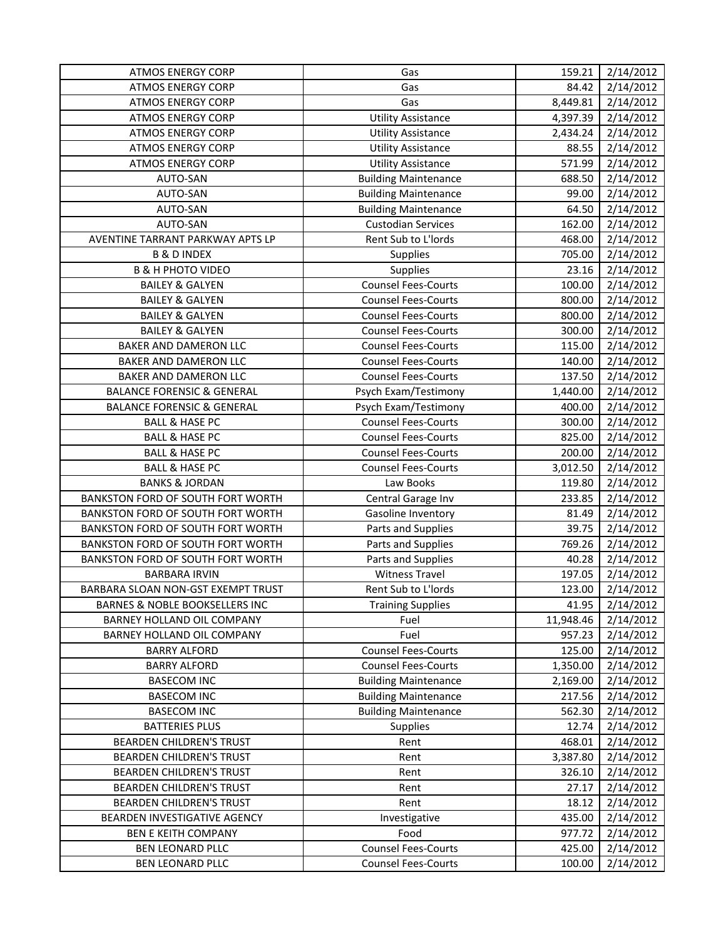| <b>ATMOS ENERGY CORP</b>              | Gas                         | 159.21    | 2/14/2012 |
|---------------------------------------|-----------------------------|-----------|-----------|
| <b>ATMOS ENERGY CORP</b>              | Gas                         | 84.42     | 2/14/2012 |
| <b>ATMOS ENERGY CORP</b>              | Gas                         | 8,449.81  | 2/14/2012 |
| <b>ATMOS ENERGY CORP</b>              | <b>Utility Assistance</b>   | 4,397.39  | 2/14/2012 |
| <b>ATMOS ENERGY CORP</b>              | <b>Utility Assistance</b>   | 2,434.24  | 2/14/2012 |
| <b>ATMOS ENERGY CORP</b>              | <b>Utility Assistance</b>   | 88.55     | 2/14/2012 |
| <b>ATMOS ENERGY CORP</b>              | <b>Utility Assistance</b>   | 571.99    | 2/14/2012 |
| AUTO-SAN                              | <b>Building Maintenance</b> | 688.50    | 2/14/2012 |
| AUTO-SAN                              | <b>Building Maintenance</b> | 99.00     | 2/14/2012 |
| AUTO-SAN                              | <b>Building Maintenance</b> | 64.50     | 2/14/2012 |
| AUTO-SAN                              | <b>Custodian Services</b>   | 162.00    | 2/14/2012 |
| AVENTINE TARRANT PARKWAY APTS LP      | Rent Sub to L'Iords         | 468.00    | 2/14/2012 |
| <b>B &amp; D INDEX</b>                | <b>Supplies</b>             | 705.00    | 2/14/2012 |
| <b>B &amp; H PHOTO VIDEO</b>          | Supplies                    | 23.16     | 2/14/2012 |
| <b>BAILEY &amp; GALYEN</b>            | <b>Counsel Fees-Courts</b>  | 100.00    | 2/14/2012 |
| <b>BAILEY &amp; GALYEN</b>            | <b>Counsel Fees-Courts</b>  | 800.00    | 2/14/2012 |
| <b>BAILEY &amp; GALYEN</b>            | <b>Counsel Fees-Courts</b>  | 800.00    | 2/14/2012 |
| <b>BAILEY &amp; GALYEN</b>            | <b>Counsel Fees-Courts</b>  | 300.00    | 2/14/2012 |
| BAKER AND DAMERON LLC                 | <b>Counsel Fees-Courts</b>  | 115.00    | 2/14/2012 |
| BAKER AND DAMERON LLC                 | <b>Counsel Fees-Courts</b>  | 140.00    | 2/14/2012 |
| <b>BAKER AND DAMERON LLC</b>          | <b>Counsel Fees-Courts</b>  | 137.50    | 2/14/2012 |
| <b>BALANCE FORENSIC &amp; GENERAL</b> | Psych Exam/Testimony        | 1,440.00  | 2/14/2012 |
| <b>BALANCE FORENSIC &amp; GENERAL</b> | Psych Exam/Testimony        | 400.00    | 2/14/2012 |
| <b>BALL &amp; HASE PC</b>             | <b>Counsel Fees-Courts</b>  | 300.00    | 2/14/2012 |
| <b>BALL &amp; HASE PC</b>             | <b>Counsel Fees-Courts</b>  | 825.00    | 2/14/2012 |
| <b>BALL &amp; HASE PC</b>             | <b>Counsel Fees-Courts</b>  | 200.00    | 2/14/2012 |
| <b>BALL &amp; HASE PC</b>             | <b>Counsel Fees-Courts</b>  | 3,012.50  | 2/14/2012 |
| <b>BANKS &amp; JORDAN</b>             | Law Books                   | 119.80    | 2/14/2012 |
| BANKSTON FORD OF SOUTH FORT WORTH     | Central Garage Inv          | 233.85    | 2/14/2012 |
| BANKSTON FORD OF SOUTH FORT WORTH     | Gasoline Inventory          | 81.49     | 2/14/2012 |
| BANKSTON FORD OF SOUTH FORT WORTH     | Parts and Supplies          | 39.75     | 2/14/2012 |
| BANKSTON FORD OF SOUTH FORT WORTH     | Parts and Supplies          | 769.26    | 2/14/2012 |
| BANKSTON FORD OF SOUTH FORT WORTH     | Parts and Supplies          | 40.28     | 2/14/2012 |
| <b>BARBARA IRVIN</b>                  | <b>Witness Travel</b>       | 197.05    | 2/14/2012 |
| BARBARA SLOAN NON-GST EXEMPT TRUST    | Rent Sub to L'Iords         | 123.00    | 2/14/2012 |
| BARNES & NOBLE BOOKSELLERS INC        | <b>Training Supplies</b>    | 41.95     | 2/14/2012 |
| BARNEY HOLLAND OIL COMPANY            | Fuel                        | 11,948.46 | 2/14/2012 |
| BARNEY HOLLAND OIL COMPANY            | Fuel                        | 957.23    | 2/14/2012 |
| <b>BARRY ALFORD</b>                   | <b>Counsel Fees-Courts</b>  | 125.00    | 2/14/2012 |
| <b>BARRY ALFORD</b>                   | <b>Counsel Fees-Courts</b>  | 1,350.00  | 2/14/2012 |
| <b>BASECOM INC</b>                    | <b>Building Maintenance</b> | 2,169.00  | 2/14/2012 |
| <b>BASECOM INC</b>                    | <b>Building Maintenance</b> | 217.56    | 2/14/2012 |
| <b>BASECOM INC</b>                    | <b>Building Maintenance</b> | 562.30    | 2/14/2012 |
| <b>BATTERIES PLUS</b>                 | Supplies                    | 12.74     | 2/14/2012 |
| BEARDEN CHILDREN'S TRUST              | Rent                        | 468.01    | 2/14/2012 |
| <b>BEARDEN CHILDREN'S TRUST</b>       | Rent                        | 3,387.80  | 2/14/2012 |
| <b>BEARDEN CHILDREN'S TRUST</b>       | Rent                        | 326.10    | 2/14/2012 |
| BEARDEN CHILDREN'S TRUST              | Rent                        | 27.17     | 2/14/2012 |
| BEARDEN CHILDREN'S TRUST              | Rent                        | 18.12     | 2/14/2012 |
| BEARDEN INVESTIGATIVE AGENCY          | Investigative               | 435.00    | 2/14/2012 |
| <b>BEN E KEITH COMPANY</b>            | Food                        | 977.72    | 2/14/2012 |
| <b>BEN LEONARD PLLC</b>               | <b>Counsel Fees-Courts</b>  | 425.00    | 2/14/2012 |
| <b>BEN LEONARD PLLC</b>               | <b>Counsel Fees-Courts</b>  | 100.00    | 2/14/2012 |
|                                       |                             |           |           |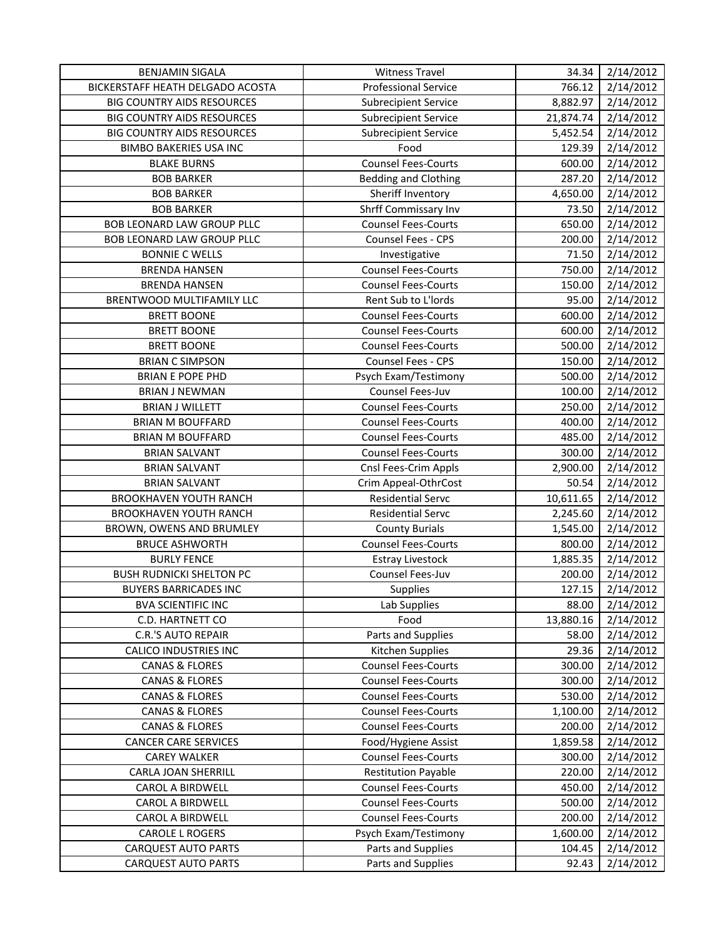| <b>BENJAMIN SIGALA</b>            | <b>Witness Travel</b>       | 34.34     | 2/14/2012 |
|-----------------------------------|-----------------------------|-----------|-----------|
| BICKERSTAFF HEATH DELGADO ACOSTA  | <b>Professional Service</b> | 766.12    | 2/14/2012 |
| <b>BIG COUNTRY AIDS RESOURCES</b> | <b>Subrecipient Service</b> | 8,882.97  | 2/14/2012 |
| <b>BIG COUNTRY AIDS RESOURCES</b> | <b>Subrecipient Service</b> | 21,874.74 | 2/14/2012 |
| <b>BIG COUNTRY AIDS RESOURCES</b> | <b>Subrecipient Service</b> | 5,452.54  | 2/14/2012 |
| <b>BIMBO BAKERIES USA INC</b>     | Food                        | 129.39    | 2/14/2012 |
| <b>BLAKE BURNS</b>                | <b>Counsel Fees-Courts</b>  | 600.00    | 2/14/2012 |
| <b>BOB BARKER</b>                 | Bedding and Clothing        | 287.20    | 2/14/2012 |
| <b>BOB BARKER</b>                 | Sheriff Inventory           | 4,650.00  | 2/14/2012 |
| <b>BOB BARKER</b>                 | Shrff Commissary Inv        | 73.50     | 2/14/2012 |
| <b>BOB LEONARD LAW GROUP PLLC</b> | <b>Counsel Fees-Courts</b>  | 650.00    | 2/14/2012 |
| <b>BOB LEONARD LAW GROUP PLLC</b> | Counsel Fees - CPS          | 200.00    | 2/14/2012 |
| <b>BONNIE C WELLS</b>             | Investigative               | 71.50     | 2/14/2012 |
| <b>BRENDA HANSEN</b>              | <b>Counsel Fees-Courts</b>  | 750.00    | 2/14/2012 |
| <b>BRENDA HANSEN</b>              | <b>Counsel Fees-Courts</b>  | 150.00    | 2/14/2012 |
| BRENTWOOD MULTIFAMILY LLC         | Rent Sub to L'Iords         | 95.00     | 2/14/2012 |
| <b>BRETT BOONE</b>                | <b>Counsel Fees-Courts</b>  | 600.00    | 2/14/2012 |
| <b>BRETT BOONE</b>                | <b>Counsel Fees-Courts</b>  | 600.00    | 2/14/2012 |
| <b>BRETT BOONE</b>                | <b>Counsel Fees-Courts</b>  | 500.00    | 2/14/2012 |
| <b>BRIAN C SIMPSON</b>            | Counsel Fees - CPS          | 150.00    | 2/14/2012 |
| <b>BRIAN E POPE PHD</b>           | Psych Exam/Testimony        | 500.00    | 2/14/2012 |
| <b>BRIAN J NEWMAN</b>             | Counsel Fees-Juv            | 100.00    | 2/14/2012 |
| <b>BRIAN J WILLETT</b>            | <b>Counsel Fees-Courts</b>  | 250.00    | 2/14/2012 |
| <b>BRIAN M BOUFFARD</b>           | <b>Counsel Fees-Courts</b>  | 400.00    | 2/14/2012 |
| <b>BRIAN M BOUFFARD</b>           | <b>Counsel Fees-Courts</b>  | 485.00    | 2/14/2012 |
| <b>BRIAN SALVANT</b>              | <b>Counsel Fees-Courts</b>  | 300.00    | 2/14/2012 |
| <b>BRIAN SALVANT</b>              | Cnsl Fees-Crim Appls        | 2,900.00  | 2/14/2012 |
| <b>BRIAN SALVANT</b>              | Crim Appeal-OthrCost        | 50.54     | 2/14/2012 |
| BROOKHAVEN YOUTH RANCH            | <b>Residential Servc</b>    | 10,611.65 | 2/14/2012 |
| BROOKHAVEN YOUTH RANCH            | <b>Residential Servc</b>    | 2,245.60  | 2/14/2012 |
| BROWN, OWENS AND BRUMLEY          | <b>County Burials</b>       | 1,545.00  | 2/14/2012 |
| <b>BRUCE ASHWORTH</b>             | <b>Counsel Fees-Courts</b>  | 800.00    | 2/14/2012 |
| <b>BURLY FENCE</b>                | <b>Estray Livestock</b>     | 1,885.35  | 2/14/2012 |
| <b>BUSH RUDNICKI SHELTON PC</b>   | Counsel Fees-Juv            | 200.00    | 2/14/2012 |
| <b>BUYERS BARRICADES INC</b>      | <b>Supplies</b>             | 127.15    | 2/14/2012 |
| <b>BVA SCIENTIFIC INC</b>         | Lab Supplies                | 88.00     | 2/14/2012 |
| C.D. HARTNETT CO                  | Food                        | 13,880.16 | 2/14/2012 |
| <b>C.R.'S AUTO REPAIR</b>         | Parts and Supplies          | 58.00     | 2/14/2012 |
| <b>CALICO INDUSTRIES INC</b>      | Kitchen Supplies            | 29.36     | 2/14/2012 |
| <b>CANAS &amp; FLORES</b>         | <b>Counsel Fees-Courts</b>  | 300.00    | 2/14/2012 |
| <b>CANAS &amp; FLORES</b>         | <b>Counsel Fees-Courts</b>  | 300.00    | 2/14/2012 |
| <b>CANAS &amp; FLORES</b>         | <b>Counsel Fees-Courts</b>  | 530.00    | 2/14/2012 |
| <b>CANAS &amp; FLORES</b>         | <b>Counsel Fees-Courts</b>  | 1,100.00  | 2/14/2012 |
| <b>CANAS &amp; FLORES</b>         | <b>Counsel Fees-Courts</b>  | 200.00    | 2/14/2012 |
| <b>CANCER CARE SERVICES</b>       | Food/Hygiene Assist         | 1,859.58  | 2/14/2012 |
| <b>CAREY WALKER</b>               | <b>Counsel Fees-Courts</b>  | 300.00    | 2/14/2012 |
| CARLA JOAN SHERRILL               | <b>Restitution Payable</b>  | 220.00    | 2/14/2012 |
| <b>CAROL A BIRDWELL</b>           | <b>Counsel Fees-Courts</b>  | 450.00    | 2/14/2012 |
| CAROL A BIRDWELL                  | <b>Counsel Fees-Courts</b>  | 500.00    | 2/14/2012 |
| CAROL A BIRDWELL                  | <b>Counsel Fees-Courts</b>  | 200.00    | 2/14/2012 |
| <b>CAROLE L ROGERS</b>            | Psych Exam/Testimony        | 1,600.00  | 2/14/2012 |
| <b>CARQUEST AUTO PARTS</b>        | Parts and Supplies          | 104.45    | 2/14/2012 |
| <b>CARQUEST AUTO PARTS</b>        | Parts and Supplies          | 92.43     | 2/14/2012 |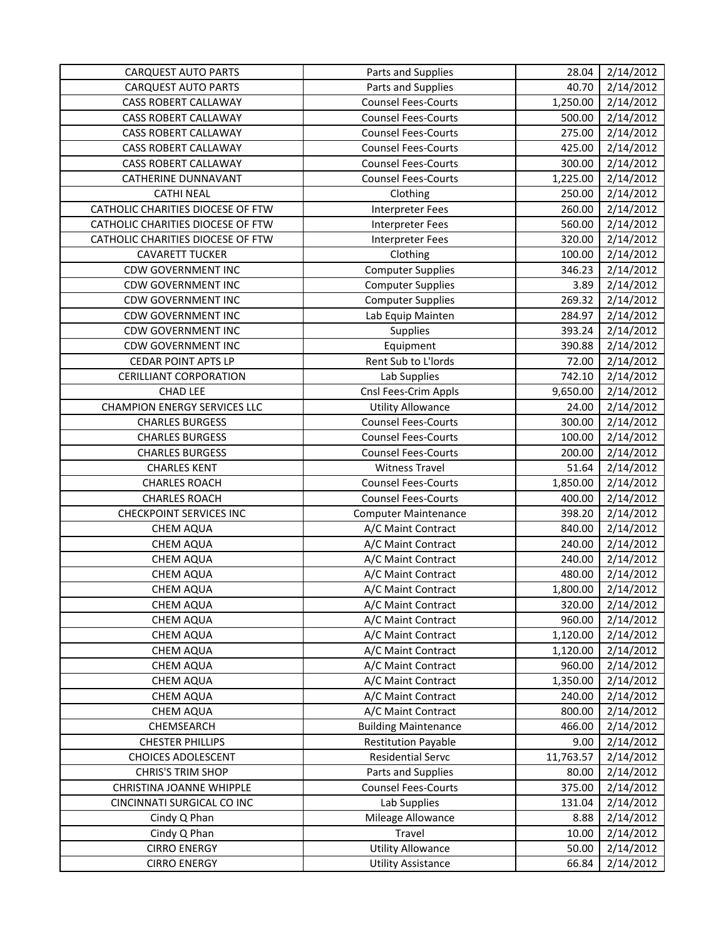| <b>CARQUEST AUTO PARTS</b>          | Parts and Supplies          | 28.04     | 2/14/2012 |
|-------------------------------------|-----------------------------|-----------|-----------|
| <b>CARQUEST AUTO PARTS</b>          | Parts and Supplies          | 40.70     | 2/14/2012 |
| <b>CASS ROBERT CALLAWAY</b>         | <b>Counsel Fees-Courts</b>  | 1,250.00  | 2/14/2012 |
| <b>CASS ROBERT CALLAWAY</b>         | <b>Counsel Fees-Courts</b>  | 500.00    | 2/14/2012 |
| <b>CASS ROBERT CALLAWAY</b>         | <b>Counsel Fees-Courts</b>  | 275.00    | 2/14/2012 |
| CASS ROBERT CALLAWAY                | <b>Counsel Fees-Courts</b>  | 425.00    | 2/14/2012 |
| CASS ROBERT CALLAWAY                | <b>Counsel Fees-Courts</b>  | 300.00    | 2/14/2012 |
| <b>CATHERINE DUNNAVANT</b>          | <b>Counsel Fees-Courts</b>  | 1,225.00  | 2/14/2012 |
| <b>CATHI NEAL</b>                   | Clothing                    | 250.00    | 2/14/2012 |
| CATHOLIC CHARITIES DIOCESE OF FTW   | <b>Interpreter Fees</b>     | 260.00    | 2/14/2012 |
| CATHOLIC CHARITIES DIOCESE OF FTW   | <b>Interpreter Fees</b>     | 560.00    | 2/14/2012 |
| CATHOLIC CHARITIES DIOCESE OF FTW   | <b>Interpreter Fees</b>     | 320.00    | 2/14/2012 |
| <b>CAVARETT TUCKER</b>              | Clothing                    | 100.00    | 2/14/2012 |
| <b>CDW GOVERNMENT INC</b>           | <b>Computer Supplies</b>    | 346.23    | 2/14/2012 |
| <b>CDW GOVERNMENT INC</b>           | <b>Computer Supplies</b>    | 3.89      | 2/14/2012 |
| <b>CDW GOVERNMENT INC</b>           | <b>Computer Supplies</b>    | 269.32    | 2/14/2012 |
| <b>CDW GOVERNMENT INC</b>           | Lab Equip Mainten           | 284.97    | 2/14/2012 |
| <b>CDW GOVERNMENT INC</b>           | Supplies                    | 393.24    | 2/14/2012 |
| <b>CDW GOVERNMENT INC</b>           | Equipment                   | 390.88    | 2/14/2012 |
| <b>CEDAR POINT APTS LP</b>          | Rent Sub to L'Iords         | 72.00     | 2/14/2012 |
| <b>CERILLIANT CORPORATION</b>       | Lab Supplies                | 742.10    | 2/14/2012 |
| <b>CHAD LEE</b>                     | Cnsl Fees-Crim Appls        | 9,650.00  | 2/14/2012 |
| <b>CHAMPION ENERGY SERVICES LLC</b> | <b>Utility Allowance</b>    | 24.00     | 2/14/2012 |
| <b>CHARLES BURGESS</b>              | <b>Counsel Fees-Courts</b>  | 300.00    | 2/14/2012 |
| <b>CHARLES BURGESS</b>              | <b>Counsel Fees-Courts</b>  | 100.00    | 2/14/2012 |
| <b>CHARLES BURGESS</b>              | <b>Counsel Fees-Courts</b>  | 200.00    | 2/14/2012 |
| <b>CHARLES KENT</b>                 | <b>Witness Travel</b>       | 51.64     | 2/14/2012 |
| <b>CHARLES ROACH</b>                | <b>Counsel Fees-Courts</b>  | 1,850.00  | 2/14/2012 |
| <b>CHARLES ROACH</b>                | <b>Counsel Fees-Courts</b>  | 400.00    | 2/14/2012 |
| <b>CHECKPOINT SERVICES INC</b>      | <b>Computer Maintenance</b> | 398.20    | 2/14/2012 |
| <b>CHEM AQUA</b>                    | A/C Maint Contract          | 840.00    | 2/14/2012 |
| <b>CHEM AQUA</b>                    | A/C Maint Contract          | 240.00    | 2/14/2012 |
| CHEM AQUA                           | A/C Maint Contract          | 240.00    | 2/14/2012 |
| <b>CHEM AQUA</b>                    | A/C Maint Contract          | 480.00    | 2/14/2012 |
| <b>CHEM AQUA</b>                    | A/C Maint Contract          | 1,800.00  | 2/14/2012 |
| CHEM AQUA                           | A/C Maint Contract          | 320.00    | 2/14/2012 |
| <b>CHEM AQUA</b>                    | A/C Maint Contract          | 960.00    | 2/14/2012 |
| <b>CHEM AQUA</b>                    | A/C Maint Contract          | 1,120.00  | 2/14/2012 |
| <b>CHEM AQUA</b>                    | A/C Maint Contract          | 1,120.00  | 2/14/2012 |
| CHEM AQUA                           | A/C Maint Contract          | 960.00    | 2/14/2012 |
| <b>CHEM AQUA</b>                    | A/C Maint Contract          | 1,350.00  | 2/14/2012 |
| CHEM AQUA                           | A/C Maint Contract          | 240.00    | 2/14/2012 |
| CHEM AQUA                           | A/C Maint Contract          | 800.00    | 2/14/2012 |
| CHEMSEARCH                          | <b>Building Maintenance</b> | 466.00    | 2/14/2012 |
| <b>CHESTER PHILLIPS</b>             | <b>Restitution Payable</b>  | 9.00      | 2/14/2012 |
| <b>CHOICES ADOLESCENT</b>           | Residential Servc           | 11,763.57 | 2/14/2012 |
| <b>CHRIS'S TRIM SHOP</b>            | Parts and Supplies          | 80.00     | 2/14/2012 |
| CHRISTINA JOANNE WHIPPLE            | <b>Counsel Fees-Courts</b>  | 375.00    | 2/14/2012 |
| CINCINNATI SURGICAL CO INC          | Lab Supplies                | 131.04    | 2/14/2012 |
| Cindy Q Phan                        | Mileage Allowance           | 8.88      | 2/14/2012 |
| Cindy Q Phan                        | Travel                      | 10.00     | 2/14/2012 |
| <b>CIRRO ENERGY</b>                 | <b>Utility Allowance</b>    | 50.00     | 2/14/2012 |
| <b>CIRRO ENERGY</b>                 | <b>Utility Assistance</b>   | 66.84     | 2/14/2012 |
|                                     |                             |           |           |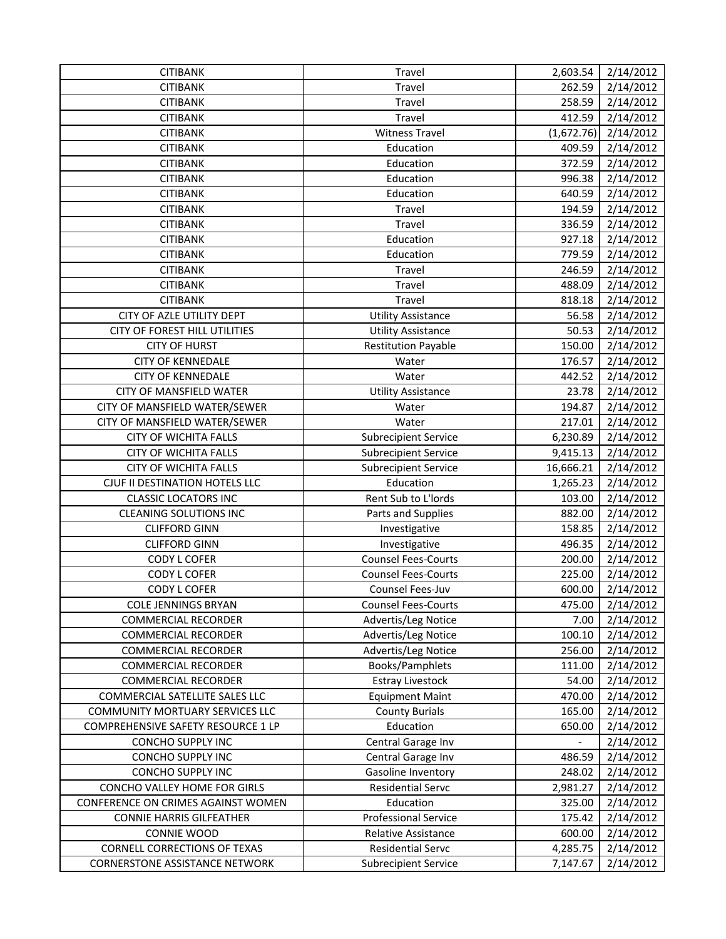| <b>CITIBANK</b><br>262.59<br>2/14/2012<br>Travel<br><b>CITIBANK</b><br>258.59<br>2/14/2012<br>Travel<br><b>CITIBANK</b><br>412.59<br>Travel<br>2/14/2012<br>(1,672.76)<br>2/14/2012<br><b>CITIBANK</b><br><b>Witness Travel</b><br><b>CITIBANK</b><br>409.59<br>2/14/2012<br>Education<br><b>CITIBANK</b><br>Education<br>372.59<br>2/14/2012<br><b>CITIBANK</b><br>Education<br>996.38<br>2/14/2012<br>2/14/2012<br><b>CITIBANK</b><br>Education<br>640.59<br><b>CITIBANK</b><br>194.59<br>2/14/2012<br>Travel<br>336.59<br><b>CITIBANK</b><br>2/14/2012<br>Travel<br>Education<br>927.18<br>2/14/2012<br><b>CITIBANK</b><br><b>CITIBANK</b><br>Education<br>779.59<br>2/14/2012<br><b>CITIBANK</b><br>Travel<br>246.59<br>2/14/2012<br>2/14/2012<br><b>CITIBANK</b><br>Travel<br>488.09<br><b>CITIBANK</b><br>818.18<br>2/14/2012<br>Travel<br>CITY OF AZLE UTILITY DEPT<br>56.58<br>2/14/2012<br><b>Utility Assistance</b><br>CITY OF FOREST HILL UTILITIES<br>50.53<br>2/14/2012<br><b>Utility Assistance</b><br>2/14/2012<br><b>CITY OF HURST</b><br><b>Restitution Payable</b><br>150.00<br><b>CITY OF KENNEDALE</b><br>176.57<br>2/14/2012<br>Water<br><b>CITY OF KENNEDALE</b><br>Water<br>442.52<br>2/14/2012<br>CITY OF MANSFIELD WATER<br>23.78<br>2/14/2012<br><b>Utility Assistance</b><br>CITY OF MANSFIELD WATER/SEWER<br>194.87<br>2/14/2012<br>Water<br>217.01<br>CITY OF MANSFIELD WATER/SEWER<br>2/14/2012<br>Water<br><b>CITY OF WICHITA FALLS</b><br>6,230.89<br>2/14/2012<br><b>Subrecipient Service</b><br>2/14/2012<br><b>CITY OF WICHITA FALLS</b><br><b>Subrecipient Service</b><br>9,415.13<br><b>CITY OF WICHITA FALLS</b><br>2/14/2012<br><b>Subrecipient Service</b><br>16,666.21<br>Education<br>2/14/2012<br>CJUF II DESTINATION HOTELS LLC<br>1,265.23<br><b>CLASSIC LOCATORS INC</b><br>Rent Sub to L'Iords<br>103.00<br>2/14/2012<br>2/14/2012<br><b>CLEANING SOLUTIONS INC</b><br>Parts and Supplies<br>882.00<br>158.85<br>2/14/2012<br><b>CLIFFORD GINN</b><br>Investigative<br>496.35<br>2/14/2012<br><b>CLIFFORD GINN</b><br>Investigative<br><b>Counsel Fees-Courts</b><br>2/14/2012<br><b>CODY L COFER</b><br>200.00<br><b>Counsel Fees-Courts</b><br>225.00<br>2/14/2012<br><b>CODY L COFER</b><br>2/14/2012<br>600.00<br><b>CODY L COFER</b><br>Counsel Fees-Juv<br>475.00<br>2/14/2012<br><b>COLE JENNINGS BRYAN</b><br><b>Counsel Fees-Courts</b><br>Advertis/Leg Notice<br>2/14/2012<br><b>COMMERCIAL RECORDER</b><br>7.00<br>100.10<br>2/14/2012<br><b>COMMERCIAL RECORDER</b><br>Advertis/Leg Notice<br>Advertis/Leg Notice<br>256.00<br>2/14/2012<br><b>COMMERCIAL RECORDER</b><br>Books/Pamphlets<br>2/14/2012<br><b>COMMERCIAL RECORDER</b><br>111.00<br><b>Estray Livestock</b><br>2/14/2012<br><b>COMMERCIAL RECORDER</b><br>54.00<br>470.00<br>2/14/2012<br>COMMERCIAL SATELLITE SALES LLC<br><b>Equipment Maint</b><br>COMMUNITY MORTUARY SERVICES LLC<br><b>County Burials</b><br>165.00<br>2/14/2012<br>Education<br>COMPREHENSIVE SAFETY RESOURCE 1 LP<br>2/14/2012<br>650.00<br>CONCHO SUPPLY INC<br>2/14/2012<br>Central Garage Inv<br>CONCHO SUPPLY INC<br>486.59<br>2/14/2012<br>Central Garage Inv<br><b>CONCHO SUPPLY INC</b><br>2/14/2012<br>Gasoline Inventory<br>248.02<br>CONCHO VALLEY HOME FOR GIRLS<br><b>Residential Servc</b><br>2,981.27<br>2/14/2012<br>2/14/2012<br>Education<br>325.00<br>CONFERENCE ON CRIMES AGAINST WOMEN<br><b>Professional Service</b><br><b>CONNIE HARRIS GILFEATHER</b><br>175.42<br>2/14/2012<br>2/14/2012<br>CONNIE WOOD<br><b>Relative Assistance</b><br>600.00<br><b>CORNELL CORRECTIONS OF TEXAS</b><br>4,285.75<br>2/14/2012<br><b>Residential Servc</b><br>2/14/2012<br><b>CORNERSTONE ASSISTANCE NETWORK</b><br><b>Subrecipient Service</b><br>7,147.67 | <b>CITIBANK</b> | Travel | 2,603.54 | 2/14/2012 |
|----------------------------------------------------------------------------------------------------------------------------------------------------------------------------------------------------------------------------------------------------------------------------------------------------------------------------------------------------------------------------------------------------------------------------------------------------------------------------------------------------------------------------------------------------------------------------------------------------------------------------------------------------------------------------------------------------------------------------------------------------------------------------------------------------------------------------------------------------------------------------------------------------------------------------------------------------------------------------------------------------------------------------------------------------------------------------------------------------------------------------------------------------------------------------------------------------------------------------------------------------------------------------------------------------------------------------------------------------------------------------------------------------------------------------------------------------------------------------------------------------------------------------------------------------------------------------------------------------------------------------------------------------------------------------------------------------------------------------------------------------------------------------------------------------------------------------------------------------------------------------------------------------------------------------------------------------------------------------------------------------------------------------------------------------------------------------------------------------------------------------------------------------------------------------------------------------------------------------------------------------------------------------------------------------------------------------------------------------------------------------------------------------------------------------------------------------------------------------------------------------------------------------------------------------------------------------------------------------------------------------------------------------------------------------------------------------------------------------------------------------------------------------------------------------------------------------------------------------------------------------------------------------------------------------------------------------------------------------------------------------------------------------------------------------------------------------------------------------------------------------------------------------------------------------------------------------------------------------------------------------------------------------------------------------------------------------------------------------------------------------------------------------------------------------------------------------------------------------------------------------------------------------------------------------------------------------------------------------------------------------------------------------------------------------------------------------------------------------------------------------------------------|-----------------|--------|----------|-----------|
|                                                                                                                                                                                                                                                                                                                                                                                                                                                                                                                                                                                                                                                                                                                                                                                                                                                                                                                                                                                                                                                                                                                                                                                                                                                                                                                                                                                                                                                                                                                                                                                                                                                                                                                                                                                                                                                                                                                                                                                                                                                                                                                                                                                                                                                                                                                                                                                                                                                                                                                                                                                                                                                                                                                                                                                                                                                                                                                                                                                                                                                                                                                                                                                                                                                                                                                                                                                                                                                                                                                                                                                                                                                                                                                                                                      |                 |        |          |           |
|                                                                                                                                                                                                                                                                                                                                                                                                                                                                                                                                                                                                                                                                                                                                                                                                                                                                                                                                                                                                                                                                                                                                                                                                                                                                                                                                                                                                                                                                                                                                                                                                                                                                                                                                                                                                                                                                                                                                                                                                                                                                                                                                                                                                                                                                                                                                                                                                                                                                                                                                                                                                                                                                                                                                                                                                                                                                                                                                                                                                                                                                                                                                                                                                                                                                                                                                                                                                                                                                                                                                                                                                                                                                                                                                                                      |                 |        |          |           |
|                                                                                                                                                                                                                                                                                                                                                                                                                                                                                                                                                                                                                                                                                                                                                                                                                                                                                                                                                                                                                                                                                                                                                                                                                                                                                                                                                                                                                                                                                                                                                                                                                                                                                                                                                                                                                                                                                                                                                                                                                                                                                                                                                                                                                                                                                                                                                                                                                                                                                                                                                                                                                                                                                                                                                                                                                                                                                                                                                                                                                                                                                                                                                                                                                                                                                                                                                                                                                                                                                                                                                                                                                                                                                                                                                                      |                 |        |          |           |
|                                                                                                                                                                                                                                                                                                                                                                                                                                                                                                                                                                                                                                                                                                                                                                                                                                                                                                                                                                                                                                                                                                                                                                                                                                                                                                                                                                                                                                                                                                                                                                                                                                                                                                                                                                                                                                                                                                                                                                                                                                                                                                                                                                                                                                                                                                                                                                                                                                                                                                                                                                                                                                                                                                                                                                                                                                                                                                                                                                                                                                                                                                                                                                                                                                                                                                                                                                                                                                                                                                                                                                                                                                                                                                                                                                      |                 |        |          |           |
|                                                                                                                                                                                                                                                                                                                                                                                                                                                                                                                                                                                                                                                                                                                                                                                                                                                                                                                                                                                                                                                                                                                                                                                                                                                                                                                                                                                                                                                                                                                                                                                                                                                                                                                                                                                                                                                                                                                                                                                                                                                                                                                                                                                                                                                                                                                                                                                                                                                                                                                                                                                                                                                                                                                                                                                                                                                                                                                                                                                                                                                                                                                                                                                                                                                                                                                                                                                                                                                                                                                                                                                                                                                                                                                                                                      |                 |        |          |           |
|                                                                                                                                                                                                                                                                                                                                                                                                                                                                                                                                                                                                                                                                                                                                                                                                                                                                                                                                                                                                                                                                                                                                                                                                                                                                                                                                                                                                                                                                                                                                                                                                                                                                                                                                                                                                                                                                                                                                                                                                                                                                                                                                                                                                                                                                                                                                                                                                                                                                                                                                                                                                                                                                                                                                                                                                                                                                                                                                                                                                                                                                                                                                                                                                                                                                                                                                                                                                                                                                                                                                                                                                                                                                                                                                                                      |                 |        |          |           |
|                                                                                                                                                                                                                                                                                                                                                                                                                                                                                                                                                                                                                                                                                                                                                                                                                                                                                                                                                                                                                                                                                                                                                                                                                                                                                                                                                                                                                                                                                                                                                                                                                                                                                                                                                                                                                                                                                                                                                                                                                                                                                                                                                                                                                                                                                                                                                                                                                                                                                                                                                                                                                                                                                                                                                                                                                                                                                                                                                                                                                                                                                                                                                                                                                                                                                                                                                                                                                                                                                                                                                                                                                                                                                                                                                                      |                 |        |          |           |
|                                                                                                                                                                                                                                                                                                                                                                                                                                                                                                                                                                                                                                                                                                                                                                                                                                                                                                                                                                                                                                                                                                                                                                                                                                                                                                                                                                                                                                                                                                                                                                                                                                                                                                                                                                                                                                                                                                                                                                                                                                                                                                                                                                                                                                                                                                                                                                                                                                                                                                                                                                                                                                                                                                                                                                                                                                                                                                                                                                                                                                                                                                                                                                                                                                                                                                                                                                                                                                                                                                                                                                                                                                                                                                                                                                      |                 |        |          |           |
|                                                                                                                                                                                                                                                                                                                                                                                                                                                                                                                                                                                                                                                                                                                                                                                                                                                                                                                                                                                                                                                                                                                                                                                                                                                                                                                                                                                                                                                                                                                                                                                                                                                                                                                                                                                                                                                                                                                                                                                                                                                                                                                                                                                                                                                                                                                                                                                                                                                                                                                                                                                                                                                                                                                                                                                                                                                                                                                                                                                                                                                                                                                                                                                                                                                                                                                                                                                                                                                                                                                                                                                                                                                                                                                                                                      |                 |        |          |           |
|                                                                                                                                                                                                                                                                                                                                                                                                                                                                                                                                                                                                                                                                                                                                                                                                                                                                                                                                                                                                                                                                                                                                                                                                                                                                                                                                                                                                                                                                                                                                                                                                                                                                                                                                                                                                                                                                                                                                                                                                                                                                                                                                                                                                                                                                                                                                                                                                                                                                                                                                                                                                                                                                                                                                                                                                                                                                                                                                                                                                                                                                                                                                                                                                                                                                                                                                                                                                                                                                                                                                                                                                                                                                                                                                                                      |                 |        |          |           |
|                                                                                                                                                                                                                                                                                                                                                                                                                                                                                                                                                                                                                                                                                                                                                                                                                                                                                                                                                                                                                                                                                                                                                                                                                                                                                                                                                                                                                                                                                                                                                                                                                                                                                                                                                                                                                                                                                                                                                                                                                                                                                                                                                                                                                                                                                                                                                                                                                                                                                                                                                                                                                                                                                                                                                                                                                                                                                                                                                                                                                                                                                                                                                                                                                                                                                                                                                                                                                                                                                                                                                                                                                                                                                                                                                                      |                 |        |          |           |
|                                                                                                                                                                                                                                                                                                                                                                                                                                                                                                                                                                                                                                                                                                                                                                                                                                                                                                                                                                                                                                                                                                                                                                                                                                                                                                                                                                                                                                                                                                                                                                                                                                                                                                                                                                                                                                                                                                                                                                                                                                                                                                                                                                                                                                                                                                                                                                                                                                                                                                                                                                                                                                                                                                                                                                                                                                                                                                                                                                                                                                                                                                                                                                                                                                                                                                                                                                                                                                                                                                                                                                                                                                                                                                                                                                      |                 |        |          |           |
|                                                                                                                                                                                                                                                                                                                                                                                                                                                                                                                                                                                                                                                                                                                                                                                                                                                                                                                                                                                                                                                                                                                                                                                                                                                                                                                                                                                                                                                                                                                                                                                                                                                                                                                                                                                                                                                                                                                                                                                                                                                                                                                                                                                                                                                                                                                                                                                                                                                                                                                                                                                                                                                                                                                                                                                                                                                                                                                                                                                                                                                                                                                                                                                                                                                                                                                                                                                                                                                                                                                                                                                                                                                                                                                                                                      |                 |        |          |           |
|                                                                                                                                                                                                                                                                                                                                                                                                                                                                                                                                                                                                                                                                                                                                                                                                                                                                                                                                                                                                                                                                                                                                                                                                                                                                                                                                                                                                                                                                                                                                                                                                                                                                                                                                                                                                                                                                                                                                                                                                                                                                                                                                                                                                                                                                                                                                                                                                                                                                                                                                                                                                                                                                                                                                                                                                                                                                                                                                                                                                                                                                                                                                                                                                                                                                                                                                                                                                                                                                                                                                                                                                                                                                                                                                                                      |                 |        |          |           |
|                                                                                                                                                                                                                                                                                                                                                                                                                                                                                                                                                                                                                                                                                                                                                                                                                                                                                                                                                                                                                                                                                                                                                                                                                                                                                                                                                                                                                                                                                                                                                                                                                                                                                                                                                                                                                                                                                                                                                                                                                                                                                                                                                                                                                                                                                                                                                                                                                                                                                                                                                                                                                                                                                                                                                                                                                                                                                                                                                                                                                                                                                                                                                                                                                                                                                                                                                                                                                                                                                                                                                                                                                                                                                                                                                                      |                 |        |          |           |
|                                                                                                                                                                                                                                                                                                                                                                                                                                                                                                                                                                                                                                                                                                                                                                                                                                                                                                                                                                                                                                                                                                                                                                                                                                                                                                                                                                                                                                                                                                                                                                                                                                                                                                                                                                                                                                                                                                                                                                                                                                                                                                                                                                                                                                                                                                                                                                                                                                                                                                                                                                                                                                                                                                                                                                                                                                                                                                                                                                                                                                                                                                                                                                                                                                                                                                                                                                                                                                                                                                                                                                                                                                                                                                                                                                      |                 |        |          |           |
|                                                                                                                                                                                                                                                                                                                                                                                                                                                                                                                                                                                                                                                                                                                                                                                                                                                                                                                                                                                                                                                                                                                                                                                                                                                                                                                                                                                                                                                                                                                                                                                                                                                                                                                                                                                                                                                                                                                                                                                                                                                                                                                                                                                                                                                                                                                                                                                                                                                                                                                                                                                                                                                                                                                                                                                                                                                                                                                                                                                                                                                                                                                                                                                                                                                                                                                                                                                                                                                                                                                                                                                                                                                                                                                                                                      |                 |        |          |           |
|                                                                                                                                                                                                                                                                                                                                                                                                                                                                                                                                                                                                                                                                                                                                                                                                                                                                                                                                                                                                                                                                                                                                                                                                                                                                                                                                                                                                                                                                                                                                                                                                                                                                                                                                                                                                                                                                                                                                                                                                                                                                                                                                                                                                                                                                                                                                                                                                                                                                                                                                                                                                                                                                                                                                                                                                                                                                                                                                                                                                                                                                                                                                                                                                                                                                                                                                                                                                                                                                                                                                                                                                                                                                                                                                                                      |                 |        |          |           |
|                                                                                                                                                                                                                                                                                                                                                                                                                                                                                                                                                                                                                                                                                                                                                                                                                                                                                                                                                                                                                                                                                                                                                                                                                                                                                                                                                                                                                                                                                                                                                                                                                                                                                                                                                                                                                                                                                                                                                                                                                                                                                                                                                                                                                                                                                                                                                                                                                                                                                                                                                                                                                                                                                                                                                                                                                                                                                                                                                                                                                                                                                                                                                                                                                                                                                                                                                                                                                                                                                                                                                                                                                                                                                                                                                                      |                 |        |          |           |
|                                                                                                                                                                                                                                                                                                                                                                                                                                                                                                                                                                                                                                                                                                                                                                                                                                                                                                                                                                                                                                                                                                                                                                                                                                                                                                                                                                                                                                                                                                                                                                                                                                                                                                                                                                                                                                                                                                                                                                                                                                                                                                                                                                                                                                                                                                                                                                                                                                                                                                                                                                                                                                                                                                                                                                                                                                                                                                                                                                                                                                                                                                                                                                                                                                                                                                                                                                                                                                                                                                                                                                                                                                                                                                                                                                      |                 |        |          |           |
|                                                                                                                                                                                                                                                                                                                                                                                                                                                                                                                                                                                                                                                                                                                                                                                                                                                                                                                                                                                                                                                                                                                                                                                                                                                                                                                                                                                                                                                                                                                                                                                                                                                                                                                                                                                                                                                                                                                                                                                                                                                                                                                                                                                                                                                                                                                                                                                                                                                                                                                                                                                                                                                                                                                                                                                                                                                                                                                                                                                                                                                                                                                                                                                                                                                                                                                                                                                                                                                                                                                                                                                                                                                                                                                                                                      |                 |        |          |           |
|                                                                                                                                                                                                                                                                                                                                                                                                                                                                                                                                                                                                                                                                                                                                                                                                                                                                                                                                                                                                                                                                                                                                                                                                                                                                                                                                                                                                                                                                                                                                                                                                                                                                                                                                                                                                                                                                                                                                                                                                                                                                                                                                                                                                                                                                                                                                                                                                                                                                                                                                                                                                                                                                                                                                                                                                                                                                                                                                                                                                                                                                                                                                                                                                                                                                                                                                                                                                                                                                                                                                                                                                                                                                                                                                                                      |                 |        |          |           |
|                                                                                                                                                                                                                                                                                                                                                                                                                                                                                                                                                                                                                                                                                                                                                                                                                                                                                                                                                                                                                                                                                                                                                                                                                                                                                                                                                                                                                                                                                                                                                                                                                                                                                                                                                                                                                                                                                                                                                                                                                                                                                                                                                                                                                                                                                                                                                                                                                                                                                                                                                                                                                                                                                                                                                                                                                                                                                                                                                                                                                                                                                                                                                                                                                                                                                                                                                                                                                                                                                                                                                                                                                                                                                                                                                                      |                 |        |          |           |
|                                                                                                                                                                                                                                                                                                                                                                                                                                                                                                                                                                                                                                                                                                                                                                                                                                                                                                                                                                                                                                                                                                                                                                                                                                                                                                                                                                                                                                                                                                                                                                                                                                                                                                                                                                                                                                                                                                                                                                                                                                                                                                                                                                                                                                                                                                                                                                                                                                                                                                                                                                                                                                                                                                                                                                                                                                                                                                                                                                                                                                                                                                                                                                                                                                                                                                                                                                                                                                                                                                                                                                                                                                                                                                                                                                      |                 |        |          |           |
|                                                                                                                                                                                                                                                                                                                                                                                                                                                                                                                                                                                                                                                                                                                                                                                                                                                                                                                                                                                                                                                                                                                                                                                                                                                                                                                                                                                                                                                                                                                                                                                                                                                                                                                                                                                                                                                                                                                                                                                                                                                                                                                                                                                                                                                                                                                                                                                                                                                                                                                                                                                                                                                                                                                                                                                                                                                                                                                                                                                                                                                                                                                                                                                                                                                                                                                                                                                                                                                                                                                                                                                                                                                                                                                                                                      |                 |        |          |           |
|                                                                                                                                                                                                                                                                                                                                                                                                                                                                                                                                                                                                                                                                                                                                                                                                                                                                                                                                                                                                                                                                                                                                                                                                                                                                                                                                                                                                                                                                                                                                                                                                                                                                                                                                                                                                                                                                                                                                                                                                                                                                                                                                                                                                                                                                                                                                                                                                                                                                                                                                                                                                                                                                                                                                                                                                                                                                                                                                                                                                                                                                                                                                                                                                                                                                                                                                                                                                                                                                                                                                                                                                                                                                                                                                                                      |                 |        |          |           |
|                                                                                                                                                                                                                                                                                                                                                                                                                                                                                                                                                                                                                                                                                                                                                                                                                                                                                                                                                                                                                                                                                                                                                                                                                                                                                                                                                                                                                                                                                                                                                                                                                                                                                                                                                                                                                                                                                                                                                                                                                                                                                                                                                                                                                                                                                                                                                                                                                                                                                                                                                                                                                                                                                                                                                                                                                                                                                                                                                                                                                                                                                                                                                                                                                                                                                                                                                                                                                                                                                                                                                                                                                                                                                                                                                                      |                 |        |          |           |
|                                                                                                                                                                                                                                                                                                                                                                                                                                                                                                                                                                                                                                                                                                                                                                                                                                                                                                                                                                                                                                                                                                                                                                                                                                                                                                                                                                                                                                                                                                                                                                                                                                                                                                                                                                                                                                                                                                                                                                                                                                                                                                                                                                                                                                                                                                                                                                                                                                                                                                                                                                                                                                                                                                                                                                                                                                                                                                                                                                                                                                                                                                                                                                                                                                                                                                                                                                                                                                                                                                                                                                                                                                                                                                                                                                      |                 |        |          |           |
|                                                                                                                                                                                                                                                                                                                                                                                                                                                                                                                                                                                                                                                                                                                                                                                                                                                                                                                                                                                                                                                                                                                                                                                                                                                                                                                                                                                                                                                                                                                                                                                                                                                                                                                                                                                                                                                                                                                                                                                                                                                                                                                                                                                                                                                                                                                                                                                                                                                                                                                                                                                                                                                                                                                                                                                                                                                                                                                                                                                                                                                                                                                                                                                                                                                                                                                                                                                                                                                                                                                                                                                                                                                                                                                                                                      |                 |        |          |           |
|                                                                                                                                                                                                                                                                                                                                                                                                                                                                                                                                                                                                                                                                                                                                                                                                                                                                                                                                                                                                                                                                                                                                                                                                                                                                                                                                                                                                                                                                                                                                                                                                                                                                                                                                                                                                                                                                                                                                                                                                                                                                                                                                                                                                                                                                                                                                                                                                                                                                                                                                                                                                                                                                                                                                                                                                                                                                                                                                                                                                                                                                                                                                                                                                                                                                                                                                                                                                                                                                                                                                                                                                                                                                                                                                                                      |                 |        |          |           |
|                                                                                                                                                                                                                                                                                                                                                                                                                                                                                                                                                                                                                                                                                                                                                                                                                                                                                                                                                                                                                                                                                                                                                                                                                                                                                                                                                                                                                                                                                                                                                                                                                                                                                                                                                                                                                                                                                                                                                                                                                                                                                                                                                                                                                                                                                                                                                                                                                                                                                                                                                                                                                                                                                                                                                                                                                                                                                                                                                                                                                                                                                                                                                                                                                                                                                                                                                                                                                                                                                                                                                                                                                                                                                                                                                                      |                 |        |          |           |
|                                                                                                                                                                                                                                                                                                                                                                                                                                                                                                                                                                                                                                                                                                                                                                                                                                                                                                                                                                                                                                                                                                                                                                                                                                                                                                                                                                                                                                                                                                                                                                                                                                                                                                                                                                                                                                                                                                                                                                                                                                                                                                                                                                                                                                                                                                                                                                                                                                                                                                                                                                                                                                                                                                                                                                                                                                                                                                                                                                                                                                                                                                                                                                                                                                                                                                                                                                                                                                                                                                                                                                                                                                                                                                                                                                      |                 |        |          |           |
|                                                                                                                                                                                                                                                                                                                                                                                                                                                                                                                                                                                                                                                                                                                                                                                                                                                                                                                                                                                                                                                                                                                                                                                                                                                                                                                                                                                                                                                                                                                                                                                                                                                                                                                                                                                                                                                                                                                                                                                                                                                                                                                                                                                                                                                                                                                                                                                                                                                                                                                                                                                                                                                                                                                                                                                                                                                                                                                                                                                                                                                                                                                                                                                                                                                                                                                                                                                                                                                                                                                                                                                                                                                                                                                                                                      |                 |        |          |           |
|                                                                                                                                                                                                                                                                                                                                                                                                                                                                                                                                                                                                                                                                                                                                                                                                                                                                                                                                                                                                                                                                                                                                                                                                                                                                                                                                                                                                                                                                                                                                                                                                                                                                                                                                                                                                                                                                                                                                                                                                                                                                                                                                                                                                                                                                                                                                                                                                                                                                                                                                                                                                                                                                                                                                                                                                                                                                                                                                                                                                                                                                                                                                                                                                                                                                                                                                                                                                                                                                                                                                                                                                                                                                                                                                                                      |                 |        |          |           |
|                                                                                                                                                                                                                                                                                                                                                                                                                                                                                                                                                                                                                                                                                                                                                                                                                                                                                                                                                                                                                                                                                                                                                                                                                                                                                                                                                                                                                                                                                                                                                                                                                                                                                                                                                                                                                                                                                                                                                                                                                                                                                                                                                                                                                                                                                                                                                                                                                                                                                                                                                                                                                                                                                                                                                                                                                                                                                                                                                                                                                                                                                                                                                                                                                                                                                                                                                                                                                                                                                                                                                                                                                                                                                                                                                                      |                 |        |          |           |
|                                                                                                                                                                                                                                                                                                                                                                                                                                                                                                                                                                                                                                                                                                                                                                                                                                                                                                                                                                                                                                                                                                                                                                                                                                                                                                                                                                                                                                                                                                                                                                                                                                                                                                                                                                                                                                                                                                                                                                                                                                                                                                                                                                                                                                                                                                                                                                                                                                                                                                                                                                                                                                                                                                                                                                                                                                                                                                                                                                                                                                                                                                                                                                                                                                                                                                                                                                                                                                                                                                                                                                                                                                                                                                                                                                      |                 |        |          |           |
|                                                                                                                                                                                                                                                                                                                                                                                                                                                                                                                                                                                                                                                                                                                                                                                                                                                                                                                                                                                                                                                                                                                                                                                                                                                                                                                                                                                                                                                                                                                                                                                                                                                                                                                                                                                                                                                                                                                                                                                                                                                                                                                                                                                                                                                                                                                                                                                                                                                                                                                                                                                                                                                                                                                                                                                                                                                                                                                                                                                                                                                                                                                                                                                                                                                                                                                                                                                                                                                                                                                                                                                                                                                                                                                                                                      |                 |        |          |           |
|                                                                                                                                                                                                                                                                                                                                                                                                                                                                                                                                                                                                                                                                                                                                                                                                                                                                                                                                                                                                                                                                                                                                                                                                                                                                                                                                                                                                                                                                                                                                                                                                                                                                                                                                                                                                                                                                                                                                                                                                                                                                                                                                                                                                                                                                                                                                                                                                                                                                                                                                                                                                                                                                                                                                                                                                                                                                                                                                                                                                                                                                                                                                                                                                                                                                                                                                                                                                                                                                                                                                                                                                                                                                                                                                                                      |                 |        |          |           |
|                                                                                                                                                                                                                                                                                                                                                                                                                                                                                                                                                                                                                                                                                                                                                                                                                                                                                                                                                                                                                                                                                                                                                                                                                                                                                                                                                                                                                                                                                                                                                                                                                                                                                                                                                                                                                                                                                                                                                                                                                                                                                                                                                                                                                                                                                                                                                                                                                                                                                                                                                                                                                                                                                                                                                                                                                                                                                                                                                                                                                                                                                                                                                                                                                                                                                                                                                                                                                                                                                                                                                                                                                                                                                                                                                                      |                 |        |          |           |
|                                                                                                                                                                                                                                                                                                                                                                                                                                                                                                                                                                                                                                                                                                                                                                                                                                                                                                                                                                                                                                                                                                                                                                                                                                                                                                                                                                                                                                                                                                                                                                                                                                                                                                                                                                                                                                                                                                                                                                                                                                                                                                                                                                                                                                                                                                                                                                                                                                                                                                                                                                                                                                                                                                                                                                                                                                                                                                                                                                                                                                                                                                                                                                                                                                                                                                                                                                                                                                                                                                                                                                                                                                                                                                                                                                      |                 |        |          |           |
|                                                                                                                                                                                                                                                                                                                                                                                                                                                                                                                                                                                                                                                                                                                                                                                                                                                                                                                                                                                                                                                                                                                                                                                                                                                                                                                                                                                                                                                                                                                                                                                                                                                                                                                                                                                                                                                                                                                                                                                                                                                                                                                                                                                                                                                                                                                                                                                                                                                                                                                                                                                                                                                                                                                                                                                                                                                                                                                                                                                                                                                                                                                                                                                                                                                                                                                                                                                                                                                                                                                                                                                                                                                                                                                                                                      |                 |        |          |           |
|                                                                                                                                                                                                                                                                                                                                                                                                                                                                                                                                                                                                                                                                                                                                                                                                                                                                                                                                                                                                                                                                                                                                                                                                                                                                                                                                                                                                                                                                                                                                                                                                                                                                                                                                                                                                                                                                                                                                                                                                                                                                                                                                                                                                                                                                                                                                                                                                                                                                                                                                                                                                                                                                                                                                                                                                                                                                                                                                                                                                                                                                                                                                                                                                                                                                                                                                                                                                                                                                                                                                                                                                                                                                                                                                                                      |                 |        |          |           |
|                                                                                                                                                                                                                                                                                                                                                                                                                                                                                                                                                                                                                                                                                                                                                                                                                                                                                                                                                                                                                                                                                                                                                                                                                                                                                                                                                                                                                                                                                                                                                                                                                                                                                                                                                                                                                                                                                                                                                                                                                                                                                                                                                                                                                                                                                                                                                                                                                                                                                                                                                                                                                                                                                                                                                                                                                                                                                                                                                                                                                                                                                                                                                                                                                                                                                                                                                                                                                                                                                                                                                                                                                                                                                                                                                                      |                 |        |          |           |
|                                                                                                                                                                                                                                                                                                                                                                                                                                                                                                                                                                                                                                                                                                                                                                                                                                                                                                                                                                                                                                                                                                                                                                                                                                                                                                                                                                                                                                                                                                                                                                                                                                                                                                                                                                                                                                                                                                                                                                                                                                                                                                                                                                                                                                                                                                                                                                                                                                                                                                                                                                                                                                                                                                                                                                                                                                                                                                                                                                                                                                                                                                                                                                                                                                                                                                                                                                                                                                                                                                                                                                                                                                                                                                                                                                      |                 |        |          |           |
|                                                                                                                                                                                                                                                                                                                                                                                                                                                                                                                                                                                                                                                                                                                                                                                                                                                                                                                                                                                                                                                                                                                                                                                                                                                                                                                                                                                                                                                                                                                                                                                                                                                                                                                                                                                                                                                                                                                                                                                                                                                                                                                                                                                                                                                                                                                                                                                                                                                                                                                                                                                                                                                                                                                                                                                                                                                                                                                                                                                                                                                                                                                                                                                                                                                                                                                                                                                                                                                                                                                                                                                                                                                                                                                                                                      |                 |        |          |           |
|                                                                                                                                                                                                                                                                                                                                                                                                                                                                                                                                                                                                                                                                                                                                                                                                                                                                                                                                                                                                                                                                                                                                                                                                                                                                                                                                                                                                                                                                                                                                                                                                                                                                                                                                                                                                                                                                                                                                                                                                                                                                                                                                                                                                                                                                                                                                                                                                                                                                                                                                                                                                                                                                                                                                                                                                                                                                                                                                                                                                                                                                                                                                                                                                                                                                                                                                                                                                                                                                                                                                                                                                                                                                                                                                                                      |                 |        |          |           |
|                                                                                                                                                                                                                                                                                                                                                                                                                                                                                                                                                                                                                                                                                                                                                                                                                                                                                                                                                                                                                                                                                                                                                                                                                                                                                                                                                                                                                                                                                                                                                                                                                                                                                                                                                                                                                                                                                                                                                                                                                                                                                                                                                                                                                                                                                                                                                                                                                                                                                                                                                                                                                                                                                                                                                                                                                                                                                                                                                                                                                                                                                                                                                                                                                                                                                                                                                                                                                                                                                                                                                                                                                                                                                                                                                                      |                 |        |          |           |
|                                                                                                                                                                                                                                                                                                                                                                                                                                                                                                                                                                                                                                                                                                                                                                                                                                                                                                                                                                                                                                                                                                                                                                                                                                                                                                                                                                                                                                                                                                                                                                                                                                                                                                                                                                                                                                                                                                                                                                                                                                                                                                                                                                                                                                                                                                                                                                                                                                                                                                                                                                                                                                                                                                                                                                                                                                                                                                                                                                                                                                                                                                                                                                                                                                                                                                                                                                                                                                                                                                                                                                                                                                                                                                                                                                      |                 |        |          |           |
|                                                                                                                                                                                                                                                                                                                                                                                                                                                                                                                                                                                                                                                                                                                                                                                                                                                                                                                                                                                                                                                                                                                                                                                                                                                                                                                                                                                                                                                                                                                                                                                                                                                                                                                                                                                                                                                                                                                                                                                                                                                                                                                                                                                                                                                                                                                                                                                                                                                                                                                                                                                                                                                                                                                                                                                                                                                                                                                                                                                                                                                                                                                                                                                                                                                                                                                                                                                                                                                                                                                                                                                                                                                                                                                                                                      |                 |        |          |           |
|                                                                                                                                                                                                                                                                                                                                                                                                                                                                                                                                                                                                                                                                                                                                                                                                                                                                                                                                                                                                                                                                                                                                                                                                                                                                                                                                                                                                                                                                                                                                                                                                                                                                                                                                                                                                                                                                                                                                                                                                                                                                                                                                                                                                                                                                                                                                                                                                                                                                                                                                                                                                                                                                                                                                                                                                                                                                                                                                                                                                                                                                                                                                                                                                                                                                                                                                                                                                                                                                                                                                                                                                                                                                                                                                                                      |                 |        |          |           |
|                                                                                                                                                                                                                                                                                                                                                                                                                                                                                                                                                                                                                                                                                                                                                                                                                                                                                                                                                                                                                                                                                                                                                                                                                                                                                                                                                                                                                                                                                                                                                                                                                                                                                                                                                                                                                                                                                                                                                                                                                                                                                                                                                                                                                                                                                                                                                                                                                                                                                                                                                                                                                                                                                                                                                                                                                                                                                                                                                                                                                                                                                                                                                                                                                                                                                                                                                                                                                                                                                                                                                                                                                                                                                                                                                                      |                 |        |          |           |
|                                                                                                                                                                                                                                                                                                                                                                                                                                                                                                                                                                                                                                                                                                                                                                                                                                                                                                                                                                                                                                                                                                                                                                                                                                                                                                                                                                                                                                                                                                                                                                                                                                                                                                                                                                                                                                                                                                                                                                                                                                                                                                                                                                                                                                                                                                                                                                                                                                                                                                                                                                                                                                                                                                                                                                                                                                                                                                                                                                                                                                                                                                                                                                                                                                                                                                                                                                                                                                                                                                                                                                                                                                                                                                                                                                      |                 |        |          |           |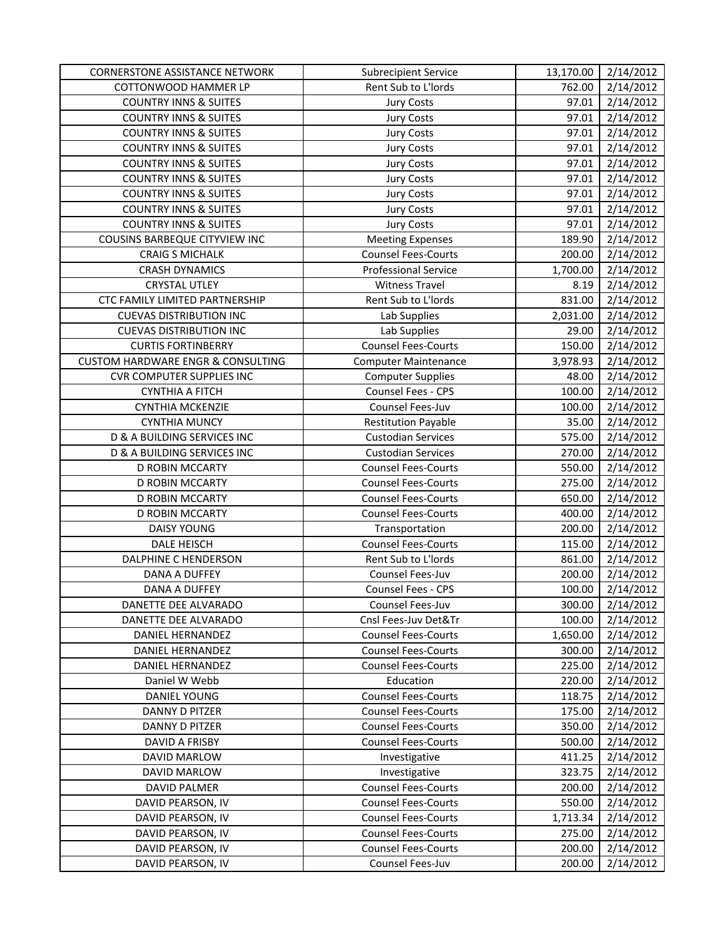| <b>CORNERSTONE ASSISTANCE NETWORK</b>        | <b>Subrecipient Service</b> | 13,170.00 | 2/14/2012 |
|----------------------------------------------|-----------------------------|-----------|-----------|
| COTTONWOOD HAMMER LP                         | Rent Sub to L'Iords         | 762.00    | 2/14/2012 |
| <b>COUNTRY INNS &amp; SUITES</b>             | <b>Jury Costs</b>           | 97.01     | 2/14/2012 |
| <b>COUNTRY INNS &amp; SUITES</b>             | <b>Jury Costs</b>           | 97.01     | 2/14/2012 |
| <b>COUNTRY INNS &amp; SUITES</b>             | <b>Jury Costs</b>           | 97.01     | 2/14/2012 |
| <b>COUNTRY INNS &amp; SUITES</b>             | <b>Jury Costs</b>           | 97.01     | 2/14/2012 |
| <b>COUNTRY INNS &amp; SUITES</b>             | <b>Jury Costs</b>           | 97.01     | 2/14/2012 |
| <b>COUNTRY INNS &amp; SUITES</b>             | <b>Jury Costs</b>           | 97.01     | 2/14/2012 |
| <b>COUNTRY INNS &amp; SUITES</b>             | <b>Jury Costs</b>           | 97.01     | 2/14/2012 |
| <b>COUNTRY INNS &amp; SUITES</b>             | <b>Jury Costs</b>           | 97.01     | 2/14/2012 |
| <b>COUNTRY INNS &amp; SUITES</b>             | <b>Jury Costs</b>           | 97.01     | 2/14/2012 |
| COUSINS BARBEQUE CITYVIEW INC                | <b>Meeting Expenses</b>     | 189.90    | 2/14/2012 |
| <b>CRAIG S MICHALK</b>                       | <b>Counsel Fees-Courts</b>  | 200.00    | 2/14/2012 |
| <b>CRASH DYNAMICS</b>                        | <b>Professional Service</b> | 1,700.00  | 2/14/2012 |
| <b>CRYSTAL UTLEY</b>                         | <b>Witness Travel</b>       | 8.19      | 2/14/2012 |
| CTC FAMILY LIMITED PARTNERSHIP               | Rent Sub to L'Iords         | 831.00    | 2/14/2012 |
| <b>CUEVAS DISTRIBUTION INC</b>               | Lab Supplies                | 2,031.00  | 2/14/2012 |
| <b>CUEVAS DISTRIBUTION INC</b>               | Lab Supplies                | 29.00     | 2/14/2012 |
| <b>CURTIS FORTINBERRY</b>                    | <b>Counsel Fees-Courts</b>  | 150.00    | 2/14/2012 |
| <b>CUSTOM HARDWARE ENGR &amp; CONSULTING</b> | <b>Computer Maintenance</b> | 3,978.93  | 2/14/2012 |
| <b>CVR COMPUTER SUPPLIES INC</b>             | <b>Computer Supplies</b>    | 48.00     | 2/14/2012 |
| <b>CYNTHIA A FITCH</b>                       | Counsel Fees - CPS          | 100.00    | 2/14/2012 |
| <b>CYNTHIA MCKENZIE</b>                      | Counsel Fees-Juv            | 100.00    | 2/14/2012 |
| <b>CYNTHIA MUNCY</b>                         | <b>Restitution Payable</b>  | 35.00     | 2/14/2012 |
| D & A BUILDING SERVICES INC                  | <b>Custodian Services</b>   | 575.00    | 2/14/2012 |
| <b>D &amp; A BUILDING SERVICES INC</b>       | <b>Custodian Services</b>   | 270.00    | 2/14/2012 |
| D ROBIN MCCARTY                              | <b>Counsel Fees-Courts</b>  | 550.00    | 2/14/2012 |
| D ROBIN MCCARTY                              | <b>Counsel Fees-Courts</b>  | 275.00    | 2/14/2012 |
| D ROBIN MCCARTY                              | <b>Counsel Fees-Courts</b>  | 650.00    | 2/14/2012 |
| D ROBIN MCCARTY                              | <b>Counsel Fees-Courts</b>  | 400.00    | 2/14/2012 |
| <b>DAISY YOUNG</b>                           | Transportation              | 200.00    | 2/14/2012 |
| <b>DALE HEISCH</b>                           | <b>Counsel Fees-Courts</b>  | 115.00    | 2/14/2012 |
| DALPHINE C HENDERSON                         | Rent Sub to L'Iords         | 861.00    | 2/14/2012 |
| DANA A DUFFEY                                | Counsel Fees-Juv            | 200.00    | 2/14/2012 |
| <b>DANA A DUFFEY</b>                         | Counsel Fees - CPS          | 100.00    | 2/14/2012 |
| DANETTE DEE ALVARADO                         | Counsel Fees-Juv            | 300.00    | 2/14/2012 |
| DANETTE DEE ALVARADO                         | Cnsl Fees-Juv Det&Tr        | 100.00    | 2/14/2012 |
| DANIEL HERNANDEZ                             | <b>Counsel Fees-Courts</b>  | 1,650.00  | 2/14/2012 |
| <b>DANIEL HERNANDEZ</b>                      | <b>Counsel Fees-Courts</b>  | 300.00    | 2/14/2012 |
| DANIEL HERNANDEZ                             | <b>Counsel Fees-Courts</b>  | 225.00    | 2/14/2012 |
| Daniel W Webb                                | Education                   | 220.00    | 2/14/2012 |
| <b>DANIEL YOUNG</b>                          | <b>Counsel Fees-Courts</b>  | 118.75    | 2/14/2012 |
| <b>DANNY D PITZER</b>                        | <b>Counsel Fees-Courts</b>  | 175.00    | 2/14/2012 |
| DANNY D PITZER                               | <b>Counsel Fees-Courts</b>  | 350.00    | 2/14/2012 |
| DAVID A FRISBY                               | <b>Counsel Fees-Courts</b>  | 500.00    | 2/14/2012 |
| DAVID MARLOW                                 | Investigative               | 411.25    | 2/14/2012 |
| DAVID MARLOW                                 | Investigative               | 323.75    | 2/14/2012 |
| <b>DAVID PALMER</b>                          | <b>Counsel Fees-Courts</b>  | 200.00    | 2/14/2012 |
| DAVID PEARSON, IV                            | <b>Counsel Fees-Courts</b>  | 550.00    | 2/14/2012 |
| DAVID PEARSON, IV                            | <b>Counsel Fees-Courts</b>  | 1,713.34  | 2/14/2012 |
| DAVID PEARSON, IV                            | <b>Counsel Fees-Courts</b>  | 275.00    | 2/14/2012 |
| DAVID PEARSON, IV                            | <b>Counsel Fees-Courts</b>  | 200.00    | 2/14/2012 |
| DAVID PEARSON, IV                            | Counsel Fees-Juv            | 200.00    | 2/14/2012 |
|                                              |                             |           |           |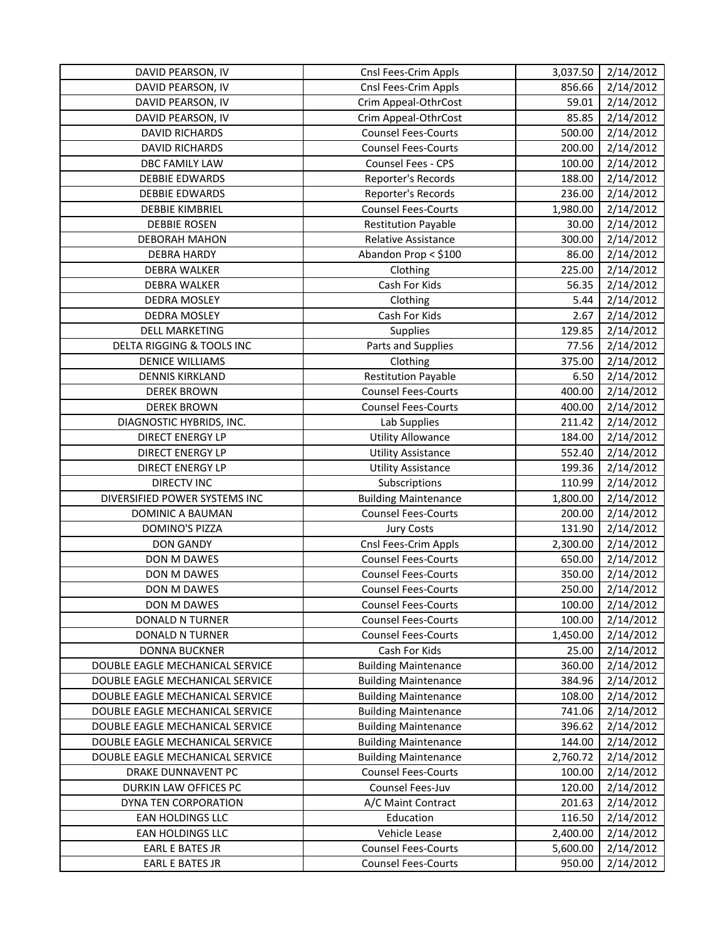| DAVID PEARSON, IV               | Cnsl Fees-Crim Appls        | 3,037.50 | 2/14/2012 |
|---------------------------------|-----------------------------|----------|-----------|
| DAVID PEARSON, IV               | Cnsl Fees-Crim Appls        | 856.66   | 2/14/2012 |
| DAVID PEARSON, IV               | Crim Appeal-OthrCost        | 59.01    | 2/14/2012 |
| DAVID PEARSON, IV               | Crim Appeal-OthrCost        | 85.85    | 2/14/2012 |
| <b>DAVID RICHARDS</b>           | <b>Counsel Fees-Courts</b>  | 500.00   | 2/14/2012 |
| <b>DAVID RICHARDS</b>           | <b>Counsel Fees-Courts</b>  | 200.00   | 2/14/2012 |
| DBC FAMILY LAW                  | Counsel Fees - CPS          | 100.00   | 2/14/2012 |
| <b>DEBBIE EDWARDS</b>           | Reporter's Records          | 188.00   | 2/14/2012 |
| <b>DEBBIE EDWARDS</b>           | Reporter's Records          | 236.00   | 2/14/2012 |
| <b>DEBBIE KIMBRIEL</b>          | <b>Counsel Fees-Courts</b>  | 1,980.00 | 2/14/2012 |
| <b>DEBBIE ROSEN</b>             | <b>Restitution Payable</b>  | 30.00    | 2/14/2012 |
| <b>DEBORAH MAHON</b>            | Relative Assistance         | 300.00   | 2/14/2012 |
| <b>DEBRA HARDY</b>              | Abandon Prop < \$100        | 86.00    | 2/14/2012 |
| <b>DEBRA WALKER</b>             | Clothing                    | 225.00   | 2/14/2012 |
| DEBRA WALKER                    | Cash For Kids               | 56.35    | 2/14/2012 |
| DEDRA MOSLEY                    | Clothing                    | 5.44     | 2/14/2012 |
| DEDRA MOSLEY                    | Cash For Kids               | 2.67     | 2/14/2012 |
| <b>DELL MARKETING</b>           | <b>Supplies</b>             | 129.85   | 2/14/2012 |
| DELTA RIGGING & TOOLS INC       | Parts and Supplies          | 77.56    | 2/14/2012 |
| <b>DENICE WILLIAMS</b>          | Clothing                    | 375.00   | 2/14/2012 |
| <b>DENNIS KIRKLAND</b>          | <b>Restitution Payable</b>  | 6.50     | 2/14/2012 |
| <b>DEREK BROWN</b>              | <b>Counsel Fees-Courts</b>  | 400.00   | 2/14/2012 |
| <b>DEREK BROWN</b>              | <b>Counsel Fees-Courts</b>  | 400.00   | 2/14/2012 |
| DIAGNOSTIC HYBRIDS, INC.        | Lab Supplies                | 211.42   | 2/14/2012 |
| <b>DIRECT ENERGY LP</b>         | <b>Utility Allowance</b>    | 184.00   | 2/14/2012 |
| <b>DIRECT ENERGY LP</b>         | <b>Utility Assistance</b>   | 552.40   | 2/14/2012 |
| <b>DIRECT ENERGY LP</b>         | <b>Utility Assistance</b>   | 199.36   | 2/14/2012 |
| <b>DIRECTV INC</b>              | Subscriptions               | 110.99   | 2/14/2012 |
| DIVERSIFIED POWER SYSTEMS INC   | <b>Building Maintenance</b> | 1,800.00 | 2/14/2012 |
| DOMINIC A BAUMAN                | <b>Counsel Fees-Courts</b>  | 200.00   | 2/14/2012 |
| <b>DOMINO'S PIZZA</b>           | <b>Jury Costs</b>           | 131.90   | 2/14/2012 |
| <b>DON GANDY</b>                | Cnsl Fees-Crim Appls        | 2,300.00 | 2/14/2012 |
| DON M DAWES                     | <b>Counsel Fees-Courts</b>  | 650.00   | 2/14/2012 |
| DON M DAWES                     | <b>Counsel Fees-Courts</b>  | 350.00   | 2/14/2012 |
| DON M DAWES                     | <b>Counsel Fees-Courts</b>  | 250.00   | 2/14/2012 |
| DON M DAWES                     | <b>Counsel Fees-Courts</b>  | 100.00   | 2/14/2012 |
| <b>DONALD N TURNER</b>          | <b>Counsel Fees-Courts</b>  | 100.00   | 2/14/2012 |
| <b>DONALD N TURNER</b>          | <b>Counsel Fees-Courts</b>  | 1,450.00 | 2/14/2012 |
| <b>DONNA BUCKNER</b>            | Cash For Kids               | 25.00    | 2/14/2012 |
| DOUBLE EAGLE MECHANICAL SERVICE | <b>Building Maintenance</b> | 360.00   | 2/14/2012 |
| DOUBLE EAGLE MECHANICAL SERVICE | <b>Building Maintenance</b> | 384.96   | 2/14/2012 |
| DOUBLE EAGLE MECHANICAL SERVICE | <b>Building Maintenance</b> | 108.00   | 2/14/2012 |
| DOUBLE EAGLE MECHANICAL SERVICE | <b>Building Maintenance</b> | 741.06   | 2/14/2012 |
| DOUBLE EAGLE MECHANICAL SERVICE | <b>Building Maintenance</b> | 396.62   | 2/14/2012 |
| DOUBLE EAGLE MECHANICAL SERVICE | <b>Building Maintenance</b> | 144.00   | 2/14/2012 |
| DOUBLE EAGLE MECHANICAL SERVICE | <b>Building Maintenance</b> | 2,760.72 | 2/14/2012 |
| DRAKE DUNNAVENT PC              | <b>Counsel Fees-Courts</b>  | 100.00   | 2/14/2012 |
| DURKIN LAW OFFICES PC           | Counsel Fees-Juv            | 120.00   | 2/14/2012 |
| DYNA TEN CORPORATION            | A/C Maint Contract          | 201.63   | 2/14/2012 |
| EAN HOLDINGS LLC                | Education                   | 116.50   | 2/14/2012 |
| EAN HOLDINGS LLC                | Vehicle Lease               | 2,400.00 | 2/14/2012 |
| <b>EARL E BATES JR</b>          | <b>Counsel Fees-Courts</b>  | 5,600.00 | 2/14/2012 |
| <b>EARL E BATES JR</b>          | <b>Counsel Fees-Courts</b>  | 950.00   | 2/14/2012 |
|                                 |                             |          |           |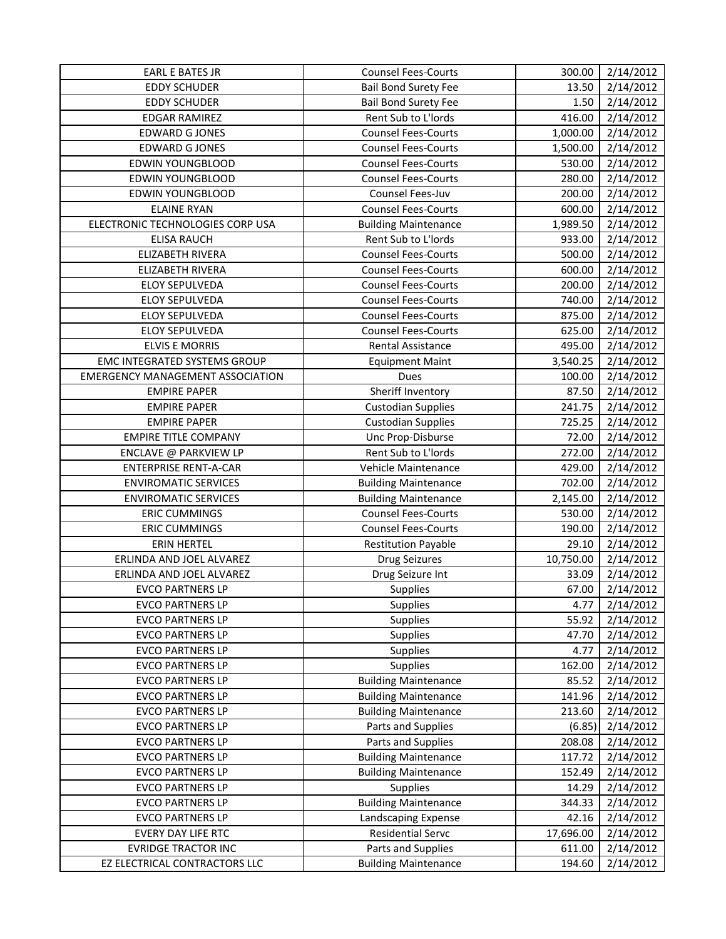| <b>EARL E BATES JR</b>                  | <b>Counsel Fees-Courts</b>  | 300.00    | 2/14/2012 |
|-----------------------------------------|-----------------------------|-----------|-----------|
| <b>EDDY SCHUDER</b>                     | <b>Bail Bond Surety Fee</b> | 13.50     | 2/14/2012 |
| <b>EDDY SCHUDER</b>                     | <b>Bail Bond Surety Fee</b> | 1.50      | 2/14/2012 |
| <b>EDGAR RAMIREZ</b>                    | Rent Sub to L'Iords         | 416.00    | 2/14/2012 |
| <b>EDWARD G JONES</b>                   | <b>Counsel Fees-Courts</b>  | 1,000.00  | 2/14/2012 |
| <b>EDWARD G JONES</b>                   | <b>Counsel Fees-Courts</b>  | 1,500.00  | 2/14/2012 |
| <b>EDWIN YOUNGBLOOD</b>                 | <b>Counsel Fees-Courts</b>  | 530.00    | 2/14/2012 |
| EDWIN YOUNGBLOOD                        | <b>Counsel Fees-Courts</b>  | 280.00    | 2/14/2012 |
| <b>EDWIN YOUNGBLOOD</b>                 | Counsel Fees-Juv            | 200.00    | 2/14/2012 |
| <b>ELAINE RYAN</b>                      | <b>Counsel Fees-Courts</b>  | 600.00    | 2/14/2012 |
| ELECTRONIC TECHNOLOGIES CORP USA        | <b>Building Maintenance</b> | 1,989.50  | 2/14/2012 |
| <b>ELISA RAUCH</b>                      | Rent Sub to L'Iords         | 933.00    | 2/14/2012 |
| ELIZABETH RIVERA                        | <b>Counsel Fees-Courts</b>  | 500.00    | 2/14/2012 |
| ELIZABETH RIVERA                        | <b>Counsel Fees-Courts</b>  | 600.00    | 2/14/2012 |
| ELOY SEPULVEDA                          | <b>Counsel Fees-Courts</b>  | 200.00    | 2/14/2012 |
| ELOY SEPULVEDA                          | <b>Counsel Fees-Courts</b>  | 740.00    | 2/14/2012 |
| ELOY SEPULVEDA                          | <b>Counsel Fees-Courts</b>  | 875.00    | 2/14/2012 |
| ELOY SEPULVEDA                          | <b>Counsel Fees-Courts</b>  | 625.00    | 2/14/2012 |
| <b>ELVIS E MORRIS</b>                   | <b>Rental Assistance</b>    | 495.00    | 2/14/2012 |
| <b>EMC INTEGRATED SYSTEMS GROUP</b>     | <b>Equipment Maint</b>      | 3,540.25  | 2/14/2012 |
| <b>EMERGENCY MANAGEMENT ASSOCIATION</b> | Dues                        | 100.00    | 2/14/2012 |
| <b>EMPIRE PAPER</b>                     | Sheriff Inventory           | 87.50     | 2/14/2012 |
| <b>EMPIRE PAPER</b>                     | <b>Custodian Supplies</b>   | 241.75    | 2/14/2012 |
| <b>EMPIRE PAPER</b>                     | <b>Custodian Supplies</b>   | 725.25    | 2/14/2012 |
| <b>EMPIRE TITLE COMPANY</b>             | Unc Prop-Disburse           | 72.00     | 2/14/2012 |
| ENCLAVE @ PARKVIEW LP                   | Rent Sub to L'Iords         | 272.00    | 2/14/2012 |
| <b>ENTERPRISE RENT-A-CAR</b>            | Vehicle Maintenance         | 429.00    | 2/14/2012 |
| <b>ENVIROMATIC SERVICES</b>             | <b>Building Maintenance</b> | 702.00    | 2/14/2012 |
| <b>ENVIROMATIC SERVICES</b>             | <b>Building Maintenance</b> | 2,145.00  | 2/14/2012 |
| <b>ERIC CUMMINGS</b>                    | <b>Counsel Fees-Courts</b>  | 530.00    | 2/14/2012 |
| <b>ERIC CUMMINGS</b>                    | <b>Counsel Fees-Courts</b>  | 190.00    | 2/14/2012 |
| <b>ERIN HERTEL</b>                      | <b>Restitution Payable</b>  | 29.10     | 2/14/2012 |
| ERLINDA AND JOEL ALVAREZ                | <b>Drug Seizures</b>        | 10,750.00 | 2/14/2012 |
| ERLINDA AND JOEL ALVAREZ                | Drug Seizure Int            | 33.09     | 2/14/2012 |
| <b>EVCO PARTNERS LP</b>                 | <b>Supplies</b>             | 67.00     | 2/14/2012 |
| <b>EVCO PARTNERS LP</b>                 | <b>Supplies</b>             | 4.77      | 2/14/2012 |
| <b>EVCO PARTNERS LP</b>                 | Supplies                    | 55.92     | 2/14/2012 |
| <b>EVCO PARTNERS LP</b>                 | Supplies                    | 47.70     | 2/14/2012 |
| <b>EVCO PARTNERS LP</b>                 | Supplies                    | 4.77      | 2/14/2012 |
| <b>EVCO PARTNERS LP</b>                 | Supplies                    | 162.00    | 2/14/2012 |
| <b>EVCO PARTNERS LP</b>                 | <b>Building Maintenance</b> | 85.52     | 2/14/2012 |
| <b>EVCO PARTNERS LP</b>                 | <b>Building Maintenance</b> | 141.96    | 2/14/2012 |
| <b>EVCO PARTNERS LP</b>                 | <b>Building Maintenance</b> | 213.60    | 2/14/2012 |
| <b>EVCO PARTNERS LP</b>                 | Parts and Supplies          | (6.85)    | 2/14/2012 |
| <b>EVCO PARTNERS LP</b>                 | Parts and Supplies          | 208.08    | 2/14/2012 |
| <b>EVCO PARTNERS LP</b>                 | <b>Building Maintenance</b> | 117.72    | 2/14/2012 |
| <b>EVCO PARTNERS LP</b>                 | <b>Building Maintenance</b> | 152.49    | 2/14/2012 |
| <b>EVCO PARTNERS LP</b>                 | <b>Supplies</b>             | 14.29     | 2/14/2012 |
| <b>EVCO PARTNERS LP</b>                 | <b>Building Maintenance</b> | 344.33    | 2/14/2012 |
| <b>EVCO PARTNERS LP</b>                 | Landscaping Expense         | 42.16     | 2/14/2012 |
| EVERY DAY LIFE RTC                      | <b>Residential Servc</b>    | 17,696.00 | 2/14/2012 |
| <b>EVRIDGE TRACTOR INC</b>              | Parts and Supplies          | 611.00    | 2/14/2012 |
| EZ ELECTRICAL CONTRACTORS LLC           | <b>Building Maintenance</b> | 194.60    | 2/14/2012 |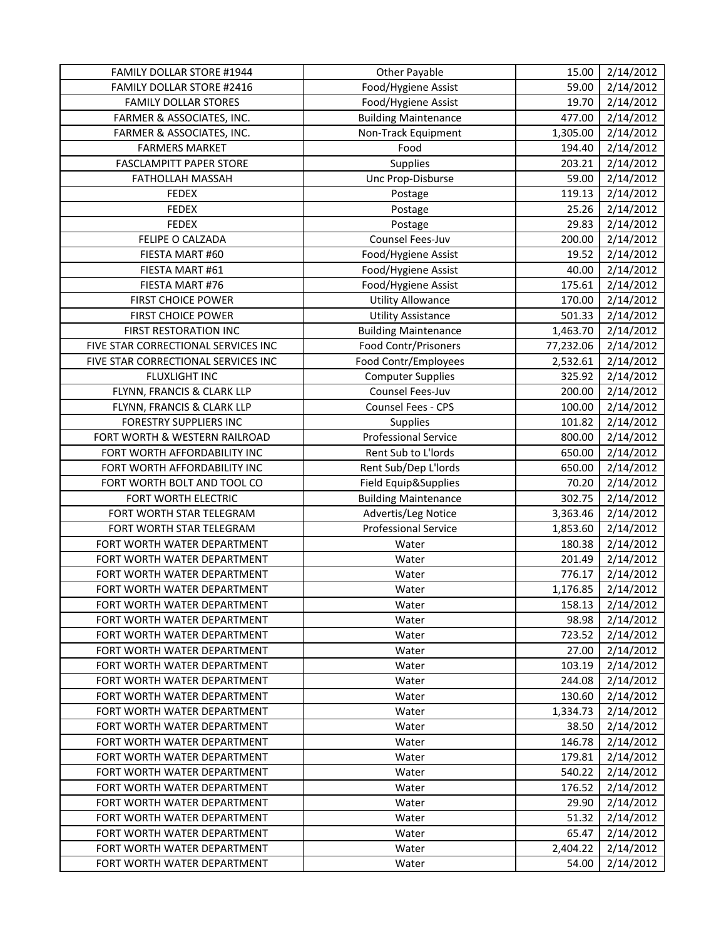| FAMILY DOLLAR STORE #1944           | Other Payable               | 15.00     | 2/14/2012 |
|-------------------------------------|-----------------------------|-----------|-----------|
| FAMILY DOLLAR STORE #2416           | Food/Hygiene Assist         | 59.00     | 2/14/2012 |
| <b>FAMILY DOLLAR STORES</b>         | Food/Hygiene Assist         | 19.70     | 2/14/2012 |
| FARMER & ASSOCIATES, INC.           | <b>Building Maintenance</b> | 477.00    | 2/14/2012 |
| FARMER & ASSOCIATES, INC.           | Non-Track Equipment         | 1,305.00  | 2/14/2012 |
| <b>FARMERS MARKET</b>               | Food                        | 194.40    | 2/14/2012 |
| <b>FASCLAMPITT PAPER STORE</b>      | Supplies                    | 203.21    | 2/14/2012 |
| FATHOLLAH MASSAH                    | Unc Prop-Disburse           | 59.00     | 2/14/2012 |
| <b>FEDEX</b>                        | Postage                     | 119.13    | 2/14/2012 |
| <b>FEDEX</b>                        | Postage                     | 25.26     | 2/14/2012 |
| <b>FEDEX</b>                        | Postage                     | 29.83     | 2/14/2012 |
| FELIPE O CALZADA                    | Counsel Fees-Juv            | 200.00    | 2/14/2012 |
| FIESTA MART #60                     | Food/Hygiene Assist         | 19.52     | 2/14/2012 |
| FIESTA MART #61                     | Food/Hygiene Assist         | 40.00     | 2/14/2012 |
| FIESTA MART #76                     | Food/Hygiene Assist         | 175.61    | 2/14/2012 |
| <b>FIRST CHOICE POWER</b>           | <b>Utility Allowance</b>    | 170.00    | 2/14/2012 |
| FIRST CHOICE POWER                  | <b>Utility Assistance</b>   | 501.33    | 2/14/2012 |
| FIRST RESTORATION INC               | <b>Building Maintenance</b> | 1,463.70  | 2/14/2012 |
| FIVE STAR CORRECTIONAL SERVICES INC | Food Contr/Prisoners        | 77,232.06 | 2/14/2012 |
| FIVE STAR CORRECTIONAL SERVICES INC | Food Contr/Employees        | 2,532.61  | 2/14/2012 |
| <b>FLUXLIGHT INC</b>                | <b>Computer Supplies</b>    | 325.92    | 2/14/2012 |
| FLYNN, FRANCIS & CLARK LLP          | Counsel Fees-Juv            | 200.00    | 2/14/2012 |
| FLYNN, FRANCIS & CLARK LLP          | Counsel Fees - CPS          | 100.00    | 2/14/2012 |
| <b>FORESTRY SUPPLIERS INC</b>       | Supplies                    | 101.82    | 2/14/2012 |
| FORT WORTH & WESTERN RAILROAD       | <b>Professional Service</b> | 800.00    | 2/14/2012 |
| FORT WORTH AFFORDABILITY INC        | Rent Sub to L'Iords         | 650.00    | 2/14/2012 |
| FORT WORTH AFFORDABILITY INC        | Rent Sub/Dep L'Iords        | 650.00    | 2/14/2012 |
| FORT WORTH BOLT AND TOOL CO         | Field Equip&Supplies        | 70.20     | 2/14/2012 |
| FORT WORTH ELECTRIC                 | <b>Building Maintenance</b> | 302.75    | 2/14/2012 |
| FORT WORTH STAR TELEGRAM            | Advertis/Leg Notice         | 3,363.46  | 2/14/2012 |
| FORT WORTH STAR TELEGRAM            | <b>Professional Service</b> | 1,853.60  | 2/14/2012 |
| FORT WORTH WATER DEPARTMENT         | Water                       | 180.38    | 2/14/2012 |
| FORT WORTH WATER DEPARTMENT         | Water                       | 201.49    | 2/14/2012 |
| FORT WORTH WATER DEPARTMENT         | Water                       | 776.17    | 2/14/2012 |
| FORT WORTH WATER DEPARTMENT         | Water                       | 1,176.85  | 2/14/2012 |
| FORT WORTH WATER DEPARTMENT         | Water                       | 158.13    | 2/14/2012 |
| FORT WORTH WATER DEPARTMENT         | Water                       | 98.98     | 2/14/2012 |
| FORT WORTH WATER DEPARTMENT         | Water                       | 723.52    | 2/14/2012 |
| FORT WORTH WATER DEPARTMENT         | Water                       | 27.00     | 2/14/2012 |
| FORT WORTH WATER DEPARTMENT         | Water                       | 103.19    | 2/14/2012 |
| FORT WORTH WATER DEPARTMENT         | Water                       | 244.08    | 2/14/2012 |
| FORT WORTH WATER DEPARTMENT         | Water                       | 130.60    | 2/14/2012 |
| FORT WORTH WATER DEPARTMENT         | Water                       | 1,334.73  | 2/14/2012 |
| FORT WORTH WATER DEPARTMENT         | Water                       | 38.50     | 2/14/2012 |
| FORT WORTH WATER DEPARTMENT         | Water                       | 146.78    | 2/14/2012 |
| FORT WORTH WATER DEPARTMENT         | Water                       | 179.81    | 2/14/2012 |
| FORT WORTH WATER DEPARTMENT         | Water                       | 540.22    | 2/14/2012 |
| FORT WORTH WATER DEPARTMENT         | Water                       | 176.52    | 2/14/2012 |
| FORT WORTH WATER DEPARTMENT         | Water                       | 29.90     | 2/14/2012 |
| FORT WORTH WATER DEPARTMENT         | Water                       | 51.32     | 2/14/2012 |
| FORT WORTH WATER DEPARTMENT         | Water                       | 65.47     | 2/14/2012 |
| FORT WORTH WATER DEPARTMENT         | Water                       | 2,404.22  | 2/14/2012 |
| FORT WORTH WATER DEPARTMENT         | Water                       | 54.00     | 2/14/2012 |
|                                     |                             |           |           |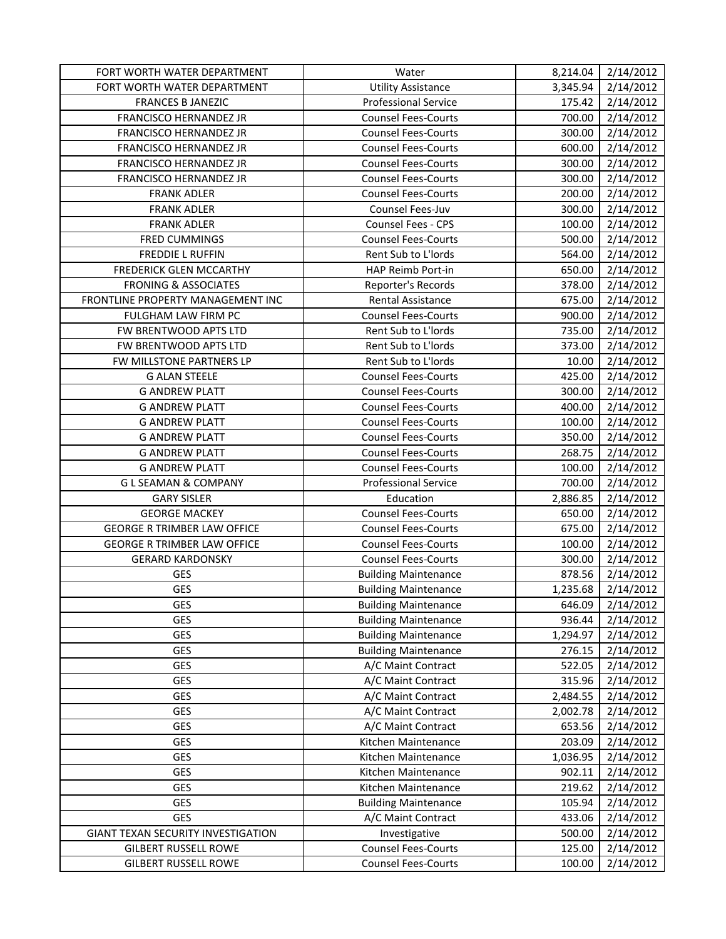| FORT WORTH WATER DEPARTMENT        | Water                       | 8,214.04 | 2/14/2012 |
|------------------------------------|-----------------------------|----------|-----------|
| FORT WORTH WATER DEPARTMENT        | <b>Utility Assistance</b>   | 3,345.94 | 2/14/2012 |
| <b>FRANCES B JANEZIC</b>           | <b>Professional Service</b> | 175.42   | 2/14/2012 |
| FRANCISCO HERNANDEZ JR             | <b>Counsel Fees-Courts</b>  | 700.00   | 2/14/2012 |
| FRANCISCO HERNANDEZ JR             | <b>Counsel Fees-Courts</b>  | 300.00   | 2/14/2012 |
| FRANCISCO HERNANDEZ JR             | <b>Counsel Fees-Courts</b>  | 600.00   | 2/14/2012 |
| FRANCISCO HERNANDEZ JR             | <b>Counsel Fees-Courts</b>  | 300.00   | 2/14/2012 |
| FRANCISCO HERNANDEZ JR             | <b>Counsel Fees-Courts</b>  | 300.00   | 2/14/2012 |
| <b>FRANK ADLER</b>                 | <b>Counsel Fees-Courts</b>  | 200.00   | 2/14/2012 |
| <b>FRANK ADLER</b>                 | Counsel Fees-Juv            | 300.00   | 2/14/2012 |
| <b>FRANK ADLER</b>                 | <b>Counsel Fees - CPS</b>   | 100.00   | 2/14/2012 |
| <b>FRED CUMMINGS</b>               | <b>Counsel Fees-Courts</b>  | 500.00   | 2/14/2012 |
| <b>FREDDIE L RUFFIN</b>            | Rent Sub to L'Iords         | 564.00   | 2/14/2012 |
| FREDERICK GLEN MCCARTHY            | HAP Reimb Port-in           | 650.00   | 2/14/2012 |
| <b>FRONING &amp; ASSOCIATES</b>    | Reporter's Records          | 378.00   | 2/14/2012 |
| FRONTLINE PROPERTY MANAGEMENT INC  | Rental Assistance           | 675.00   | 2/14/2012 |
| FULGHAM LAW FIRM PC                | <b>Counsel Fees-Courts</b>  | 900.00   | 2/14/2012 |
| FW BRENTWOOD APTS LTD              | Rent Sub to L'Iords         | 735.00   | 2/14/2012 |
| FW BRENTWOOD APTS LTD              | Rent Sub to L'Iords         | 373.00   | 2/14/2012 |
| FW MILLSTONE PARTNERS LP           | Rent Sub to L'Iords         | 10.00    | 2/14/2012 |
| <b>G ALAN STEELE</b>               | <b>Counsel Fees-Courts</b>  | 425.00   | 2/14/2012 |
| <b>G ANDREW PLATT</b>              | <b>Counsel Fees-Courts</b>  | 300.00   | 2/14/2012 |
| <b>G ANDREW PLATT</b>              | <b>Counsel Fees-Courts</b>  | 400.00   | 2/14/2012 |
| <b>G ANDREW PLATT</b>              | <b>Counsel Fees-Courts</b>  | 100.00   | 2/14/2012 |
| <b>G ANDREW PLATT</b>              | <b>Counsel Fees-Courts</b>  | 350.00   | 2/14/2012 |
| <b>G ANDREW PLATT</b>              | <b>Counsel Fees-Courts</b>  | 268.75   | 2/14/2012 |
| <b>G ANDREW PLATT</b>              | <b>Counsel Fees-Courts</b>  | 100.00   | 2/14/2012 |
| <b>GLSEAMAN &amp; COMPANY</b>      | <b>Professional Service</b> | 700.00   | 2/14/2012 |
| <b>GARY SISLER</b>                 | Education                   | 2,886.85 | 2/14/2012 |
| <b>GEORGE MACKEY</b>               | <b>Counsel Fees-Courts</b>  | 650.00   | 2/14/2012 |
| <b>GEORGE R TRIMBER LAW OFFICE</b> | <b>Counsel Fees-Courts</b>  | 675.00   | 2/14/2012 |
| <b>GEORGE R TRIMBER LAW OFFICE</b> | <b>Counsel Fees-Courts</b>  | 100.00   | 2/14/2012 |
| <b>GERARD KARDONSKY</b>            | <b>Counsel Fees-Courts</b>  | 300.00   | 2/14/2012 |
| <b>GES</b>                         | <b>Building Maintenance</b> | 878.56   | 2/14/2012 |
| <b>GES</b>                         | <b>Building Maintenance</b> | 1,235.68 | 2/14/2012 |
| GES                                | <b>Building Maintenance</b> | 646.09   | 2/14/2012 |
| <b>GES</b>                         | <b>Building Maintenance</b> | 936.44   | 2/14/2012 |
| GES                                | <b>Building Maintenance</b> | 1,294.97 | 2/14/2012 |
| <b>GES</b>                         | <b>Building Maintenance</b> | 276.15   | 2/14/2012 |
| <b>GES</b>                         | A/C Maint Contract          | 522.05   | 2/14/2012 |
| <b>GES</b>                         | A/C Maint Contract          | 315.96   | 2/14/2012 |
| GES                                | A/C Maint Contract          | 2,484.55 | 2/14/2012 |
| <b>GES</b>                         | A/C Maint Contract          | 2,002.78 | 2/14/2012 |
| <b>GES</b>                         | A/C Maint Contract          | 653.56   | 2/14/2012 |
| <b>GES</b>                         | Kitchen Maintenance         | 203.09   | 2/14/2012 |
| GES                                | Kitchen Maintenance         | 1,036.95 | 2/14/2012 |
| <b>GES</b>                         | Kitchen Maintenance         | 902.11   | 2/14/2012 |
| <b>GES</b>                         | Kitchen Maintenance         | 219.62   | 2/14/2012 |
| <b>GES</b>                         | <b>Building Maintenance</b> | 105.94   | 2/14/2012 |
| <b>GES</b>                         | A/C Maint Contract          | 433.06   | 2/14/2012 |
| GIANT TEXAN SECURITY INVESTIGATION | Investigative               | 500.00   | 2/14/2012 |
| <b>GILBERT RUSSELL ROWE</b>        | <b>Counsel Fees-Courts</b>  | 125.00   | 2/14/2012 |
| <b>GILBERT RUSSELL ROWE</b>        | <b>Counsel Fees-Courts</b>  | 100.00   | 2/14/2012 |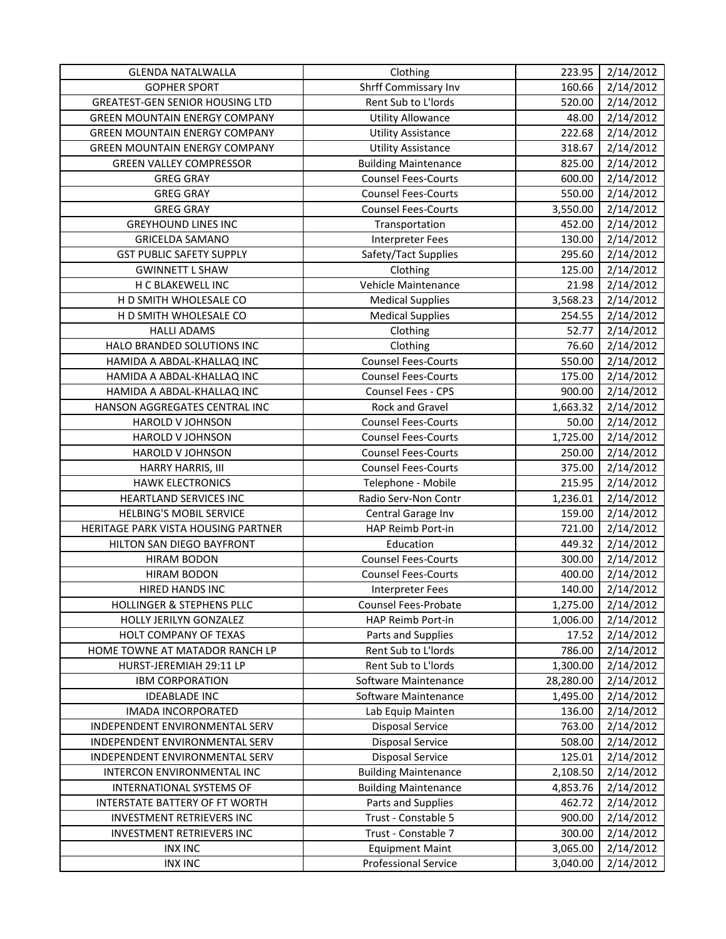| <b>GLENDA NATALWALLA</b>               | Clothing                    | 223.95    | 2/14/2012 |
|----------------------------------------|-----------------------------|-----------|-----------|
| <b>GOPHER SPORT</b>                    | Shrff Commissary Inv        | 160.66    | 2/14/2012 |
| <b>GREATEST-GEN SENIOR HOUSING LTD</b> | Rent Sub to L'Iords         | 520.00    | 2/14/2012 |
| <b>GREEN MOUNTAIN ENERGY COMPANY</b>   | <b>Utility Allowance</b>    | 48.00     | 2/14/2012 |
| <b>GREEN MOUNTAIN ENERGY COMPANY</b>   | <b>Utility Assistance</b>   | 222.68    | 2/14/2012 |
| <b>GREEN MOUNTAIN ENERGY COMPANY</b>   | <b>Utility Assistance</b>   | 318.67    | 2/14/2012 |
| <b>GREEN VALLEY COMPRESSOR</b>         | <b>Building Maintenance</b> | 825.00    | 2/14/2012 |
| <b>GREG GRAY</b>                       | <b>Counsel Fees-Courts</b>  | 600.00    | 2/14/2012 |
| <b>GREG GRAY</b>                       | <b>Counsel Fees-Courts</b>  | 550.00    | 2/14/2012 |
| <b>GREG GRAY</b>                       | <b>Counsel Fees-Courts</b>  | 3,550.00  | 2/14/2012 |
| <b>GREYHOUND LINES INC</b>             | Transportation              | 452.00    | 2/14/2012 |
| <b>GRICELDA SAMANO</b>                 | <b>Interpreter Fees</b>     | 130.00    | 2/14/2012 |
| <b>GST PUBLIC SAFETY SUPPLY</b>        | Safety/Tact Supplies        | 295.60    | 2/14/2012 |
| <b>GWINNETT L SHAW</b>                 | Clothing                    | 125.00    | 2/14/2012 |
| H C BLAKEWELL INC                      | Vehicle Maintenance         | 21.98     | 2/14/2012 |
| H D SMITH WHOLESALE CO                 | <b>Medical Supplies</b>     | 3,568.23  | 2/14/2012 |
| H D SMITH WHOLESALE CO                 | <b>Medical Supplies</b>     | 254.55    | 2/14/2012 |
| <b>HALLI ADAMS</b>                     | Clothing                    | 52.77     | 2/14/2012 |
| HALO BRANDED SOLUTIONS INC             | Clothing                    | 76.60     | 2/14/2012 |
| HAMIDA A ABDAL-KHALLAQ INC             | <b>Counsel Fees-Courts</b>  | 550.00    | 2/14/2012 |
| HAMIDA A ABDAL-KHALLAQ INC             | <b>Counsel Fees-Courts</b>  | 175.00    | 2/14/2012 |
| HAMIDA A ABDAL-KHALLAQ INC             | Counsel Fees - CPS          | 900.00    | 2/14/2012 |
| HANSON AGGREGATES CENTRAL INC          | Rock and Gravel             | 1,663.32  | 2/14/2012 |
| <b>HAROLD V JOHNSON</b>                | <b>Counsel Fees-Courts</b>  | 50.00     | 2/14/2012 |
| HAROLD V JOHNSON                       | <b>Counsel Fees-Courts</b>  | 1,725.00  | 2/14/2012 |
| HAROLD V JOHNSON                       | <b>Counsel Fees-Courts</b>  | 250.00    | 2/14/2012 |
| HARRY HARRIS, III                      | <b>Counsel Fees-Courts</b>  | 375.00    | 2/14/2012 |
| <b>HAWK ELECTRONICS</b>                | Telephone - Mobile          | 215.95    | 2/14/2012 |
| HEARTLAND SERVICES INC                 | Radio Serv-Non Contr        | 1,236.01  | 2/14/2012 |
| <b>HELBING'S MOBIL SERVICE</b>         | Central Garage Inv          | 159.00    | 2/14/2012 |
| HERITAGE PARK VISTA HOUSING PARTNER    | HAP Reimb Port-in           | 721.00    | 2/14/2012 |
| HILTON SAN DIEGO BAYFRONT              | Education                   | 449.32    | 2/14/2012 |
| <b>HIRAM BODON</b>                     | <b>Counsel Fees-Courts</b>  | 300.00    | 2/14/2012 |
| <b>HIRAM BODON</b>                     | <b>Counsel Fees-Courts</b>  | 400.00    | 2/14/2012 |
| HIRED HANDS INC                        | <b>Interpreter Fees</b>     | 140.00    | 2/14/2012 |
| HOLLINGER & STEPHENS PLLC              | <b>Counsel Fees-Probate</b> | 1,275.00  | 2/14/2012 |
| HOLLY JERILYN GONZALEZ                 | HAP Reimb Port-in           | 1,006.00  | 2/14/2012 |
| HOLT COMPANY OF TEXAS                  | Parts and Supplies          | 17.52     | 2/14/2012 |
| HOME TOWNE AT MATADOR RANCH LP         | Rent Sub to L'Iords         | 786.00    | 2/14/2012 |
| HURST-JEREMIAH 29:11 LP                | Rent Sub to L'Iords         | 1,300.00  | 2/14/2012 |
| <b>IBM CORPORATION</b>                 | Software Maintenance        | 28,280.00 | 2/14/2012 |
| <b>IDEABLADE INC</b>                   | Software Maintenance        | 1,495.00  | 2/14/2012 |
| <b>IMADA INCORPORATED</b>              | Lab Equip Mainten           | 136.00    | 2/14/2012 |
| INDEPENDENT ENVIRONMENTAL SERV         | <b>Disposal Service</b>     | 763.00    | 2/14/2012 |
| INDEPENDENT ENVIRONMENTAL SERV         | <b>Disposal Service</b>     | 508.00    | 2/14/2012 |
| INDEPENDENT ENVIRONMENTAL SERV         | <b>Disposal Service</b>     | 125.01    | 2/14/2012 |
| INTERCON ENVIRONMENTAL INC             | <b>Building Maintenance</b> | 2,108.50  | 2/14/2012 |
| INTERNATIONAL SYSTEMS OF               | <b>Building Maintenance</b> | 4,853.76  | 2/14/2012 |
| INTERSTATE BATTERY OF FT WORTH         | Parts and Supplies          | 462.72    | 2/14/2012 |
| <b>INVESTMENT RETRIEVERS INC</b>       | Trust - Constable 5         | 900.00    | 2/14/2012 |
| INVESTMENT RETRIEVERS INC              | Trust - Constable 7         | 300.00    | 2/14/2012 |
| <b>INX INC</b>                         | <b>Equipment Maint</b>      | 3,065.00  | 2/14/2012 |
| <b>INX INC</b>                         | <b>Professional Service</b> | 3,040.00  | 2/14/2012 |
|                                        |                             |           |           |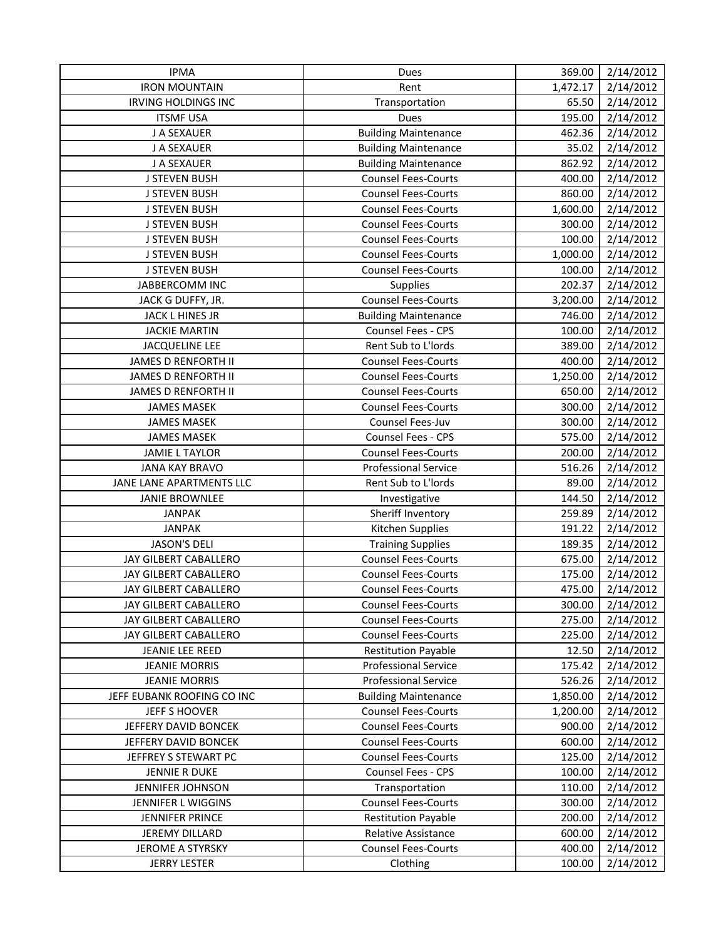| <b>IPMA</b>                | Dues                        | 369.00   | 2/14/2012 |
|----------------------------|-----------------------------|----------|-----------|
| <b>IRON MOUNTAIN</b>       | Rent                        | 1,472.17 | 2/14/2012 |
| <b>IRVING HOLDINGS INC</b> | Transportation              | 65.50    | 2/14/2012 |
| <b>ITSMF USA</b>           | Dues                        | 195.00   | 2/14/2012 |
| J A SEXAUER                | <b>Building Maintenance</b> | 462.36   | 2/14/2012 |
| J A SEXAUER                | <b>Building Maintenance</b> | 35.02    | 2/14/2012 |
| J A SEXAUER                | <b>Building Maintenance</b> | 862.92   | 2/14/2012 |
| <b>J STEVEN BUSH</b>       | <b>Counsel Fees-Courts</b>  | 400.00   | 2/14/2012 |
| <b>J STEVEN BUSH</b>       | <b>Counsel Fees-Courts</b>  | 860.00   | 2/14/2012 |
| <b>J STEVEN BUSH</b>       | <b>Counsel Fees-Courts</b>  | 1,600.00 | 2/14/2012 |
| <b>J STEVEN BUSH</b>       | <b>Counsel Fees-Courts</b>  | 300.00   | 2/14/2012 |
| <b>J STEVEN BUSH</b>       | <b>Counsel Fees-Courts</b>  | 100.00   | 2/14/2012 |
| <b>J STEVEN BUSH</b>       | <b>Counsel Fees-Courts</b>  | 1,000.00 | 2/14/2012 |
| <b>J STEVEN BUSH</b>       | <b>Counsel Fees-Courts</b>  | 100.00   | 2/14/2012 |
| JABBERCOMM INC             | Supplies                    | 202.37   | 2/14/2012 |
| JACK G DUFFY, JR.          | <b>Counsel Fees-Courts</b>  | 3,200.00 | 2/14/2012 |
| JACK L HINES JR            | <b>Building Maintenance</b> | 746.00   | 2/14/2012 |
| <b>JACKIE MARTIN</b>       | Counsel Fees - CPS          | 100.00   | 2/14/2012 |
| <b>JACQUELINE LEE</b>      | Rent Sub to L'Iords         | 389.00   | 2/14/2012 |
| <b>JAMES D RENFORTH II</b> | <b>Counsel Fees-Courts</b>  | 400.00   | 2/14/2012 |
| JAMES D RENFORTH II        | <b>Counsel Fees-Courts</b>  | 1,250.00 | 2/14/2012 |
| <b>JAMES D RENFORTH II</b> | <b>Counsel Fees-Courts</b>  | 650.00   | 2/14/2012 |
| <b>JAMES MASEK</b>         | <b>Counsel Fees-Courts</b>  | 300.00   | 2/14/2012 |
| <b>JAMES MASEK</b>         | Counsel Fees-Juv            | 300.00   | 2/14/2012 |
| <b>JAMES MASEK</b>         | Counsel Fees - CPS          | 575.00   | 2/14/2012 |
| <b>JAMIE L TAYLOR</b>      | <b>Counsel Fees-Courts</b>  | 200.00   | 2/14/2012 |
| <b>JANA KAY BRAVO</b>      | <b>Professional Service</b> | 516.26   | 2/14/2012 |
| JANE LANE APARTMENTS LLC   | Rent Sub to L'Iords         | 89.00    | 2/14/2012 |
| <b>JANIE BROWNLEE</b>      | Investigative               | 144.50   | 2/14/2012 |
| <b>JANPAK</b>              | Sheriff Inventory           | 259.89   | 2/14/2012 |
| <b>JANPAK</b>              | Kitchen Supplies            | 191.22   | 2/14/2012 |
| <b>JASON'S DELI</b>        | <b>Training Supplies</b>    | 189.35   | 2/14/2012 |
| JAY GILBERT CABALLERO      | <b>Counsel Fees-Courts</b>  | 675.00   | 2/14/2012 |
| JAY GILBERT CABALLERO      | <b>Counsel Fees-Courts</b>  | 175.00   | 2/14/2012 |
| JAY GILBERT CABALLERO      | <b>Counsel Fees-Courts</b>  | 475.00   | 2/14/2012 |
| JAY GILBERT CABALLERO      | <b>Counsel Fees-Courts</b>  | 300.00   | 2/14/2012 |
| JAY GILBERT CABALLERO      | <b>Counsel Fees-Courts</b>  | 275.00   | 2/14/2012 |
| JAY GILBERT CABALLERO      | <b>Counsel Fees-Courts</b>  | 225.00   | 2/14/2012 |
| JEANIE LEE REED            | <b>Restitution Payable</b>  | 12.50    | 2/14/2012 |
| <b>JEANIE MORRIS</b>       | <b>Professional Service</b> | 175.42   | 2/14/2012 |
| <b>JEANIE MORRIS</b>       | <b>Professional Service</b> | 526.26   | 2/14/2012 |
| JEFF EUBANK ROOFING CO INC | <b>Building Maintenance</b> | 1,850.00 | 2/14/2012 |
| JEFF S HOOVER              | <b>Counsel Fees-Courts</b>  | 1,200.00 | 2/14/2012 |
| JEFFERY DAVID BONCEK       | <b>Counsel Fees-Courts</b>  | 900.00   | 2/14/2012 |
| JEFFERY DAVID BONCEK       | <b>Counsel Fees-Courts</b>  | 600.00   | 2/14/2012 |
| JEFFREY S STEWART PC       | <b>Counsel Fees-Courts</b>  | 125.00   | 2/14/2012 |
| <b>JENNIE R DUKE</b>       | Counsel Fees - CPS          | 100.00   | 2/14/2012 |
| JENNIFER JOHNSON           | Transportation              | 110.00   | 2/14/2012 |
| JENNIFER L WIGGINS         | <b>Counsel Fees-Courts</b>  | 300.00   | 2/14/2012 |
| JENNIFER PRINCE            | <b>Restitution Payable</b>  | 200.00   | 2/14/2012 |
| JEREMY DILLARD             | <b>Relative Assistance</b>  | 600.00   | 2/14/2012 |
| JEROME A STYRSKY           | <b>Counsel Fees-Courts</b>  | 400.00   | 2/14/2012 |
| <b>JERRY LESTER</b>        | Clothing                    | 100.00   | 2/14/2012 |
|                            |                             |          |           |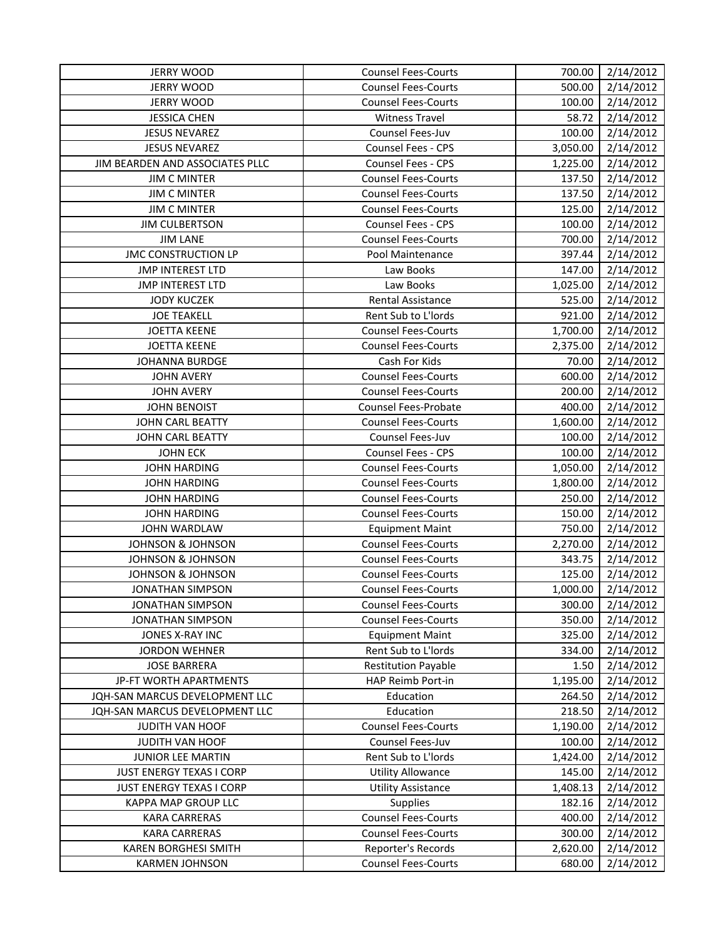| <b>JERRY WOOD</b>               | <b>Counsel Fees-Courts</b> | 700.00   | 2/14/2012 |
|---------------------------------|----------------------------|----------|-----------|
| <b>JERRY WOOD</b>               | <b>Counsel Fees-Courts</b> | 500.00   | 2/14/2012 |
| <b>JERRY WOOD</b>               | <b>Counsel Fees-Courts</b> | 100.00   | 2/14/2012 |
| <b>JESSICA CHEN</b>             | <b>Witness Travel</b>      | 58.72    | 2/14/2012 |
| <b>JESUS NEVAREZ</b>            | Counsel Fees-Juv           | 100.00   | 2/14/2012 |
| <b>JESUS NEVAREZ</b>            | Counsel Fees - CPS         | 3,050.00 | 2/14/2012 |
| JIM BEARDEN AND ASSOCIATES PLLC | Counsel Fees - CPS         | 1,225.00 | 2/14/2012 |
| <b>JIM C MINTER</b>             | <b>Counsel Fees-Courts</b> | 137.50   | 2/14/2012 |
| <b>JIM C MINTER</b>             | <b>Counsel Fees-Courts</b> | 137.50   | 2/14/2012 |
| <b>JIM C MINTER</b>             | <b>Counsel Fees-Courts</b> | 125.00   | 2/14/2012 |
| <b>JIM CULBERTSON</b>           | <b>Counsel Fees - CPS</b>  | 100.00   | 2/14/2012 |
| <b>JIM LANE</b>                 | <b>Counsel Fees-Courts</b> | 700.00   | 2/14/2012 |
| <b>JMC CONSTRUCTION LP</b>      | Pool Maintenance           | 397.44   | 2/14/2012 |
| <b>JMP INTEREST LTD</b>         | Law Books                  | 147.00   | 2/14/2012 |
| <b>JMP INTEREST LTD</b>         | Law Books                  | 1,025.00 | 2/14/2012 |
| <b>JODY KUCZEK</b>              | Rental Assistance          | 525.00   | 2/14/2012 |
| <b>JOE TEAKELL</b>              | Rent Sub to L'Iords        | 921.00   | 2/14/2012 |
| <b>JOETTA KEENE</b>             | <b>Counsel Fees-Courts</b> | 1,700.00 | 2/14/2012 |
| <b>JOETTA KEENE</b>             | <b>Counsel Fees-Courts</b> | 2,375.00 | 2/14/2012 |
| <b>JOHANNA BURDGE</b>           | Cash For Kids              | 70.00    | 2/14/2012 |
| <b>JOHN AVERY</b>               | <b>Counsel Fees-Courts</b> | 600.00   | 2/14/2012 |
| <b>JOHN AVERY</b>               | <b>Counsel Fees-Courts</b> | 200.00   | 2/14/2012 |
| <b>JOHN BENOIST</b>             | Counsel Fees-Probate       | 400.00   | 2/14/2012 |
| JOHN CARL BEATTY                | <b>Counsel Fees-Courts</b> | 1,600.00 | 2/14/2012 |
| JOHN CARL BEATTY                | Counsel Fees-Juv           | 100.00   | 2/14/2012 |
| <b>JOHN ECK</b>                 | <b>Counsel Fees - CPS</b>  | 100.00   | 2/14/2012 |
| <b>JOHN HARDING</b>             | <b>Counsel Fees-Courts</b> | 1,050.00 | 2/14/2012 |
| <b>JOHN HARDING</b>             | <b>Counsel Fees-Courts</b> | 1,800.00 | 2/14/2012 |
| <b>JOHN HARDING</b>             | <b>Counsel Fees-Courts</b> | 250.00   | 2/14/2012 |
| <b>JOHN HARDING</b>             | <b>Counsel Fees-Courts</b> | 150.00   | 2/14/2012 |
| JOHN WARDLAW                    | <b>Equipment Maint</b>     | 750.00   | 2/14/2012 |
| <b>JOHNSON &amp; JOHNSON</b>    | <b>Counsel Fees-Courts</b> | 2,270.00 | 2/14/2012 |
| <b>JOHNSON &amp; JOHNSON</b>    | <b>Counsel Fees-Courts</b> | 343.75   | 2/14/2012 |
| <b>JOHNSON &amp; JOHNSON</b>    | <b>Counsel Fees-Courts</b> | 125.00   | 2/14/2012 |
| <b>JONATHAN SIMPSON</b>         | <b>Counsel Fees-Courts</b> | 1,000.00 | 2/14/2012 |
| <b>JONATHAN SIMPSON</b>         | <b>Counsel Fees-Courts</b> | 300.00   | 2/14/2012 |
| <b>JONATHAN SIMPSON</b>         | <b>Counsel Fees-Courts</b> | 350.00   | 2/14/2012 |
| JONES X-RAY INC                 | <b>Equipment Maint</b>     | 325.00   | 2/14/2012 |
| <b>JORDON WEHNER</b>            | Rent Sub to L'Iords        | 334.00   | 2/14/2012 |
| <b>JOSE BARRERA</b>             | <b>Restitution Payable</b> | 1.50     | 2/14/2012 |
| JP-FT WORTH APARTMENTS          | HAP Reimb Port-in          | 1,195.00 | 2/14/2012 |
| JQH-SAN MARCUS DEVELOPMENT LLC  | Education                  | 264.50   | 2/14/2012 |
| JQH-SAN MARCUS DEVELOPMENT LLC  | Education                  | 218.50   | 2/14/2012 |
| JUDITH VAN HOOF                 | <b>Counsel Fees-Courts</b> | 1,190.00 | 2/14/2012 |
| JUDITH VAN HOOF                 | Counsel Fees-Juv           | 100.00   | 2/14/2012 |
| JUNIOR LEE MARTIN               | Rent Sub to L'Iords        | 1,424.00 | 2/14/2012 |
| <b>JUST ENERGY TEXAS I CORP</b> | <b>Utility Allowance</b>   | 145.00   | 2/14/2012 |
| <b>JUST ENERGY TEXAS I CORP</b> | <b>Utility Assistance</b>  | 1,408.13 | 2/14/2012 |
| KAPPA MAP GROUP LLC             | <b>Supplies</b>            | 182.16   | 2/14/2012 |
| <b>KARA CARRERAS</b>            | <b>Counsel Fees-Courts</b> | 400.00   | 2/14/2012 |
| <b>KARA CARRERAS</b>            | <b>Counsel Fees-Courts</b> | 300.00   | 2/14/2012 |
| <b>KAREN BORGHESI SMITH</b>     | Reporter's Records         | 2,620.00 | 2/14/2012 |
| <b>KARMEN JOHNSON</b>           | <b>Counsel Fees-Courts</b> | 680.00   | 2/14/2012 |
|                                 |                            |          |           |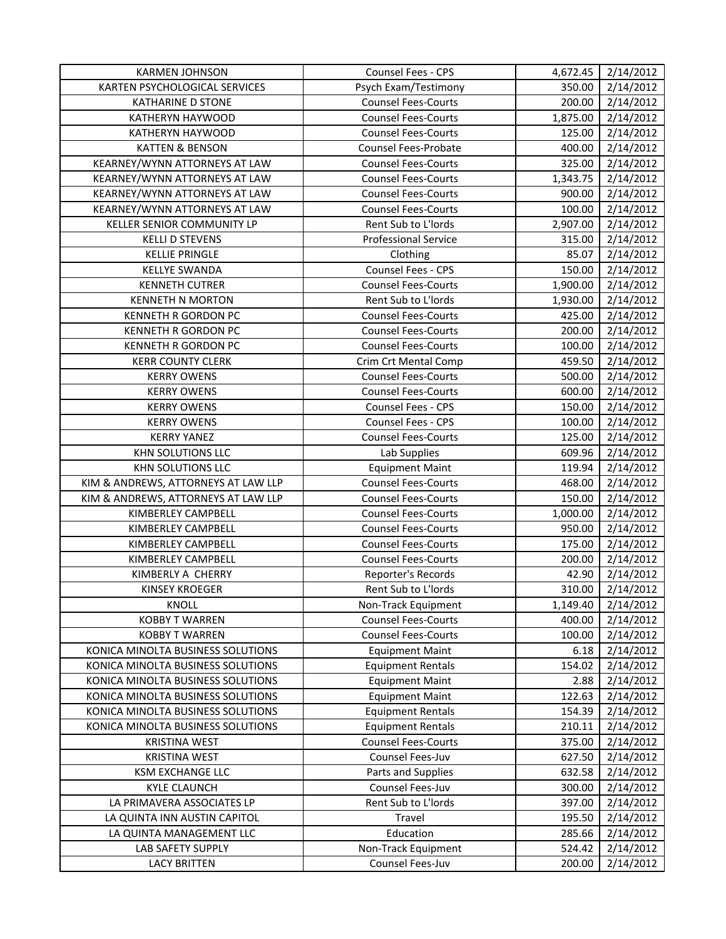| <b>KARMEN JOHNSON</b>               | Counsel Fees - CPS          | 4,672.45 | 2/14/2012 |
|-------------------------------------|-----------------------------|----------|-----------|
| KARTEN PSYCHOLOGICAL SERVICES       | Psych Exam/Testimony        | 350.00   | 2/14/2012 |
| <b>KATHARINE D STONE</b>            | <b>Counsel Fees-Courts</b>  | 200.00   | 2/14/2012 |
| KATHERYN HAYWOOD                    | <b>Counsel Fees-Courts</b>  | 1,875.00 | 2/14/2012 |
| KATHERYN HAYWOOD                    | <b>Counsel Fees-Courts</b>  | 125.00   | 2/14/2012 |
| <b>KATTEN &amp; BENSON</b>          | <b>Counsel Fees-Probate</b> | 400.00   | 2/14/2012 |
| KEARNEY/WYNN ATTORNEYS AT LAW       | <b>Counsel Fees-Courts</b>  | 325.00   | 2/14/2012 |
| KEARNEY/WYNN ATTORNEYS AT LAW       | <b>Counsel Fees-Courts</b>  | 1,343.75 | 2/14/2012 |
| KEARNEY/WYNN ATTORNEYS AT LAW       | <b>Counsel Fees-Courts</b>  | 900.00   | 2/14/2012 |
| KEARNEY/WYNN ATTORNEYS AT LAW       | <b>Counsel Fees-Courts</b>  | 100.00   | 2/14/2012 |
| KELLER SENIOR COMMUNITY LP          | Rent Sub to L'Iords         | 2,907.00 | 2/14/2012 |
| <b>KELLI D STEVENS</b>              | <b>Professional Service</b> | 315.00   | 2/14/2012 |
| <b>KELLIE PRINGLE</b>               | Clothing                    | 85.07    | 2/14/2012 |
| <b>KELLYE SWANDA</b>                | Counsel Fees - CPS          | 150.00   | 2/14/2012 |
| <b>KENNETH CUTRER</b>               | <b>Counsel Fees-Courts</b>  | 1,900.00 | 2/14/2012 |
| <b>KENNETH N MORTON</b>             | Rent Sub to L'Iords         | 1,930.00 | 2/14/2012 |
| KENNETH R GORDON PC                 | <b>Counsel Fees-Courts</b>  | 425.00   | 2/14/2012 |
| KENNETH R GORDON PC                 | <b>Counsel Fees-Courts</b>  | 200.00   | 2/14/2012 |
| KENNETH R GORDON PC                 | <b>Counsel Fees-Courts</b>  | 100.00   | 2/14/2012 |
| <b>KERR COUNTY CLERK</b>            | Crim Crt Mental Comp        | 459.50   | 2/14/2012 |
| <b>KERRY OWENS</b>                  | <b>Counsel Fees-Courts</b>  | 500.00   | 2/14/2012 |
| <b>KERRY OWENS</b>                  | <b>Counsel Fees-Courts</b>  | 600.00   | 2/14/2012 |
| <b>KERRY OWENS</b>                  | Counsel Fees - CPS          | 150.00   | 2/14/2012 |
| <b>KERRY OWENS</b>                  | Counsel Fees - CPS          | 100.00   | 2/14/2012 |
| <b>KERRY YANEZ</b>                  | <b>Counsel Fees-Courts</b>  | 125.00   | 2/14/2012 |
| KHN SOLUTIONS LLC                   | Lab Supplies                | 609.96   | 2/14/2012 |
| KHN SOLUTIONS LLC                   | <b>Equipment Maint</b>      | 119.94   | 2/14/2012 |
| KIM & ANDREWS, ATTORNEYS AT LAW LLP | <b>Counsel Fees-Courts</b>  | 468.00   | 2/14/2012 |
| KIM & ANDREWS, ATTORNEYS AT LAW LLP | <b>Counsel Fees-Courts</b>  | 150.00   | 2/14/2012 |
| KIMBERLEY CAMPBELL                  | <b>Counsel Fees-Courts</b>  | 1,000.00 | 2/14/2012 |
| KIMBERLEY CAMPBELL                  | <b>Counsel Fees-Courts</b>  | 950.00   | 2/14/2012 |
| KIMBERLEY CAMPBELL                  | <b>Counsel Fees-Courts</b>  | 175.00   | 2/14/2012 |
| <b>KIMBERLEY CAMPBELL</b>           | <b>Counsel Fees-Courts</b>  | 200.00   | 2/14/2012 |
| KIMBERLY A CHERRY                   | Reporter's Records          | 42.90    | 2/14/2012 |
| <b>KINSEY KROEGER</b>               | Rent Sub to L'Iords         | 310.00   | 2/14/2012 |
| KNOLL                               | Non-Track Equipment         | 1,149.40 | 2/14/2012 |
| <b>KOBBY T WARREN</b>               | <b>Counsel Fees-Courts</b>  | 400.00   | 2/14/2012 |
| <b>KOBBY T WARREN</b>               | <b>Counsel Fees-Courts</b>  | 100.00   | 2/14/2012 |
| KONICA MINOLTA BUSINESS SOLUTIONS   | <b>Equipment Maint</b>      | 6.18     | 2/14/2012 |
| KONICA MINOLTA BUSINESS SOLUTIONS   | <b>Equipment Rentals</b>    | 154.02   | 2/14/2012 |
| KONICA MINOLTA BUSINESS SOLUTIONS   | <b>Equipment Maint</b>      | 2.88     | 2/14/2012 |
| KONICA MINOLTA BUSINESS SOLUTIONS   | <b>Equipment Maint</b>      | 122.63   | 2/14/2012 |
| KONICA MINOLTA BUSINESS SOLUTIONS   | <b>Equipment Rentals</b>    | 154.39   | 2/14/2012 |
| KONICA MINOLTA BUSINESS SOLUTIONS   | <b>Equipment Rentals</b>    | 210.11   | 2/14/2012 |
| <b>KRISTINA WEST</b>                | <b>Counsel Fees-Courts</b>  | 375.00   | 2/14/2012 |
| <b>KRISTINA WEST</b>                | Counsel Fees-Juv            | 627.50   | 2/14/2012 |
| <b>KSM EXCHANGE LLC</b>             | Parts and Supplies          | 632.58   | 2/14/2012 |
| <b>KYLE CLAUNCH</b>                 | Counsel Fees-Juv            | 300.00   | 2/14/2012 |
| LA PRIMAVERA ASSOCIATES LP          | Rent Sub to L'Iords         | 397.00   | 2/14/2012 |
| LA QUINTA INN AUSTIN CAPITOL        | Travel                      | 195.50   | 2/14/2012 |
| LA QUINTA MANAGEMENT LLC            | Education                   | 285.66   | 2/14/2012 |
| LAB SAFETY SUPPLY                   | Non-Track Equipment         | 524.42   | 2/14/2012 |
| <b>LACY BRITTEN</b>                 | Counsel Fees-Juv            | 200.00   | 2/14/2012 |
|                                     |                             |          |           |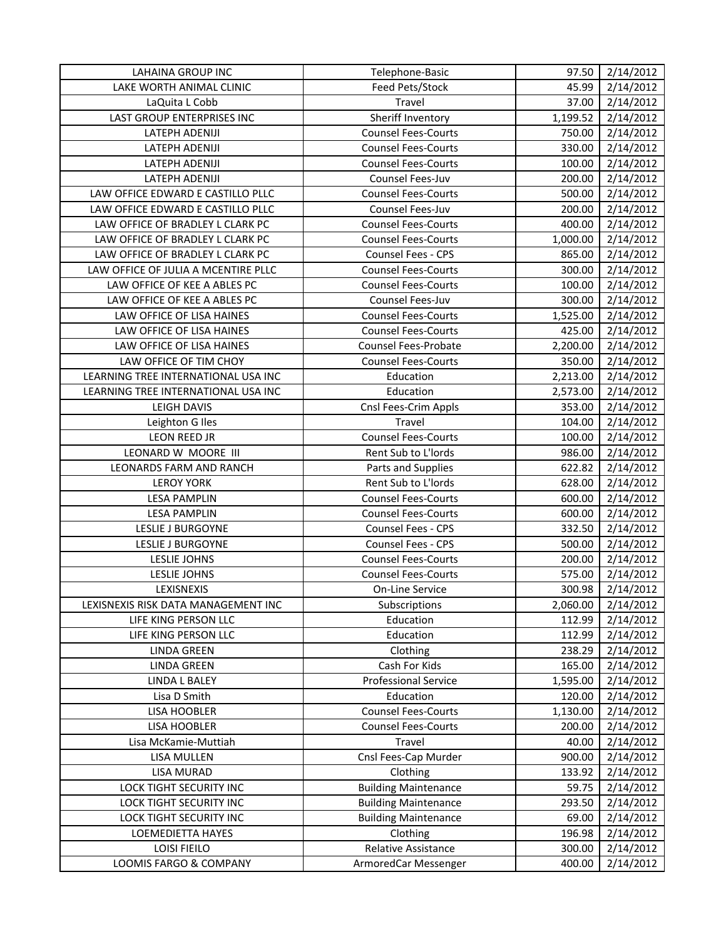| 2/14/2012<br>LAKE WORTH ANIMAL CLINIC<br>Feed Pets/Stock<br>45.99<br>Travel<br>2/14/2012<br>LaQuita L Cobb<br>37.00<br>Sheriff Inventory<br>LAST GROUP ENTERPRISES INC<br>1,199.52<br>2/14/2012<br>2/14/2012<br>LATEPH ADENIJI<br><b>Counsel Fees-Courts</b><br>750.00<br><b>LATEPH ADENIJI</b><br><b>Counsel Fees-Courts</b><br>2/14/2012<br>330.00 |
|------------------------------------------------------------------------------------------------------------------------------------------------------------------------------------------------------------------------------------------------------------------------------------------------------------------------------------------------------|
|                                                                                                                                                                                                                                                                                                                                                      |
|                                                                                                                                                                                                                                                                                                                                                      |
|                                                                                                                                                                                                                                                                                                                                                      |
|                                                                                                                                                                                                                                                                                                                                                      |
|                                                                                                                                                                                                                                                                                                                                                      |
| <b>Counsel Fees-Courts</b><br>2/14/2012<br>LATEPH ADENIJI<br>100.00                                                                                                                                                                                                                                                                                  |
| LATEPH ADENIJI<br>Counsel Fees-Juv<br>200.00<br>2/14/2012                                                                                                                                                                                                                                                                                            |
| LAW OFFICE EDWARD E CASTILLO PLLC<br><b>Counsel Fees-Courts</b><br>500.00<br>2/14/2012                                                                                                                                                                                                                                                               |
| LAW OFFICE EDWARD E CASTILLO PLLC<br>200.00<br>2/14/2012<br>Counsel Fees-Juv                                                                                                                                                                                                                                                                         |
| LAW OFFICE OF BRADLEY L CLARK PC<br><b>Counsel Fees-Courts</b><br>400.00<br>2/14/2012                                                                                                                                                                                                                                                                |
| 2/14/2012<br>LAW OFFICE OF BRADLEY L CLARK PC<br><b>Counsel Fees-Courts</b><br>1,000.00                                                                                                                                                                                                                                                              |
| 2/14/2012<br>LAW OFFICE OF BRADLEY L CLARK PC<br><b>Counsel Fees - CPS</b><br>865.00                                                                                                                                                                                                                                                                 |
| LAW OFFICE OF JULIA A MCENTIRE PLLC<br>2/14/2012<br><b>Counsel Fees-Courts</b><br>300.00                                                                                                                                                                                                                                                             |
| LAW OFFICE OF KEE A ABLES PC<br><b>Counsel Fees-Courts</b><br>100.00<br>2/14/2012                                                                                                                                                                                                                                                                    |
| LAW OFFICE OF KEE A ABLES PC<br>Counsel Fees-Juv<br>300.00<br>2/14/2012                                                                                                                                                                                                                                                                              |
| LAW OFFICE OF LISA HAINES<br><b>Counsel Fees-Courts</b><br>1,525.00<br>2/14/2012                                                                                                                                                                                                                                                                     |
| LAW OFFICE OF LISA HAINES<br><b>Counsel Fees-Courts</b><br>425.00<br>2/14/2012                                                                                                                                                                                                                                                                       |
| LAW OFFICE OF LISA HAINES<br>2,200.00<br>2/14/2012<br>Counsel Fees-Probate                                                                                                                                                                                                                                                                           |
| <b>Counsel Fees-Courts</b><br>2/14/2012<br>LAW OFFICE OF TIM CHOY<br>350.00                                                                                                                                                                                                                                                                          |
| LEARNING TREE INTERNATIONAL USA INC<br>2/14/2012<br>Education<br>2,213.00                                                                                                                                                                                                                                                                            |
| 2/14/2012<br>LEARNING TREE INTERNATIONAL USA INC<br>Education<br>2,573.00                                                                                                                                                                                                                                                                            |
| <b>LEIGH DAVIS</b><br>Cnsl Fees-Crim Appls<br>353.00<br>2/14/2012                                                                                                                                                                                                                                                                                    |
| Travel<br>104.00<br>2/14/2012<br>Leighton G Iles                                                                                                                                                                                                                                                                                                     |
| LEON REED JR<br><b>Counsel Fees-Courts</b><br>100.00<br>2/14/2012                                                                                                                                                                                                                                                                                    |
| 986.00<br>2/14/2012<br>LEONARD W MOORE III<br>Rent Sub to L'Iords                                                                                                                                                                                                                                                                                    |
| LEONARDS FARM AND RANCH<br>2/14/2012<br>Parts and Supplies<br>622.82                                                                                                                                                                                                                                                                                 |
| Rent Sub to L'Iords<br>2/14/2012<br><b>LEROY YORK</b><br>628.00                                                                                                                                                                                                                                                                                      |
| 2/14/2012<br><b>LESA PAMPLIN</b><br><b>Counsel Fees-Courts</b><br>600.00                                                                                                                                                                                                                                                                             |
| 2/14/2012<br><b>LESA PAMPLIN</b><br><b>Counsel Fees-Courts</b><br>600.00                                                                                                                                                                                                                                                                             |
| Counsel Fees - CPS<br>332.50<br>2/14/2012<br>LESLIE J BURGOYNE                                                                                                                                                                                                                                                                                       |
| Counsel Fees - CPS<br>2/14/2012<br>LESLIE J BURGOYNE<br>500.00                                                                                                                                                                                                                                                                                       |
| 200.00<br><b>LESLIE JOHNS</b><br><b>Counsel Fees-Courts</b><br>2/14/2012                                                                                                                                                                                                                                                                             |
| 575.00<br>2/14/2012<br><b>LESLIE JOHNS</b><br><b>Counsel Fees-Courts</b>                                                                                                                                                                                                                                                                             |
| 2/14/2012<br>300.98<br>LEXISNEXIS<br><b>On-Line Service</b>                                                                                                                                                                                                                                                                                          |
| 2/14/2012<br>LEXISNEXIS RISK DATA MANAGEMENT INC<br>Subscriptions<br>2,060.00                                                                                                                                                                                                                                                                        |
| Education<br>LIFE KING PERSON LLC<br>112.99<br>2/14/2012                                                                                                                                                                                                                                                                                             |
| Education<br>LIFE KING PERSON LLC<br>112.99<br>2/14/2012                                                                                                                                                                                                                                                                                             |
| <b>LINDA GREEN</b><br>Clothing<br>238.29<br>2/14/2012                                                                                                                                                                                                                                                                                                |
| Cash For Kids<br>165.00<br><b>LINDA GREEN</b><br>2/14/2012                                                                                                                                                                                                                                                                                           |
| <b>Professional Service</b><br><b>LINDA L BALEY</b><br>1,595.00<br>2/14/2012                                                                                                                                                                                                                                                                         |
| Education<br>Lisa D Smith<br>120.00<br>2/14/2012                                                                                                                                                                                                                                                                                                     |
| <b>Counsel Fees-Courts</b><br>2/14/2012<br>LISA HOOBLER<br>1,130.00                                                                                                                                                                                                                                                                                  |
| LISA HOOBLER<br><b>Counsel Fees-Courts</b><br>200.00<br>2/14/2012                                                                                                                                                                                                                                                                                    |
| Lisa McKamie-Muttiah<br>Travel<br>40.00<br>2/14/2012                                                                                                                                                                                                                                                                                                 |
| LISA MULLEN<br>Cnsl Fees-Cap Murder<br>900.00<br>2/14/2012                                                                                                                                                                                                                                                                                           |
| <b>LISA MURAD</b><br>133.92<br>2/14/2012<br>Clothing                                                                                                                                                                                                                                                                                                 |
| <b>Building Maintenance</b><br>2/14/2012<br>LOCK TIGHT SECURITY INC<br>59.75                                                                                                                                                                                                                                                                         |
| <b>Building Maintenance</b><br>293.50<br>LOCK TIGHT SECURITY INC<br>2/14/2012                                                                                                                                                                                                                                                                        |
| <b>Building Maintenance</b><br>2/14/2012<br>LOCK TIGHT SECURITY INC<br>69.00                                                                                                                                                                                                                                                                         |
| Clothing<br>LOEMEDIETTA HAYES<br>196.98<br>2/14/2012                                                                                                                                                                                                                                                                                                 |
| LOISI FIEILO<br>Relative Assistance<br>300.00<br>2/14/2012                                                                                                                                                                                                                                                                                           |
| <b>LOOMIS FARGO &amp; COMPANY</b><br>ArmoredCar Messenger<br>400.00<br>2/14/2012                                                                                                                                                                                                                                                                     |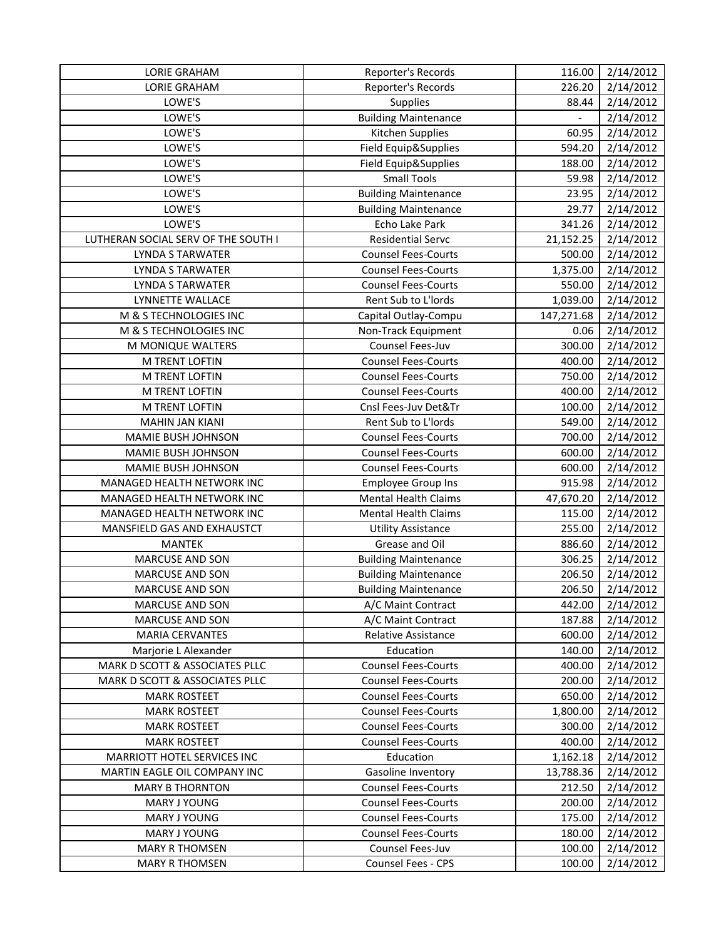| <b>LORIE GRAHAM</b>                 | Reporter's Records          | 116.00     | 2/14/2012 |
|-------------------------------------|-----------------------------|------------|-----------|
| <b>LORIE GRAHAM</b>                 | Reporter's Records          | 226.20     | 2/14/2012 |
| LOWE'S                              | Supplies                    | 88.44      | 2/14/2012 |
| LOWE'S                              | <b>Building Maintenance</b> |            | 2/14/2012 |
| LOWE'S                              | Kitchen Supplies            | 60.95      | 2/14/2012 |
| LOWE'S                              | Field Equip&Supplies        | 594.20     | 2/14/2012 |
| LOWE'S                              | Field Equip&Supplies        | 188.00     | 2/14/2012 |
| LOWE'S                              | <b>Small Tools</b>          | 59.98      | 2/14/2012 |
| LOWE'S                              | <b>Building Maintenance</b> | 23.95      | 2/14/2012 |
| LOWE'S                              | <b>Building Maintenance</b> | 29.77      | 2/14/2012 |
| LOWE'S                              | Echo Lake Park              | 341.26     | 2/14/2012 |
| LUTHERAN SOCIAL SERV OF THE SOUTH I | <b>Residential Servc</b>    | 21,152.25  | 2/14/2012 |
| <b>LYNDA S TARWATER</b>             | <b>Counsel Fees-Courts</b>  | 500.00     | 2/14/2012 |
| <b>LYNDA S TARWATER</b>             | <b>Counsel Fees-Courts</b>  | 1,375.00   | 2/14/2012 |
| <b>LYNDA S TARWATER</b>             | <b>Counsel Fees-Courts</b>  | 550.00     | 2/14/2012 |
| LYNNETTE WALLACE                    | Rent Sub to L'Iords         | 1,039.00   | 2/14/2012 |
| M & S TECHNOLOGIES INC              | Capital Outlay-Compu        | 147,271.68 | 2/14/2012 |
| M & S TECHNOLOGIES INC              | Non-Track Equipment         | 0.06       | 2/14/2012 |
| M MONIQUE WALTERS                   | Counsel Fees-Juv            | 300.00     | 2/14/2012 |
| M TRENT LOFTIN                      | <b>Counsel Fees-Courts</b>  | 400.00     | 2/14/2012 |
| M TRENT LOFTIN                      | <b>Counsel Fees-Courts</b>  | 750.00     | 2/14/2012 |
| <b>M TRENT LOFTIN</b>               | <b>Counsel Fees-Courts</b>  | 400.00     | 2/14/2012 |
| M TRENT LOFTIN                      | Cnsl Fees-Juv Det&Tr        | 100.00     | 2/14/2012 |
| <b>MAHIN JAN KIANI</b>              | Rent Sub to L'Iords         | 549.00     | 2/14/2012 |
| MAMIE BUSH JOHNSON                  | <b>Counsel Fees-Courts</b>  | 700.00     | 2/14/2012 |
| MAMIE BUSH JOHNSON                  | <b>Counsel Fees-Courts</b>  | 600.00     | 2/14/2012 |
| MAMIE BUSH JOHNSON                  | <b>Counsel Fees-Courts</b>  | 600.00     | 2/14/2012 |
| MANAGED HEALTH NETWORK INC          | <b>Employee Group Ins</b>   | 915.98     | 2/14/2012 |
| MANAGED HEALTH NETWORK INC          | <b>Mental Health Claims</b> | 47,670.20  | 2/14/2012 |
| MANAGED HEALTH NETWORK INC          | <b>Mental Health Claims</b> | 115.00     | 2/14/2012 |
| MANSFIELD GAS AND EXHAUSTCT         | <b>Utility Assistance</b>   | 255.00     | 2/14/2012 |
| <b>MANTEK</b>                       | Grease and Oil              | 886.60     | 2/14/2012 |
| <b>MARCUSE AND SON</b>              | <b>Building Maintenance</b> | 306.25     | 2/14/2012 |
| <b>MARCUSE AND SON</b>              | <b>Building Maintenance</b> | 206.50     | 2/14/2012 |
| <b>MARCUSE AND SON</b>              | <b>Building Maintenance</b> | 206.50     | 2/14/2012 |
| <b>MARCUSE AND SON</b>              | A/C Maint Contract          | 442.00     | 2/14/2012 |
| <b>MARCUSE AND SON</b>              | A/C Maint Contract          | 187.88     | 2/14/2012 |
| <b>MARIA CERVANTES</b>              | Relative Assistance         | 600.00     | 2/14/2012 |
| Marjorie L Alexander                | Education                   | 140.00     | 2/14/2012 |
| MARK D SCOTT & ASSOCIATES PLLC      | <b>Counsel Fees-Courts</b>  | 400.00     | 2/14/2012 |
| MARK D SCOTT & ASSOCIATES PLLC      | <b>Counsel Fees-Courts</b>  | 200.00     | 2/14/2012 |
| <b>MARK ROSTEET</b>                 | <b>Counsel Fees-Courts</b>  | 650.00     | 2/14/2012 |
| <b>MARK ROSTEET</b>                 | <b>Counsel Fees-Courts</b>  | 1,800.00   | 2/14/2012 |
| <b>MARK ROSTEET</b>                 | <b>Counsel Fees-Courts</b>  | 300.00     | 2/14/2012 |
| <b>MARK ROSTEET</b>                 | <b>Counsel Fees-Courts</b>  | 400.00     | 2/14/2012 |
| MARRIOTT HOTEL SERVICES INC         | Education                   | 1,162.18   | 2/14/2012 |
| MARTIN EAGLE OIL COMPANY INC        | Gasoline Inventory          | 13,788.36  | 2/14/2012 |
| <b>MARY B THORNTON</b>              | <b>Counsel Fees-Courts</b>  | 212.50     | 2/14/2012 |
| MARY J YOUNG                        | <b>Counsel Fees-Courts</b>  | 200.00     | 2/14/2012 |
| MARY J YOUNG                        | <b>Counsel Fees-Courts</b>  | 175.00     | 2/14/2012 |
| MARY J YOUNG                        | <b>Counsel Fees-Courts</b>  | 180.00     | 2/14/2012 |
| <b>MARY R THOMSEN</b>               | Counsel Fees-Juv            | 100.00     | 2/14/2012 |
| <b>MARY R THOMSEN</b>               | Counsel Fees - CPS          | 100.00     | 2/14/2012 |
|                                     |                             |            |           |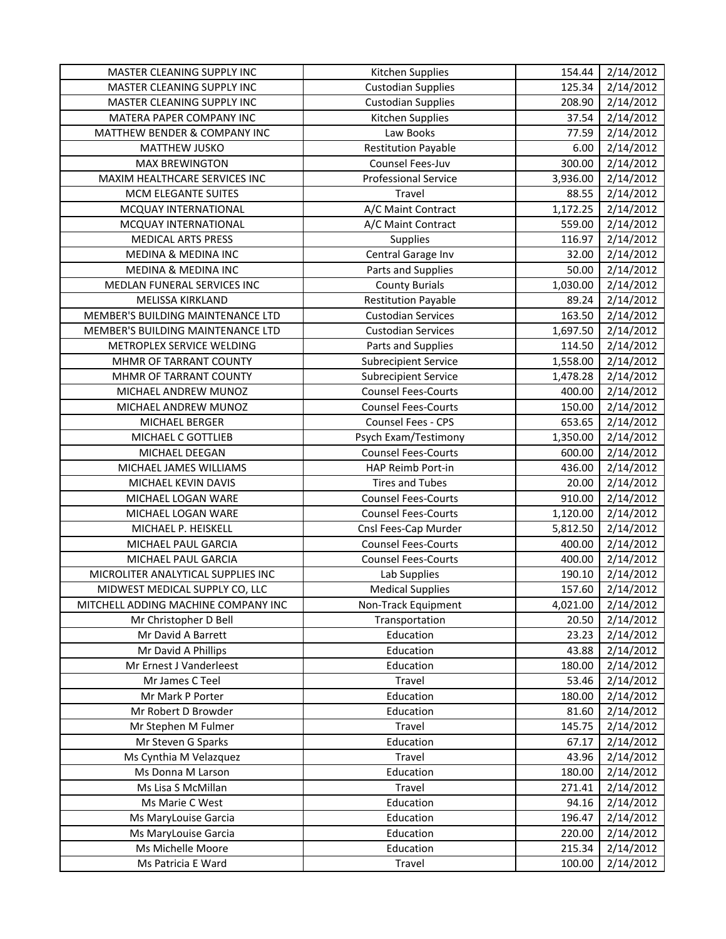| MASTER CLEANING SUPPLY INC          | Kitchen Supplies            | 154.44   | 2/14/2012 |
|-------------------------------------|-----------------------------|----------|-----------|
| MASTER CLEANING SUPPLY INC          | <b>Custodian Supplies</b>   | 125.34   | 2/14/2012 |
| MASTER CLEANING SUPPLY INC          | <b>Custodian Supplies</b>   | 208.90   | 2/14/2012 |
| MATERA PAPER COMPANY INC            | Kitchen Supplies            | 37.54    | 2/14/2012 |
| MATTHEW BENDER & COMPANY INC        | Law Books                   | 77.59    | 2/14/2012 |
| MATTHEW JUSKO                       | <b>Restitution Payable</b>  | 6.00     | 2/14/2012 |
| <b>MAX BREWINGTON</b>               | Counsel Fees-Juv            | 300.00   | 2/14/2012 |
| MAXIM HEALTHCARE SERVICES INC       | <b>Professional Service</b> | 3,936.00 | 2/14/2012 |
| MCM ELEGANTE SUITES                 | Travel                      | 88.55    | 2/14/2012 |
| MCQUAY INTERNATIONAL                | A/C Maint Contract          | 1,172.25 | 2/14/2012 |
| MCQUAY INTERNATIONAL                | A/C Maint Contract          | 559.00   | 2/14/2012 |
| <b>MEDICAL ARTS PRESS</b>           | <b>Supplies</b>             | 116.97   | 2/14/2012 |
| <b>MEDINA &amp; MEDINA INC</b>      | Central Garage Inv          | 32.00    | 2/14/2012 |
| MEDINA & MEDINA INC                 | Parts and Supplies          | 50.00    | 2/14/2012 |
| MEDLAN FUNERAL SERVICES INC         | <b>County Burials</b>       | 1,030.00 | 2/14/2012 |
| <b>MELISSA KIRKLAND</b>             | <b>Restitution Payable</b>  | 89.24    | 2/14/2012 |
| MEMBER'S BUILDING MAINTENANCE LTD   | <b>Custodian Services</b>   | 163.50   | 2/14/2012 |
| MEMBER'S BUILDING MAINTENANCE LTD   | <b>Custodian Services</b>   | 1,697.50 | 2/14/2012 |
| METROPLEX SERVICE WELDING           | Parts and Supplies          | 114.50   | 2/14/2012 |
| MHMR OF TARRANT COUNTY              | <b>Subrecipient Service</b> | 1,558.00 | 2/14/2012 |
| MHMR OF TARRANT COUNTY              | <b>Subrecipient Service</b> | 1,478.28 | 2/14/2012 |
| MICHAEL ANDREW MUNOZ                | <b>Counsel Fees-Courts</b>  | 400.00   | 2/14/2012 |
| MICHAEL ANDREW MUNOZ                | <b>Counsel Fees-Courts</b>  | 150.00   | 2/14/2012 |
| MICHAEL BERGER                      | Counsel Fees - CPS          | 653.65   | 2/14/2012 |
| MICHAEL C GOTTLIEB                  | Psych Exam/Testimony        | 1,350.00 | 2/14/2012 |
| MICHAEL DEEGAN                      | <b>Counsel Fees-Courts</b>  | 600.00   | 2/14/2012 |
| MICHAEL JAMES WILLIAMS              | HAP Reimb Port-in           | 436.00   | 2/14/2012 |
| MICHAEL KEVIN DAVIS                 | <b>Tires and Tubes</b>      | 20.00    | 2/14/2012 |
| MICHAEL LOGAN WARE                  | <b>Counsel Fees-Courts</b>  | 910.00   | 2/14/2012 |
| MICHAEL LOGAN WARE                  | <b>Counsel Fees-Courts</b>  | 1,120.00 | 2/14/2012 |
| MICHAEL P. HEISKELL                 | Cnsl Fees-Cap Murder        | 5,812.50 | 2/14/2012 |
| MICHAEL PAUL GARCIA                 | <b>Counsel Fees-Courts</b>  | 400.00   | 2/14/2012 |
| MICHAEL PAUL GARCIA                 | <b>Counsel Fees-Courts</b>  | 400.00   | 2/14/2012 |
| MICROLITER ANALYTICAL SUPPLIES INC  | Lab Supplies                | 190.10   | 2/14/2012 |
| MIDWEST MEDICAL SUPPLY CO, LLC      | <b>Medical Supplies</b>     | 157.60   | 2/14/2012 |
| MITCHELL ADDING MACHINE COMPANY INC | Non-Track Equipment         | 4,021.00 | 2/14/2012 |
| Mr Christopher D Bell               | Transportation              | 20.50    | 2/14/2012 |
| Mr David A Barrett                  | Education                   | 23.23    | 2/14/2012 |
| Mr David A Phillips                 | Education                   | 43.88    | 2/14/2012 |
| Mr Ernest J Vanderleest             | Education                   | 180.00   | 2/14/2012 |
| Mr James C Teel                     | Travel                      | 53.46    | 2/14/2012 |
| Mr Mark P Porter                    | Education                   | 180.00   | 2/14/2012 |
| Mr Robert D Browder                 | Education                   | 81.60    | 2/14/2012 |
| Mr Stephen M Fulmer                 | Travel                      | 145.75   | 2/14/2012 |
| Mr Steven G Sparks                  | Education                   | 67.17    | 2/14/2012 |
| Ms Cynthia M Velazquez              | Travel                      | 43.96    | 2/14/2012 |
| Ms Donna M Larson                   | Education                   | 180.00   | 2/14/2012 |
| Ms Lisa S McMillan                  | Travel                      | 271.41   | 2/14/2012 |
| Ms Marie C West                     | Education                   | 94.16    | 2/14/2012 |
| Ms MaryLouise Garcia                | Education                   | 196.47   | 2/14/2012 |
| Ms MaryLouise Garcia                | Education                   | 220.00   | 2/14/2012 |
| Ms Michelle Moore                   | Education                   | 215.34   | 2/14/2012 |
| Ms Patricia E Ward                  | Travel                      | 100.00   | 2/14/2012 |
|                                     |                             |          |           |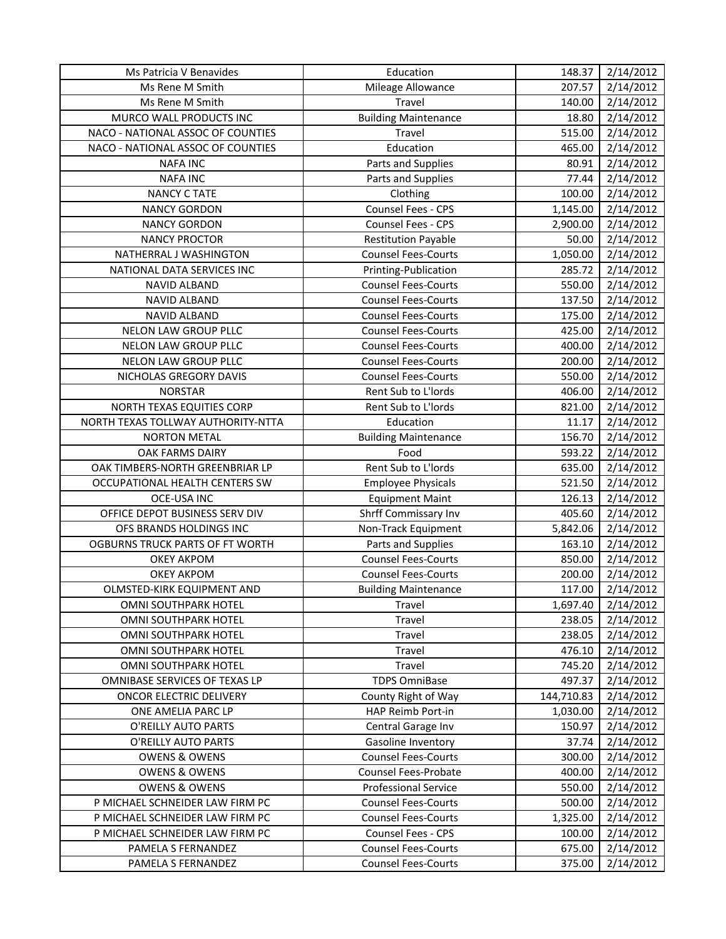| Ms Patricia V Benavides                | Education                   | 148.37     | 2/14/2012 |
|----------------------------------------|-----------------------------|------------|-----------|
| Ms Rene M Smith                        | Mileage Allowance           | 207.57     | 2/14/2012 |
| Ms Rene M Smith                        | Travel                      | 140.00     | 2/14/2012 |
| MURCO WALL PRODUCTS INC                | <b>Building Maintenance</b> | 18.80      | 2/14/2012 |
| NACO - NATIONAL ASSOC OF COUNTIES      | Travel                      | 515.00     | 2/14/2012 |
| NACO - NATIONAL ASSOC OF COUNTIES      | Education                   | 465.00     | 2/14/2012 |
| <b>NAFA INC</b>                        | Parts and Supplies          | 80.91      | 2/14/2012 |
| <b>NAFA INC</b>                        | Parts and Supplies          | 77.44      | 2/14/2012 |
| <b>NANCY C TATE</b>                    | Clothing                    | 100.00     | 2/14/2012 |
| <b>NANCY GORDON</b>                    | Counsel Fees - CPS          | 1,145.00   | 2/14/2012 |
| <b>NANCY GORDON</b>                    | Counsel Fees - CPS          | 2,900.00   | 2/14/2012 |
| <b>NANCY PROCTOR</b>                   | <b>Restitution Payable</b>  | 50.00      | 2/14/2012 |
| NATHERRAL J WASHINGTON                 | <b>Counsel Fees-Courts</b>  | 1,050.00   | 2/14/2012 |
| NATIONAL DATA SERVICES INC             | Printing-Publication        | 285.72     | 2/14/2012 |
| NAVID ALBAND                           | <b>Counsel Fees-Courts</b>  | 550.00     | 2/14/2012 |
| NAVID ALBAND                           | <b>Counsel Fees-Courts</b>  | 137.50     | 2/14/2012 |
| NAVID ALBAND                           | <b>Counsel Fees-Courts</b>  | 175.00     | 2/14/2012 |
| NELON LAW GROUP PLLC                   | <b>Counsel Fees-Courts</b>  | 425.00     | 2/14/2012 |
| NELON LAW GROUP PLLC                   | <b>Counsel Fees-Courts</b>  | 400.00     | 2/14/2012 |
| NELON LAW GROUP PLLC                   | <b>Counsel Fees-Courts</b>  | 200.00     | 2/14/2012 |
| NICHOLAS GREGORY DAVIS                 | <b>Counsel Fees-Courts</b>  | 550.00     | 2/14/2012 |
| <b>NORSTAR</b>                         | Rent Sub to L'Iords         | 406.00     | 2/14/2012 |
| NORTH TEXAS EQUITIES CORP              | Rent Sub to L'Iords         | 821.00     | 2/14/2012 |
| NORTH TEXAS TOLLWAY AUTHORITY-NTTA     | Education                   | 11.17      | 2/14/2012 |
| <b>NORTON METAL</b>                    | <b>Building Maintenance</b> | 156.70     | 2/14/2012 |
| OAK FARMS DAIRY                        | Food                        | 593.22     | 2/14/2012 |
| OAK TIMBERS-NORTH GREENBRIAR LP        | Rent Sub to L'Iords         | 635.00     | 2/14/2012 |
| OCCUPATIONAL HEALTH CENTERS SW         | <b>Employee Physicals</b>   | 521.50     | 2/14/2012 |
| <b>OCE-USA INC</b>                     | <b>Equipment Maint</b>      | 126.13     | 2/14/2012 |
| OFFICE DEPOT BUSINESS SERV DIV         | Shrff Commissary Inv        | 405.60     | 2/14/2012 |
| OFS BRANDS HOLDINGS INC                | Non-Track Equipment         | 5,842.06   | 2/14/2012 |
| <b>OGBURNS TRUCK PARTS OF FT WORTH</b> | Parts and Supplies          | 163.10     | 2/14/2012 |
| <b>OKEY AKPOM</b>                      | <b>Counsel Fees-Courts</b>  | 850.00     | 2/14/2012 |
| <b>OKEY AKPOM</b>                      | <b>Counsel Fees-Courts</b>  | 200.00     | 2/14/2012 |
| OLMSTED-KIRK EQUIPMENT AND             | <b>Building Maintenance</b> | 117.00     | 2/14/2012 |
| <b>OMNI SOUTHPARK HOTEL</b>            | Travel                      | 1,697.40   | 2/14/2012 |
| <b>OMNI SOUTHPARK HOTEL</b>            | Travel                      | 238.05     | 2/14/2012 |
| OMNI SOUTHPARK HOTEL                   | Travel                      | 238.05     | 2/14/2012 |
| OMNI SOUTHPARK HOTEL                   | Travel                      | 476.10     | 2/14/2012 |
| OMNI SOUTHPARK HOTEL                   | Travel                      | 745.20     | 2/14/2012 |
| OMNIBASE SERVICES OF TEXAS LP          | <b>TDPS OmniBase</b>        | 497.37     | 2/14/2012 |
| ONCOR ELECTRIC DELIVERY                | County Right of Way         | 144,710.83 | 2/14/2012 |
| ONE AMELIA PARC LP                     | HAP Reimb Port-in           | 1,030.00   | 2/14/2012 |
| O'REILLY AUTO PARTS                    | Central Garage Inv          | 150.97     | 2/14/2012 |
| O'REILLY AUTO PARTS                    | Gasoline Inventory          | 37.74      | 2/14/2012 |
| <b>OWENS &amp; OWENS</b>               | <b>Counsel Fees-Courts</b>  | 300.00     | 2/14/2012 |
| <b>OWENS &amp; OWENS</b>               | <b>Counsel Fees-Probate</b> | 400.00     | 2/14/2012 |
| <b>OWENS &amp; OWENS</b>               | <b>Professional Service</b> | 550.00     | 2/14/2012 |
| P MICHAEL SCHNEIDER LAW FIRM PC        | <b>Counsel Fees-Courts</b>  | 500.00     | 2/14/2012 |
| P MICHAEL SCHNEIDER LAW FIRM PC        | <b>Counsel Fees-Courts</b>  | 1,325.00   | 2/14/2012 |
| P MICHAEL SCHNEIDER LAW FIRM PC        | Counsel Fees - CPS          | 100.00     | 2/14/2012 |
| PAMELA S FERNANDEZ                     | <b>Counsel Fees-Courts</b>  | 675.00     | 2/14/2012 |
| PAMELA S FERNANDEZ                     | <b>Counsel Fees-Courts</b>  | 375.00     | 2/14/2012 |
|                                        |                             |            |           |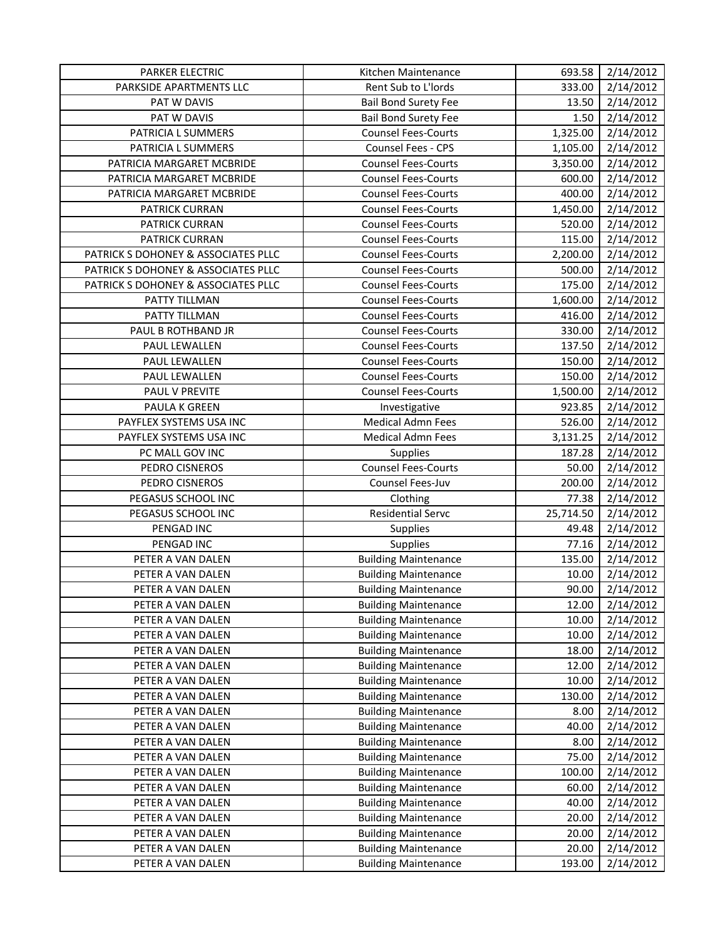| PARKER ELECTRIC                     | Kitchen Maintenance         | 693.58    | 2/14/2012 |
|-------------------------------------|-----------------------------|-----------|-----------|
| PARKSIDE APARTMENTS LLC             | Rent Sub to L'Iords         | 333.00    | 2/14/2012 |
| PAT W DAVIS                         | <b>Bail Bond Surety Fee</b> | 13.50     | 2/14/2012 |
| PAT W DAVIS                         | <b>Bail Bond Surety Fee</b> | 1.50      | 2/14/2012 |
| PATRICIA L SUMMERS                  | <b>Counsel Fees-Courts</b>  | 1,325.00  | 2/14/2012 |
| PATRICIA L SUMMERS                  | Counsel Fees - CPS          | 1,105.00  | 2/14/2012 |
| PATRICIA MARGARET MCBRIDE           | <b>Counsel Fees-Courts</b>  | 3,350.00  | 2/14/2012 |
| PATRICIA MARGARET MCBRIDE           | <b>Counsel Fees-Courts</b>  | 600.00    | 2/14/2012 |
| PATRICIA MARGARET MCBRIDE           | <b>Counsel Fees-Courts</b>  | 400.00    | 2/14/2012 |
| PATRICK CURRAN                      | <b>Counsel Fees-Courts</b>  | 1,450.00  | 2/14/2012 |
| PATRICK CURRAN                      | <b>Counsel Fees-Courts</b>  | 520.00    | 2/14/2012 |
| PATRICK CURRAN                      | <b>Counsel Fees-Courts</b>  | 115.00    | 2/14/2012 |
| PATRICK S DOHONEY & ASSOCIATES PLLC | <b>Counsel Fees-Courts</b>  | 2,200.00  | 2/14/2012 |
| PATRICK S DOHONEY & ASSOCIATES PLLC | <b>Counsel Fees-Courts</b>  | 500.00    | 2/14/2012 |
| PATRICK S DOHONEY & ASSOCIATES PLLC | <b>Counsel Fees-Courts</b>  | 175.00    | 2/14/2012 |
| PATTY TILLMAN                       | <b>Counsel Fees-Courts</b>  | 1,600.00  | 2/14/2012 |
| PATTY TILLMAN                       | <b>Counsel Fees-Courts</b>  | 416.00    | 2/14/2012 |
| PAUL B ROTHBAND JR                  | <b>Counsel Fees-Courts</b>  | 330.00    | 2/14/2012 |
| PAUL LEWALLEN                       | <b>Counsel Fees-Courts</b>  | 137.50    | 2/14/2012 |
| PAUL LEWALLEN                       | <b>Counsel Fees-Courts</b>  | 150.00    | 2/14/2012 |
| PAUL LEWALLEN                       | <b>Counsel Fees-Courts</b>  | 150.00    | 2/14/2012 |
| PAUL V PREVITE                      | <b>Counsel Fees-Courts</b>  | 1,500.00  | 2/14/2012 |
| PAULA K GREEN                       | Investigative               | 923.85    | 2/14/2012 |
| PAYFLEX SYSTEMS USA INC             | <b>Medical Admn Fees</b>    | 526.00    | 2/14/2012 |
| PAYFLEX SYSTEMS USA INC             | Medical Admn Fees           | 3,131.25  | 2/14/2012 |
| PC MALL GOV INC                     | <b>Supplies</b>             | 187.28    | 2/14/2012 |
| PEDRO CISNEROS                      | <b>Counsel Fees-Courts</b>  | 50.00     | 2/14/2012 |
| PEDRO CISNEROS                      | Counsel Fees-Juv            | 200.00    | 2/14/2012 |
| PEGASUS SCHOOL INC                  | Clothing                    | 77.38     | 2/14/2012 |
| PEGASUS SCHOOL INC                  | <b>Residential Servc</b>    | 25,714.50 | 2/14/2012 |
| PENGAD INC                          | Supplies                    | 49.48     | 2/14/2012 |
| PENGAD INC                          | <b>Supplies</b>             | 77.16     | 2/14/2012 |
| PETER A VAN DALEN                   | <b>Building Maintenance</b> | 135.00    | 2/14/2012 |
| PETER A VAN DALEN                   | <b>Building Maintenance</b> | 10.00     | 2/14/2012 |
| PETER A VAN DALEN                   | <b>Building Maintenance</b> | 90.00     | 2/14/2012 |
| PETER A VAN DALEN                   | <b>Building Maintenance</b> | 12.00     | 2/14/2012 |
| PETER A VAN DALEN                   | <b>Building Maintenance</b> | 10.00     | 2/14/2012 |
| PETER A VAN DALEN                   | <b>Building Maintenance</b> | 10.00     | 2/14/2012 |
| PETER A VAN DALEN                   | <b>Building Maintenance</b> | 18.00     | 2/14/2012 |
| PETER A VAN DALEN                   | <b>Building Maintenance</b> | 12.00     | 2/14/2012 |
| PETER A VAN DALEN                   | <b>Building Maintenance</b> | 10.00     | 2/14/2012 |
| PETER A VAN DALEN                   | <b>Building Maintenance</b> | 130.00    | 2/14/2012 |
| PETER A VAN DALEN                   | <b>Building Maintenance</b> | 8.00      | 2/14/2012 |
| PETER A VAN DALEN                   | <b>Building Maintenance</b> | 40.00     | 2/14/2012 |
| PETER A VAN DALEN                   | <b>Building Maintenance</b> | 8.00      | 2/14/2012 |
| PETER A VAN DALEN                   | <b>Building Maintenance</b> | 75.00     | 2/14/2012 |
| PETER A VAN DALEN                   | <b>Building Maintenance</b> | 100.00    | 2/14/2012 |
| PETER A VAN DALEN                   | <b>Building Maintenance</b> | 60.00     | 2/14/2012 |
| PETER A VAN DALEN                   | <b>Building Maintenance</b> | 40.00     | 2/14/2012 |
| PETER A VAN DALEN                   | <b>Building Maintenance</b> | 20.00     | 2/14/2012 |
| PETER A VAN DALEN                   | <b>Building Maintenance</b> | 20.00     | 2/14/2012 |
| PETER A VAN DALEN                   | <b>Building Maintenance</b> | 20.00     | 2/14/2012 |
| PETER A VAN DALEN                   | <b>Building Maintenance</b> | 193.00    | 2/14/2012 |
|                                     |                             |           |           |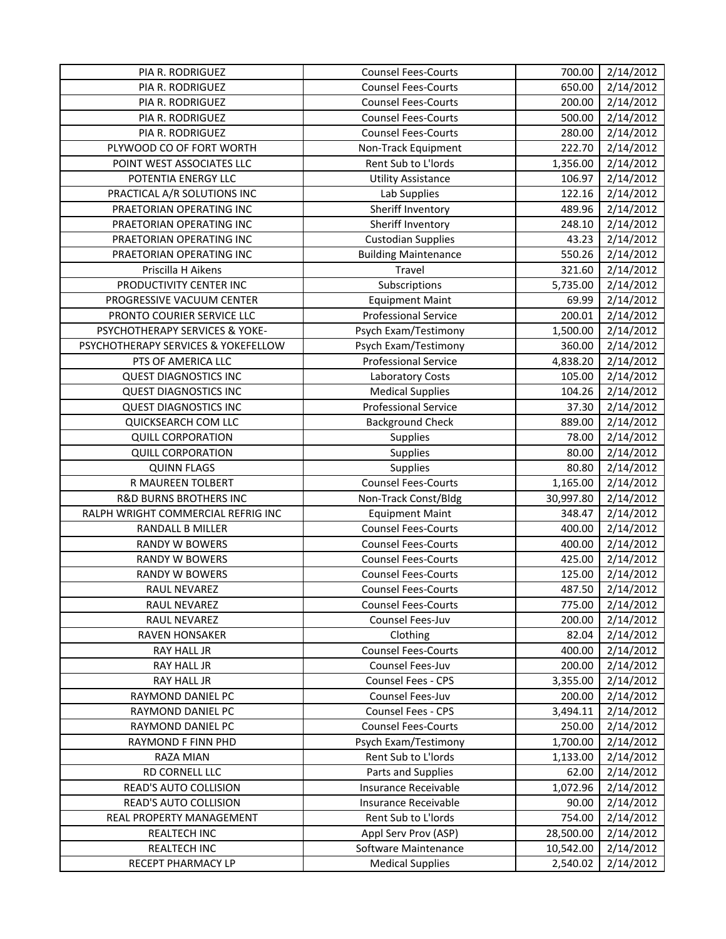| <b>PIA R. RODRIGUEZ</b>             | <b>Counsel Fees-Courts</b>  | 700.00    | 2/14/2012 |
|-------------------------------------|-----------------------------|-----------|-----------|
| PIA R. RODRIGUEZ                    | <b>Counsel Fees-Courts</b>  | 650.00    | 2/14/2012 |
| PIA R. RODRIGUEZ                    | <b>Counsel Fees-Courts</b>  | 200.00    | 2/14/2012 |
| PIA R. RODRIGUEZ                    | <b>Counsel Fees-Courts</b>  | 500.00    | 2/14/2012 |
| PIA R. RODRIGUEZ                    | <b>Counsel Fees-Courts</b>  | 280.00    | 2/14/2012 |
| PLYWOOD CO OF FORT WORTH            | Non-Track Equipment         | 222.70    | 2/14/2012 |
| POINT WEST ASSOCIATES LLC           | Rent Sub to L'Iords         | 1,356.00  | 2/14/2012 |
| POTENTIA ENERGY LLC                 | <b>Utility Assistance</b>   | 106.97    | 2/14/2012 |
| PRACTICAL A/R SOLUTIONS INC         | Lab Supplies                | 122.16    | 2/14/2012 |
| PRAETORIAN OPERATING INC            | Sheriff Inventory           | 489.96    | 2/14/2012 |
| PRAETORIAN OPERATING INC            | Sheriff Inventory           | 248.10    | 2/14/2012 |
| PRAETORIAN OPERATING INC            | <b>Custodian Supplies</b>   | 43.23     | 2/14/2012 |
| PRAETORIAN OPERATING INC            | <b>Building Maintenance</b> | 550.26    | 2/14/2012 |
| Priscilla H Aikens                  | Travel                      | 321.60    | 2/14/2012 |
| PRODUCTIVITY CENTER INC             | Subscriptions               | 5,735.00  | 2/14/2012 |
| PROGRESSIVE VACUUM CENTER           | <b>Equipment Maint</b>      | 69.99     | 2/14/2012 |
| PRONTO COURIER SERVICE LLC          | <b>Professional Service</b> | 200.01    | 2/14/2012 |
| PSYCHOTHERAPY SERVICES & YOKE-      | Psych Exam/Testimony        | 1,500.00  | 2/14/2012 |
| PSYCHOTHERAPY SERVICES & YOKEFELLOW | Psych Exam/Testimony        | 360.00    | 2/14/2012 |
| PTS OF AMERICA LLC                  | <b>Professional Service</b> | 4,838.20  | 2/14/2012 |
| <b>QUEST DIAGNOSTICS INC</b>        | Laboratory Costs            | 105.00    | 2/14/2012 |
| <b>QUEST DIAGNOSTICS INC</b>        | <b>Medical Supplies</b>     | 104.26    | 2/14/2012 |
| <b>QUEST DIAGNOSTICS INC</b>        | <b>Professional Service</b> | 37.30     | 2/14/2012 |
| QUICKSEARCH COM LLC                 | <b>Background Check</b>     | 889.00    | 2/14/2012 |
| <b>QUILL CORPORATION</b>            | <b>Supplies</b>             | 78.00     | 2/14/2012 |
| <b>QUILL CORPORATION</b>            | Supplies                    | 80.00     | 2/14/2012 |
| <b>QUINN FLAGS</b>                  | Supplies                    | 80.80     | 2/14/2012 |
| R MAUREEN TOLBERT                   | <b>Counsel Fees-Courts</b>  | 1,165.00  | 2/14/2012 |
| <b>R&amp;D BURNS BROTHERS INC</b>   | Non-Track Const/Bldg        | 30,997.80 | 2/14/2012 |
| RALPH WRIGHT COMMERCIAL REFRIG INC  | <b>Equipment Maint</b>      | 348.47    | 2/14/2012 |
| RANDALL B MILLER                    | <b>Counsel Fees-Courts</b>  | 400.00    | 2/14/2012 |
| RANDY W BOWERS                      | <b>Counsel Fees-Courts</b>  | 400.00    | 2/14/2012 |
| RANDY W BOWERS                      | <b>Counsel Fees-Courts</b>  | 425.00    | 2/14/2012 |
| RANDY W BOWERS                      | <b>Counsel Fees-Courts</b>  | 125.00    | 2/14/2012 |
| RAUL NEVAREZ                        | <b>Counsel Fees-Courts</b>  | 487.50    | 2/14/2012 |
| RAUL NEVAREZ                        | <b>Counsel Fees-Courts</b>  | 775.00    | 2/14/2012 |
| RAUL NEVAREZ                        | Counsel Fees-Juv            | 200.00    | 2/14/2012 |
| RAVEN HONSAKER                      | Clothing                    | 82.04     | 2/14/2012 |
| RAY HALL JR                         | <b>Counsel Fees-Courts</b>  | 400.00    | 2/14/2012 |
| <b>RAY HALL JR</b>                  | Counsel Fees-Juv            | 200.00    | 2/14/2012 |
| RAY HALL JR                         | Counsel Fees - CPS          | 3,355.00  | 2/14/2012 |
| RAYMOND DANIEL PC                   | Counsel Fees-Juv            | 200.00    | 2/14/2012 |
| RAYMOND DANIEL PC                   | Counsel Fees - CPS          | 3,494.11  | 2/14/2012 |
| RAYMOND DANIEL PC                   | <b>Counsel Fees-Courts</b>  | 250.00    | 2/14/2012 |
| RAYMOND F FINN PHD                  | Psych Exam/Testimony        | 1,700.00  | 2/14/2012 |
| RAZA MIAN                           | Rent Sub to L'Iords         | 1,133.00  | 2/14/2012 |
| RD CORNELL LLC                      | Parts and Supplies          | 62.00     | 2/14/2012 |
| <b>READ'S AUTO COLLISION</b>        | Insurance Receivable        | 1,072.96  | 2/14/2012 |
| READ'S AUTO COLLISION               | Insurance Receivable        | 90.00     | 2/14/2012 |
| REAL PROPERTY MANAGEMENT            | Rent Sub to L'Iords         | 754.00    | 2/14/2012 |
| REALTECH INC                        | Appl Serv Prov (ASP)        | 28,500.00 | 2/14/2012 |
| REALTECH INC                        | Software Maintenance        | 10,542.00 | 2/14/2012 |
| RECEPT PHARMACY LP                  | <b>Medical Supplies</b>     | 2,540.02  | 2/14/2012 |
|                                     |                             |           |           |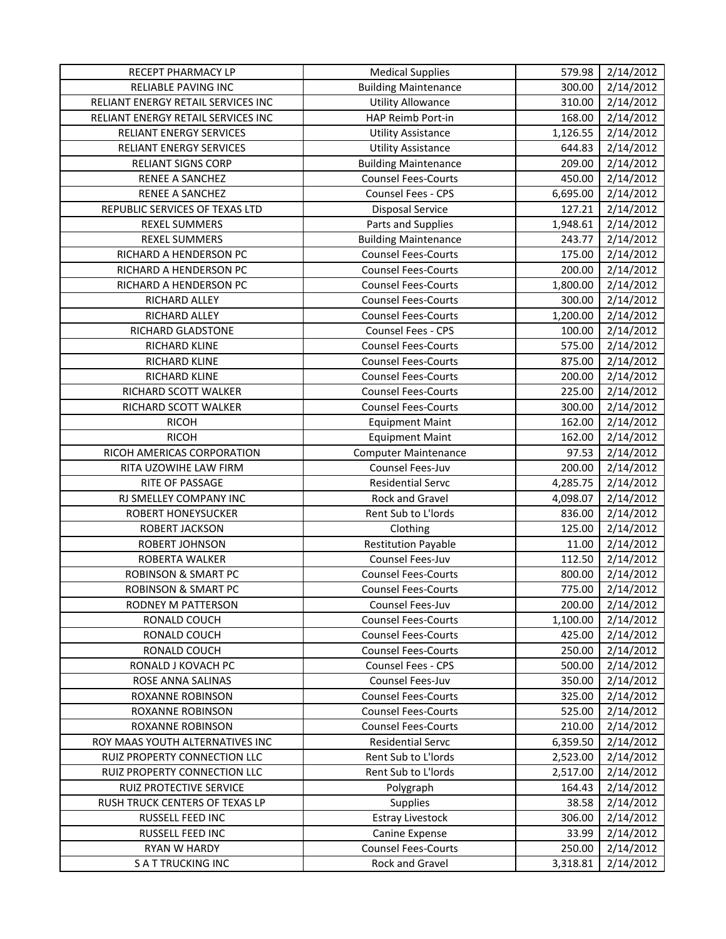| RECEPT PHARMACY LP                 | <b>Medical Supplies</b>     | 579.98   | 2/14/2012 |
|------------------------------------|-----------------------------|----------|-----------|
| RELIABLE PAVING INC                | <b>Building Maintenance</b> | 300.00   | 2/14/2012 |
| RELIANT ENERGY RETAIL SERVICES INC | <b>Utility Allowance</b>    | 310.00   | 2/14/2012 |
| RELIANT ENERGY RETAIL SERVICES INC | HAP Reimb Port-in           | 168.00   | 2/14/2012 |
| RELIANT ENERGY SERVICES            | <b>Utility Assistance</b>   | 1,126.55 | 2/14/2012 |
| RELIANT ENERGY SERVICES            | <b>Utility Assistance</b>   | 644.83   | 2/14/2012 |
| <b>RELIANT SIGNS CORP</b>          | <b>Building Maintenance</b> | 209.00   | 2/14/2012 |
| RENEE A SANCHEZ                    | <b>Counsel Fees-Courts</b>  | 450.00   | 2/14/2012 |
| RENEE A SANCHEZ                    | Counsel Fees - CPS          | 6,695.00 | 2/14/2012 |
| REPUBLIC SERVICES OF TEXAS LTD     | <b>Disposal Service</b>     | 127.21   | 2/14/2012 |
| <b>REXEL SUMMERS</b>               | Parts and Supplies          | 1,948.61 | 2/14/2012 |
| <b>REXEL SUMMERS</b>               | <b>Building Maintenance</b> | 243.77   | 2/14/2012 |
| RICHARD A HENDERSON PC             | <b>Counsel Fees-Courts</b>  | 175.00   | 2/14/2012 |
| RICHARD A HENDERSON PC             | <b>Counsel Fees-Courts</b>  | 200.00   | 2/14/2012 |
| RICHARD A HENDERSON PC             | <b>Counsel Fees-Courts</b>  | 1,800.00 | 2/14/2012 |
| RICHARD ALLEY                      | <b>Counsel Fees-Courts</b>  | 300.00   | 2/14/2012 |
| RICHARD ALLEY                      | <b>Counsel Fees-Courts</b>  | 1,200.00 | 2/14/2012 |
| RICHARD GLADSTONE                  | Counsel Fees - CPS          | 100.00   | 2/14/2012 |
| RICHARD KLINE                      | <b>Counsel Fees-Courts</b>  | 575.00   | 2/14/2012 |
| RICHARD KLINE                      | <b>Counsel Fees-Courts</b>  | 875.00   | 2/14/2012 |
| RICHARD KLINE                      | <b>Counsel Fees-Courts</b>  | 200.00   | 2/14/2012 |
| RICHARD SCOTT WALKER               | <b>Counsel Fees-Courts</b>  | 225.00   | 2/14/2012 |
| RICHARD SCOTT WALKER               | <b>Counsel Fees-Courts</b>  | 300.00   | 2/14/2012 |
| <b>RICOH</b>                       | <b>Equipment Maint</b>      | 162.00   | 2/14/2012 |
| <b>RICOH</b>                       | <b>Equipment Maint</b>      | 162.00   | 2/14/2012 |
| RICOH AMERICAS CORPORATION         | <b>Computer Maintenance</b> | 97.53    | 2/14/2012 |
| RITA UZOWIHE LAW FIRM              | Counsel Fees-Juv            | 200.00   | 2/14/2012 |
| RITE OF PASSAGE                    | <b>Residential Servc</b>    | 4,285.75 | 2/14/2012 |
| RJ SMELLEY COMPANY INC             | Rock and Gravel             | 4,098.07 | 2/14/2012 |
| <b>ROBERT HONEYSUCKER</b>          | Rent Sub to L'Iords         | 836.00   | 2/14/2012 |
| ROBERT JACKSON                     | Clothing                    | 125.00   | 2/14/2012 |
| ROBERT JOHNSON                     | <b>Restitution Payable</b>  | 11.00    | 2/14/2012 |
| ROBERTA WALKER                     | Counsel Fees-Juv            | 112.50   | 2/14/2012 |
| <b>ROBINSON &amp; SMART PC</b>     | <b>Counsel Fees-Courts</b>  | 800.00   | 2/14/2012 |
| <b>ROBINSON &amp; SMART PC</b>     | <b>Counsel Fees-Courts</b>  | 775.00   | 2/14/2012 |
| RODNEY M PATTERSON                 | Counsel Fees-Juv            | 200.00   | 2/14/2012 |
| RONALD COUCH                       | <b>Counsel Fees-Courts</b>  | 1,100.00 | 2/14/2012 |
| RONALD COUCH                       | <b>Counsel Fees-Courts</b>  | 425.00   | 2/14/2012 |
| RONALD COUCH                       | <b>Counsel Fees-Courts</b>  | 250.00   | 2/14/2012 |
| RONALD J KOVACH PC                 | <b>Counsel Fees - CPS</b>   | 500.00   | 2/14/2012 |
| ROSE ANNA SALINAS                  | Counsel Fees-Juv            | 350.00   | 2/14/2012 |
| ROXANNE ROBINSON                   | <b>Counsel Fees-Courts</b>  | 325.00   | 2/14/2012 |
| <b>ROXANNE ROBINSON</b>            | <b>Counsel Fees-Courts</b>  | 525.00   | 2/14/2012 |
| <b>ROXANNE ROBINSON</b>            | <b>Counsel Fees-Courts</b>  | 210.00   | 2/14/2012 |
| ROY MAAS YOUTH ALTERNATIVES INC    | <b>Residential Servc</b>    | 6,359.50 | 2/14/2012 |
| RUIZ PROPERTY CONNECTION LLC       | Rent Sub to L'Iords         | 2,523.00 | 2/14/2012 |
| RUIZ PROPERTY CONNECTION LLC       | Rent Sub to L'Iords         | 2,517.00 | 2/14/2012 |
| RUIZ PROTECTIVE SERVICE            | Polygraph                   | 164.43   | 2/14/2012 |
| RUSH TRUCK CENTERS OF TEXAS LP     | Supplies                    | 38.58    | 2/14/2012 |
| RUSSELL FEED INC                   | <b>Estray Livestock</b>     | 306.00   | 2/14/2012 |
| RUSSELL FEED INC                   | Canine Expense              | 33.99    | 2/14/2012 |
| <b>RYAN W HARDY</b>                | <b>Counsel Fees-Courts</b>  | 250.00   | 2/14/2012 |
| <b>SATTRUCKING INC</b>             | Rock and Gravel             | 3,318.81 | 2/14/2012 |
|                                    |                             |          |           |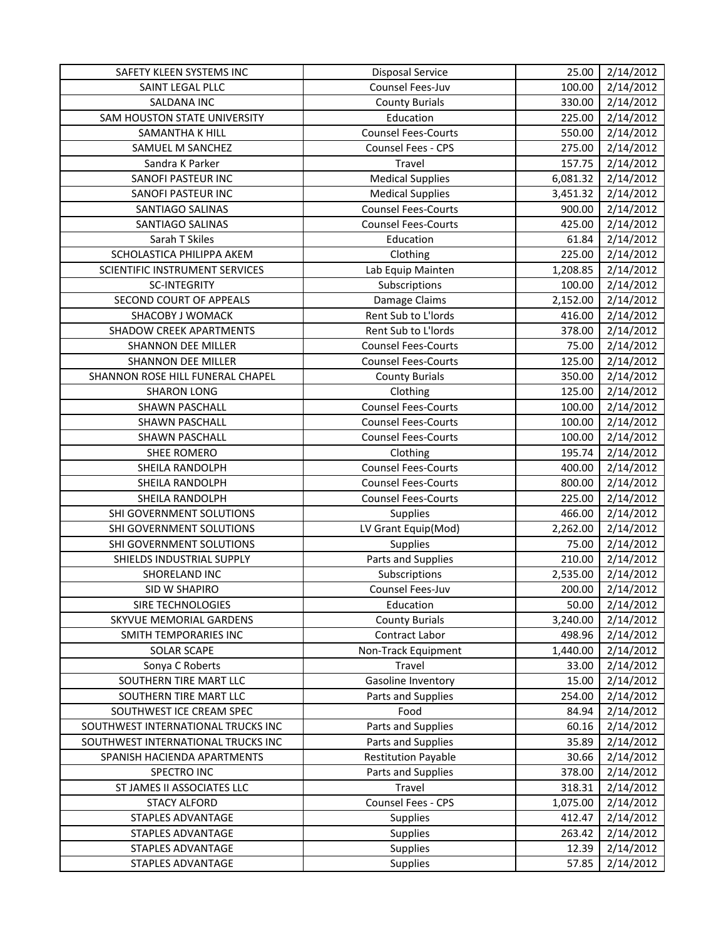| SAFETY KLEEN SYSTEMS INC           | <b>Disposal Service</b>    | 25.00    | 2/14/2012 |
|------------------------------------|----------------------------|----------|-----------|
| SAINT LEGAL PLLC                   | Counsel Fees-Juv           | 100.00   | 2/14/2012 |
| SALDANA INC                        | <b>County Burials</b>      | 330.00   | 2/14/2012 |
| SAM HOUSTON STATE UNIVERSITY       | Education                  | 225.00   | 2/14/2012 |
| SAMANTHA K HILL                    | <b>Counsel Fees-Courts</b> | 550.00   | 2/14/2012 |
| SAMUEL M SANCHEZ                   | Counsel Fees - CPS         | 275.00   | 2/14/2012 |
| Sandra K Parker                    | Travel                     | 157.75   | 2/14/2012 |
| SANOFI PASTEUR INC                 | <b>Medical Supplies</b>    | 6,081.32 | 2/14/2012 |
| SANOFI PASTEUR INC                 | <b>Medical Supplies</b>    | 3,451.32 | 2/14/2012 |
| SANTIAGO SALINAS                   | <b>Counsel Fees-Courts</b> | 900.00   | 2/14/2012 |
| SANTIAGO SALINAS                   | <b>Counsel Fees-Courts</b> | 425.00   | 2/14/2012 |
| Sarah T Skiles                     | Education                  | 61.84    | 2/14/2012 |
| SCHOLASTICA PHILIPPA AKEM          | Clothing                   | 225.00   | 2/14/2012 |
| SCIENTIFIC INSTRUMENT SERVICES     | Lab Equip Mainten          | 1,208.85 | 2/14/2012 |
| <b>SC-INTEGRITY</b>                | Subscriptions              | 100.00   | 2/14/2012 |
| SECOND COURT OF APPEALS            | Damage Claims              | 2,152.00 | 2/14/2012 |
| SHACOBY J WOMACK                   | Rent Sub to L'Iords        | 416.00   | 2/14/2012 |
| <b>SHADOW CREEK APARTMENTS</b>     | Rent Sub to L'Iords        | 378.00   | 2/14/2012 |
| <b>SHANNON DEE MILLER</b>          | <b>Counsel Fees-Courts</b> | 75.00    | 2/14/2012 |
| <b>SHANNON DEE MILLER</b>          | <b>Counsel Fees-Courts</b> | 125.00   | 2/14/2012 |
| SHANNON ROSE HILL FUNERAL CHAPEL   | <b>County Burials</b>      | 350.00   | 2/14/2012 |
| <b>SHARON LONG</b>                 | Clothing                   | 125.00   | 2/14/2012 |
| SHAWN PASCHALL                     | <b>Counsel Fees-Courts</b> | 100.00   | 2/14/2012 |
| SHAWN PASCHALL                     | <b>Counsel Fees-Courts</b> | 100.00   | 2/14/2012 |
| SHAWN PASCHALL                     | <b>Counsel Fees-Courts</b> | 100.00   | 2/14/2012 |
| <b>SHEE ROMERO</b>                 | Clothing                   | 195.74   | 2/14/2012 |
| SHEILA RANDOLPH                    | <b>Counsel Fees-Courts</b> | 400.00   | 2/14/2012 |
| SHEILA RANDOLPH                    | <b>Counsel Fees-Courts</b> | 800.00   | 2/14/2012 |
| SHEILA RANDOLPH                    | <b>Counsel Fees-Courts</b> | 225.00   | 2/14/2012 |
| SHI GOVERNMENT SOLUTIONS           | Supplies                   | 466.00   | 2/14/2012 |
| SHI GOVERNMENT SOLUTIONS           | LV Grant Equip(Mod)        | 2,262.00 | 2/14/2012 |
| SHI GOVERNMENT SOLUTIONS           | Supplies                   | 75.00    | 2/14/2012 |
| SHIELDS INDUSTRIAL SUPPLY          | Parts and Supplies         | 210.00   | 2/14/2012 |
| SHORELAND INC                      | Subscriptions              | 2,535.00 | 2/14/2012 |
| SID W SHAPIRO                      | Counsel Fees-Juv           | 200.00   | 2/14/2012 |
| SIRE TECHNOLOGIES                  | Education                  | 50.00    | 2/14/2012 |
| <b>SKYVUE MEMORIAL GARDENS</b>     | <b>County Burials</b>      | 3,240.00 | 2/14/2012 |
| SMITH TEMPORARIES INC              | Contract Labor             | 498.96   | 2/14/2012 |
| <b>SOLAR SCAPE</b>                 | Non-Track Equipment        | 1,440.00 | 2/14/2012 |
| Sonya C Roberts                    | Travel                     | 33.00    | 2/14/2012 |
| SOUTHERN TIRE MART LLC             | Gasoline Inventory         | 15.00    | 2/14/2012 |
| SOUTHERN TIRE MART LLC             | Parts and Supplies         | 254.00   | 2/14/2012 |
| SOUTHWEST ICE CREAM SPEC           | Food                       | 84.94    | 2/14/2012 |
| SOUTHWEST INTERNATIONAL TRUCKS INC | Parts and Supplies         | 60.16    | 2/14/2012 |
| SOUTHWEST INTERNATIONAL TRUCKS INC | Parts and Supplies         | 35.89    | 2/14/2012 |
| SPANISH HACIENDA APARTMENTS        | <b>Restitution Payable</b> | 30.66    | 2/14/2012 |
| SPECTRO INC                        | Parts and Supplies         | 378.00   | 2/14/2012 |
| ST JAMES II ASSOCIATES LLC         | Travel                     | 318.31   | 2/14/2012 |
| <b>STACY ALFORD</b>                | Counsel Fees - CPS         | 1,075.00 | 2/14/2012 |
| STAPLES ADVANTAGE                  | <b>Supplies</b>            | 412.47   | 2/14/2012 |
| STAPLES ADVANTAGE                  | <b>Supplies</b>            | 263.42   | 2/14/2012 |
| STAPLES ADVANTAGE                  | Supplies                   | 12.39    | 2/14/2012 |
| STAPLES ADVANTAGE                  | Supplies                   | 57.85    | 2/14/2012 |
|                                    |                            |          |           |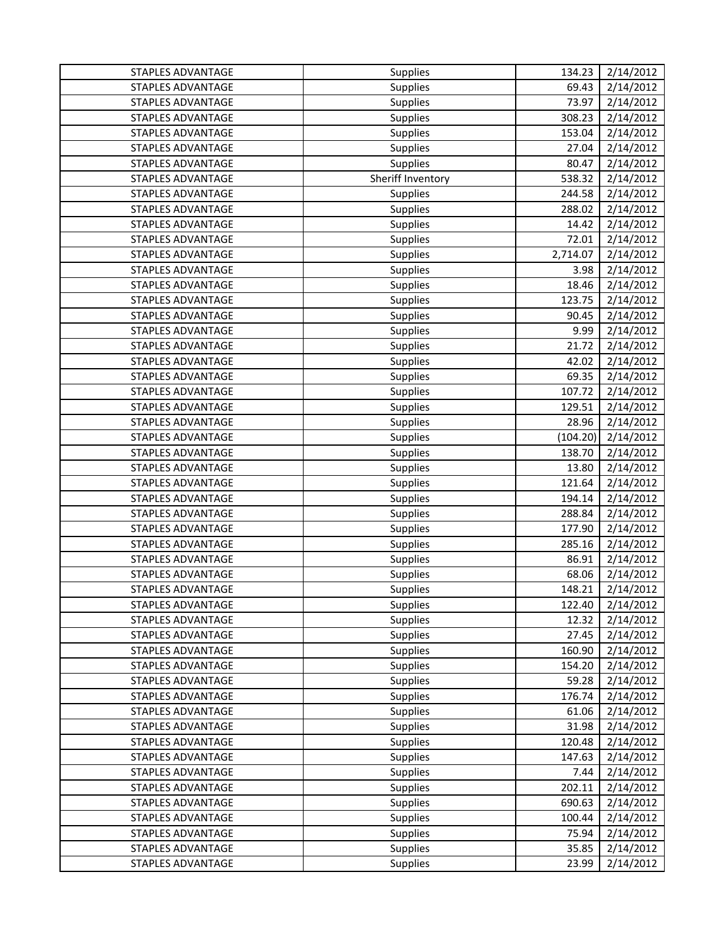| STAPLES ADVANTAGE        | <b>Supplies</b>   | 134.23   | 2/14/2012 |
|--------------------------|-------------------|----------|-----------|
| <b>STAPLES ADVANTAGE</b> | <b>Supplies</b>   | 69.43    | 2/14/2012 |
| <b>STAPLES ADVANTAGE</b> | <b>Supplies</b>   | 73.97    | 2/14/2012 |
| <b>STAPLES ADVANTAGE</b> | <b>Supplies</b>   | 308.23   | 2/14/2012 |
| <b>STAPLES ADVANTAGE</b> | <b>Supplies</b>   | 153.04   | 2/14/2012 |
| <b>STAPLES ADVANTAGE</b> | <b>Supplies</b>   | 27.04    | 2/14/2012 |
| <b>STAPLES ADVANTAGE</b> | <b>Supplies</b>   | 80.47    | 2/14/2012 |
| STAPLES ADVANTAGE        | Sheriff Inventory | 538.32   | 2/14/2012 |
| <b>STAPLES ADVANTAGE</b> | <b>Supplies</b>   | 244.58   | 2/14/2012 |
| <b>STAPLES ADVANTAGE</b> | <b>Supplies</b>   | 288.02   | 2/14/2012 |
| <b>STAPLES ADVANTAGE</b> | <b>Supplies</b>   | 14.42    | 2/14/2012 |
| <b>STAPLES ADVANTAGE</b> | Supplies          | 72.01    | 2/14/2012 |
| <b>STAPLES ADVANTAGE</b> | <b>Supplies</b>   | 2,714.07 | 2/14/2012 |
| <b>STAPLES ADVANTAGE</b> | <b>Supplies</b>   | 3.98     | 2/14/2012 |
| <b>STAPLES ADVANTAGE</b> | <b>Supplies</b>   | 18.46    | 2/14/2012 |
| <b>STAPLES ADVANTAGE</b> | <b>Supplies</b>   | 123.75   | 2/14/2012 |
| <b>STAPLES ADVANTAGE</b> | Supplies          | 90.45    | 2/14/2012 |
| <b>STAPLES ADVANTAGE</b> | <b>Supplies</b>   | 9.99     | 2/14/2012 |
| STAPLES ADVANTAGE        | Supplies          | 21.72    | 2/14/2012 |
| <b>STAPLES ADVANTAGE</b> | <b>Supplies</b>   | 42.02    | 2/14/2012 |
| <b>STAPLES ADVANTAGE</b> | Supplies          | 69.35    | 2/14/2012 |
| <b>STAPLES ADVANTAGE</b> | <b>Supplies</b>   | 107.72   | 2/14/2012 |
| <b>STAPLES ADVANTAGE</b> | <b>Supplies</b>   | 129.51   | 2/14/2012 |
| <b>STAPLES ADVANTAGE</b> | Supplies          | 28.96    | 2/14/2012 |
| <b>STAPLES ADVANTAGE</b> | <b>Supplies</b>   | (104.20) | 2/14/2012 |
| <b>STAPLES ADVANTAGE</b> | Supplies          | 138.70   | 2/14/2012 |
| STAPLES ADVANTAGE        | Supplies          | 13.80    | 2/14/2012 |
| <b>STAPLES ADVANTAGE</b> | Supplies          | 121.64   | 2/14/2012 |
| <b>STAPLES ADVANTAGE</b> | Supplies          | 194.14   | 2/14/2012 |
| <b>STAPLES ADVANTAGE</b> | <b>Supplies</b>   | 288.84   | 2/14/2012 |
| <b>STAPLES ADVANTAGE</b> | Supplies          | 177.90   | 2/14/2012 |
| <b>STAPLES ADVANTAGE</b> | <b>Supplies</b>   | 285.16   | 2/14/2012 |
| <b>STAPLES ADVANTAGE</b> | <b>Supplies</b>   | 86.91    | 2/14/2012 |
| STAPLES ADVANTAGE        | Supplies          | 68.06    | 2/14/2012 |
| STAPLES ADVANTAGE        | <b>Supplies</b>   | 148.21   | 2/14/2012 |
| <b>STAPLES ADVANTAGE</b> | <b>Supplies</b>   | 122.40   | 2/14/2012 |
| STAPLES ADVANTAGE        | <b>Supplies</b>   | 12.32    | 2/14/2012 |
| <b>STAPLES ADVANTAGE</b> | <b>Supplies</b>   | 27.45    | 2/14/2012 |
| <b>STAPLES ADVANTAGE</b> | <b>Supplies</b>   | 160.90   | 2/14/2012 |
| <b>STAPLES ADVANTAGE</b> | Supplies          | 154.20   | 2/14/2012 |
| <b>STAPLES ADVANTAGE</b> | <b>Supplies</b>   | 59.28    | 2/14/2012 |
| <b>STAPLES ADVANTAGE</b> | Supplies          | 176.74   | 2/14/2012 |
| <b>STAPLES ADVANTAGE</b> | Supplies          | 61.06    | 2/14/2012 |
| <b>STAPLES ADVANTAGE</b> | Supplies          | 31.98    | 2/14/2012 |
| STAPLES ADVANTAGE        | Supplies          | 120.48   | 2/14/2012 |
| <b>STAPLES ADVANTAGE</b> | Supplies          | 147.63   | 2/14/2012 |
| STAPLES ADVANTAGE        | Supplies          | 7.44     | 2/14/2012 |
| STAPLES ADVANTAGE        | Supplies          | 202.11   | 2/14/2012 |
| <b>STAPLES ADVANTAGE</b> | Supplies          | 690.63   | 2/14/2012 |
| <b>STAPLES ADVANTAGE</b> | Supplies          | 100.44   | 2/14/2012 |
| STAPLES ADVANTAGE        | Supplies          | 75.94    | 2/14/2012 |
| STAPLES ADVANTAGE        | Supplies          | 35.85    | 2/14/2012 |
| STAPLES ADVANTAGE        | Supplies          | 23.99    | 2/14/2012 |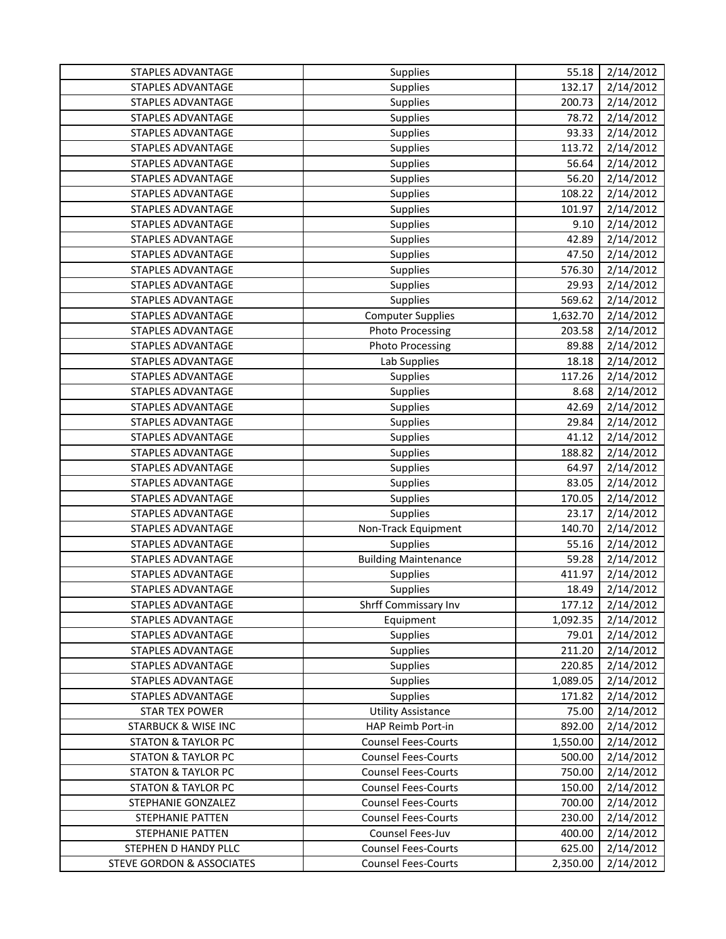| STAPLES ADVANTAGE                    | Supplies                    | 55.18    | 2/14/2012 |
|--------------------------------------|-----------------------------|----------|-----------|
| STAPLES ADVANTAGE                    | Supplies                    | 132.17   | 2/14/2012 |
| <b>STAPLES ADVANTAGE</b>             | Supplies                    | 200.73   | 2/14/2012 |
| <b>STAPLES ADVANTAGE</b>             | Supplies                    | 78.72    | 2/14/2012 |
| STAPLES ADVANTAGE                    | Supplies                    | 93.33    | 2/14/2012 |
| <b>STAPLES ADVANTAGE</b>             | Supplies                    | 113.72   | 2/14/2012 |
| STAPLES ADVANTAGE                    | Supplies                    | 56.64    | 2/14/2012 |
| STAPLES ADVANTAGE                    | Supplies                    | 56.20    | 2/14/2012 |
| STAPLES ADVANTAGE                    | Supplies                    | 108.22   | 2/14/2012 |
| <b>STAPLES ADVANTAGE</b>             | Supplies                    | 101.97   | 2/14/2012 |
| <b>STAPLES ADVANTAGE</b>             | Supplies                    | 9.10     | 2/14/2012 |
| STAPLES ADVANTAGE                    | Supplies                    | 42.89    | 2/14/2012 |
| STAPLES ADVANTAGE                    | Supplies                    | 47.50    | 2/14/2012 |
| <b>STAPLES ADVANTAGE</b>             | Supplies                    | 576.30   | 2/14/2012 |
| STAPLES ADVANTAGE                    | Supplies                    | 29.93    | 2/14/2012 |
| STAPLES ADVANTAGE                    | Supplies                    | 569.62   | 2/14/2012 |
| <b>STAPLES ADVANTAGE</b>             | <b>Computer Supplies</b>    | 1,632.70 | 2/14/2012 |
| <b>STAPLES ADVANTAGE</b>             | <b>Photo Processing</b>     | 203.58   | 2/14/2012 |
| <b>STAPLES ADVANTAGE</b>             | <b>Photo Processing</b>     | 89.88    | 2/14/2012 |
| STAPLES ADVANTAGE                    | Lab Supplies                | 18.18    | 2/14/2012 |
| <b>STAPLES ADVANTAGE</b>             | Supplies                    | 117.26   | 2/14/2012 |
| STAPLES ADVANTAGE                    | Supplies                    | 8.68     | 2/14/2012 |
| STAPLES ADVANTAGE                    | Supplies                    | 42.69    | 2/14/2012 |
| <b>STAPLES ADVANTAGE</b>             | Supplies                    | 29.84    | 2/14/2012 |
| STAPLES ADVANTAGE                    | Supplies                    | 41.12    | 2/14/2012 |
| STAPLES ADVANTAGE                    | Supplies                    | 188.82   | 2/14/2012 |
| STAPLES ADVANTAGE                    | Supplies                    | 64.97    | 2/14/2012 |
| STAPLES ADVANTAGE                    | Supplies                    | 83.05    | 2/14/2012 |
| STAPLES ADVANTAGE                    | Supplies                    | 170.05   | 2/14/2012 |
| STAPLES ADVANTAGE                    | Supplies                    | 23.17    | 2/14/2012 |
| <b>STAPLES ADVANTAGE</b>             | Non-Track Equipment         | 140.70   | 2/14/2012 |
| <b>STAPLES ADVANTAGE</b>             | Supplies                    | 55.16    | 2/14/2012 |
| <b>STAPLES ADVANTAGE</b>             | <b>Building Maintenance</b> | 59.28    | 2/14/2012 |
| <b>STAPLES ADVANTAGE</b>             | Supplies                    | 411.97   | 2/14/2012 |
| <b>STAPLES ADVANTAGE</b>             | Supplies                    | 18.49    | 2/14/2012 |
| <b>STAPLES ADVANTAGE</b>             | Shrff Commissary Inv        | 177.12   | 2/14/2012 |
| STAPLES ADVANTAGE                    | Equipment                   | 1,092.35 | 2/14/2012 |
| STAPLES ADVANTAGE                    | Supplies                    | 79.01    | 2/14/2012 |
| <b>STAPLES ADVANTAGE</b>             | Supplies                    | 211.20   | 2/14/2012 |
| STAPLES ADVANTAGE                    | Supplies                    | 220.85   | 2/14/2012 |
| STAPLES ADVANTAGE                    | Supplies                    | 1,089.05 | 2/14/2012 |
| STAPLES ADVANTAGE                    | Supplies                    | 171.82   | 2/14/2012 |
| <b>STAR TEX POWER</b>                | <b>Utility Assistance</b>   | 75.00    | 2/14/2012 |
| <b>STARBUCK &amp; WISE INC</b>       | HAP Reimb Port-in           | 892.00   | 2/14/2012 |
| <b>STATON &amp; TAYLOR PC</b>        | <b>Counsel Fees-Courts</b>  | 1,550.00 | 2/14/2012 |
| <b>STATON &amp; TAYLOR PC</b>        | <b>Counsel Fees-Courts</b>  | 500.00   | 2/14/2012 |
| <b>STATON &amp; TAYLOR PC</b>        | <b>Counsel Fees-Courts</b>  | 750.00   | 2/14/2012 |
| <b>STATON &amp; TAYLOR PC</b>        | <b>Counsel Fees-Courts</b>  | 150.00   | 2/14/2012 |
| STEPHANIE GONZALEZ                   | <b>Counsel Fees-Courts</b>  | 700.00   | 2/14/2012 |
| STEPHANIE PATTEN                     | <b>Counsel Fees-Courts</b>  | 230.00   | 2/14/2012 |
| STEPHANIE PATTEN                     | Counsel Fees-Juv            | 400.00   | 2/14/2012 |
| STEPHEN D HANDY PLLC                 | <b>Counsel Fees-Courts</b>  | 625.00   | 2/14/2012 |
| <b>STEVE GORDON &amp; ASSOCIATES</b> | <b>Counsel Fees-Courts</b>  | 2,350.00 | 2/14/2012 |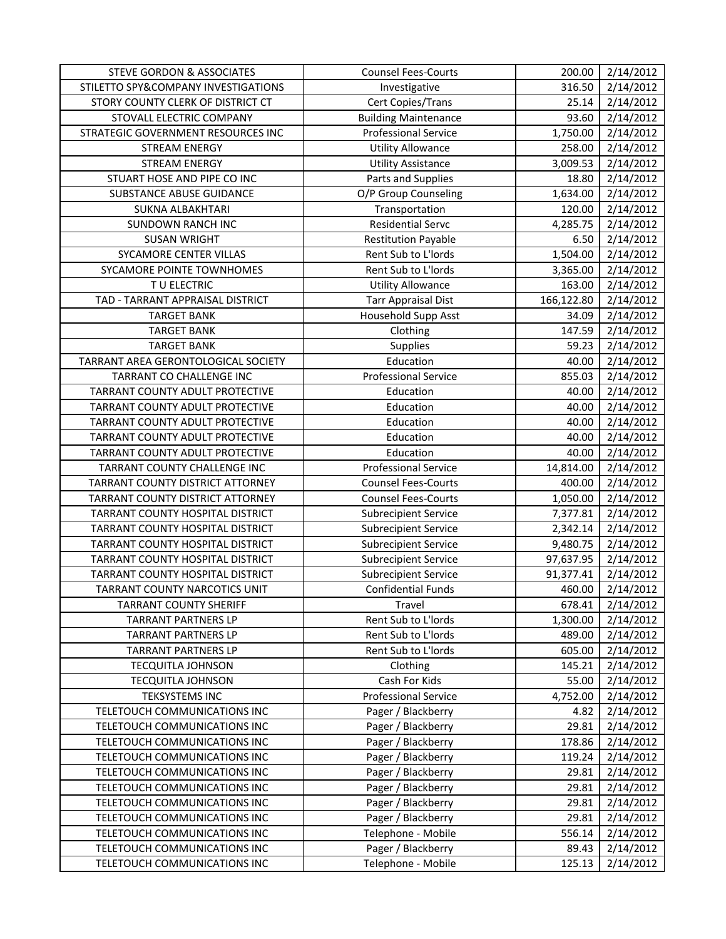| <b>STEVE GORDON &amp; ASSOCIATES</b> | <b>Counsel Fees-Courts</b>  | 200.00     | 2/14/2012 |
|--------------------------------------|-----------------------------|------------|-----------|
| STILETTO SPY&COMPANY INVESTIGATIONS  | Investigative               | 316.50     | 2/14/2012 |
| STORY COUNTY CLERK OF DISTRICT CT    | Cert Copies/Trans           | 25.14      | 2/14/2012 |
| STOVALL ELECTRIC COMPANY             | <b>Building Maintenance</b> | 93.60      | 2/14/2012 |
| STRATEGIC GOVERNMENT RESOURCES INC   | <b>Professional Service</b> | 1,750.00   | 2/14/2012 |
| <b>STREAM ENERGY</b>                 | <b>Utility Allowance</b>    | 258.00     | 2/14/2012 |
| <b>STREAM ENERGY</b>                 | <b>Utility Assistance</b>   | 3,009.53   | 2/14/2012 |
| STUART HOSE AND PIPE CO INC          | Parts and Supplies          | 18.80      | 2/14/2012 |
| SUBSTANCE ABUSE GUIDANCE             | O/P Group Counseling        | 1,634.00   | 2/14/2012 |
| SUKNA ALBAKHTARI                     | Transportation              | 120.00     | 2/14/2012 |
| <b>SUNDOWN RANCH INC</b>             | <b>Residential Servc</b>    | 4,285.75   | 2/14/2012 |
| <b>SUSAN WRIGHT</b>                  | <b>Restitution Payable</b>  | 6.50       | 2/14/2012 |
| SYCAMORE CENTER VILLAS               | Rent Sub to L'Iords         | 1,504.00   | 2/14/2012 |
| SYCAMORE POINTE TOWNHOMES            | Rent Sub to L'Iords         | 3,365.00   | 2/14/2012 |
| T U ELECTRIC                         | <b>Utility Allowance</b>    | 163.00     | 2/14/2012 |
| TAD - TARRANT APPRAISAL DISTRICT     | <b>Tarr Appraisal Dist</b>  | 166,122.80 | 2/14/2012 |
| <b>TARGET BANK</b>                   | Household Supp Asst         | 34.09      | 2/14/2012 |
| <b>TARGET BANK</b>                   | Clothing                    | 147.59     | 2/14/2012 |
| <b>TARGET BANK</b>                   | Supplies                    | 59.23      | 2/14/2012 |
| TARRANT AREA GERONTOLOGICAL SOCIETY  | Education                   | 40.00      | 2/14/2012 |
| TARRANT CO CHALLENGE INC             | <b>Professional Service</b> | 855.03     | 2/14/2012 |
| TARRANT COUNTY ADULT PROTECTIVE      | Education                   | 40.00      | 2/14/2012 |
| TARRANT COUNTY ADULT PROTECTIVE      | Education                   | 40.00      | 2/14/2012 |
| TARRANT COUNTY ADULT PROTECTIVE      | Education                   | 40.00      | 2/14/2012 |
| TARRANT COUNTY ADULT PROTECTIVE      | Education                   | 40.00      | 2/14/2012 |
| TARRANT COUNTY ADULT PROTECTIVE      | Education                   | 40.00      | 2/14/2012 |
| TARRANT COUNTY CHALLENGE INC         | <b>Professional Service</b> | 14,814.00  | 2/14/2012 |
| TARRANT COUNTY DISTRICT ATTORNEY     | <b>Counsel Fees-Courts</b>  | 400.00     | 2/14/2012 |
| TARRANT COUNTY DISTRICT ATTORNEY     | <b>Counsel Fees-Courts</b>  | 1,050.00   | 2/14/2012 |
| TARRANT COUNTY HOSPITAL DISTRICT     | <b>Subrecipient Service</b> | 7,377.81   | 2/14/2012 |
| TARRANT COUNTY HOSPITAL DISTRICT     | <b>Subrecipient Service</b> | 2,342.14   | 2/14/2012 |
| TARRANT COUNTY HOSPITAL DISTRICT     | <b>Subrecipient Service</b> | 9,480.75   | 2/14/2012 |
| TARRANT COUNTY HOSPITAL DISTRICT     | <b>Subrecipient Service</b> | 97,637.95  | 2/14/2012 |
| TARRANT COUNTY HOSPITAL DISTRICT     | <b>Subrecipient Service</b> | 91,377.41  | 2/14/2012 |
| TARRANT COUNTY NARCOTICS UNIT        | <b>Confidential Funds</b>   | 460.00     | 2/14/2012 |
| <b>TARRANT COUNTY SHERIFF</b>        | Travel                      | 678.41     | 2/14/2012 |
| <b>TARRANT PARTNERS LP</b>           | Rent Sub to L'Iords         | 1,300.00   | 2/14/2012 |
| <b>TARRANT PARTNERS LP</b>           | Rent Sub to L'Iords         | 489.00     | 2/14/2012 |
| <b>TARRANT PARTNERS LP</b>           | Rent Sub to L'Iords         | 605.00     | 2/14/2012 |
| <b>TECQUITLA JOHNSON</b>             | Clothing                    | 145.21     | 2/14/2012 |
| <b>TECQUITLA JOHNSON</b>             | Cash For Kids               | 55.00      | 2/14/2012 |
| <b>TEKSYSTEMS INC</b>                | <b>Professional Service</b> | 4,752.00   | 2/14/2012 |
| TELETOUCH COMMUNICATIONS INC         | Pager / Blackberry          | 4.82       | 2/14/2012 |
| TELETOUCH COMMUNICATIONS INC         | Pager / Blackberry          | 29.81      | 2/14/2012 |
| TELETOUCH COMMUNICATIONS INC         | Pager / Blackberry          | 178.86     | 2/14/2012 |
| TELETOUCH COMMUNICATIONS INC         | Pager / Blackberry          | 119.24     | 2/14/2012 |
| TELETOUCH COMMUNICATIONS INC         | Pager / Blackberry          | 29.81      | 2/14/2012 |
| TELETOUCH COMMUNICATIONS INC         | Pager / Blackberry          | 29.81      | 2/14/2012 |
| TELETOUCH COMMUNICATIONS INC         | Pager / Blackberry          | 29.81      | 2/14/2012 |
| TELETOUCH COMMUNICATIONS INC         | Pager / Blackberry          | 29.81      | 2/14/2012 |
| TELETOUCH COMMUNICATIONS INC         | Telephone - Mobile          | 556.14     | 2/14/2012 |
| TELETOUCH COMMUNICATIONS INC         | Pager / Blackberry          | 89.43      | 2/14/2012 |
| TELETOUCH COMMUNICATIONS INC         | Telephone - Mobile          | 125.13     | 2/14/2012 |
|                                      |                             |            |           |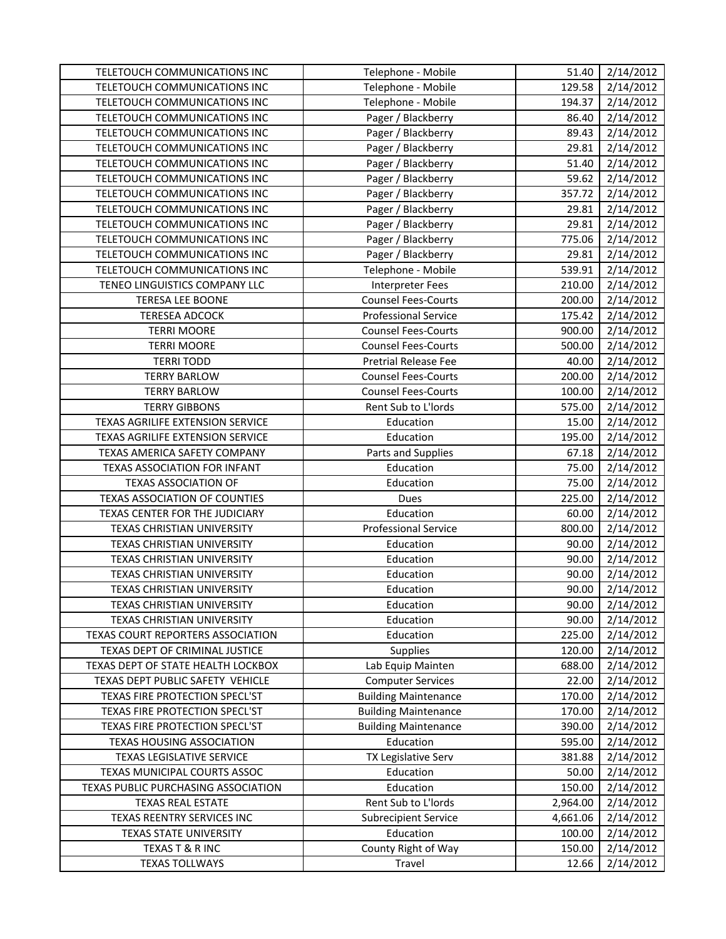| TELETOUCH COMMUNICATIONS INC         | Telephone - Mobile          | 51.40    | 2/14/2012          |
|--------------------------------------|-----------------------------|----------|--------------------|
| TELETOUCH COMMUNICATIONS INC         | Telephone - Mobile          | 129.58   | 2/14/2012          |
| TELETOUCH COMMUNICATIONS INC         | Telephone - Mobile          | 194.37   | 2/14/2012          |
| TELETOUCH COMMUNICATIONS INC         | Pager / Blackberry          | 86.40    | 2/14/2012          |
| TELETOUCH COMMUNICATIONS INC         | Pager / Blackberry          | 89.43    | 2/14/2012          |
| TELETOUCH COMMUNICATIONS INC         | Pager / Blackberry          | 29.81    | 2/14/2012          |
| TELETOUCH COMMUNICATIONS INC         | Pager / Blackberry          | 51.40    | 2/14/2012          |
| TELETOUCH COMMUNICATIONS INC         | Pager / Blackberry          | 59.62    | 2/14/2012          |
| TELETOUCH COMMUNICATIONS INC         | Pager / Blackberry          | 357.72   | 2/14/2012          |
| TELETOUCH COMMUNICATIONS INC         | Pager / Blackberry          | 29.81    | 2/14/2012          |
| TELETOUCH COMMUNICATIONS INC         | Pager / Blackberry          | 29.81    | 2/14/2012          |
| TELETOUCH COMMUNICATIONS INC         | Pager / Blackberry          | 775.06   | 2/14/2012          |
| TELETOUCH COMMUNICATIONS INC         | Pager / Blackberry          | 29.81    | $\sqrt{2}/14/2012$ |
| TELETOUCH COMMUNICATIONS INC         | Telephone - Mobile          | 539.91   | 2/14/2012          |
| TENEO LINGUISTICS COMPANY LLC        | <b>Interpreter Fees</b>     | 210.00   | 2/14/2012          |
| <b>TERESA LEE BOONE</b>              | <b>Counsel Fees-Courts</b>  | 200.00   | 2/14/2012          |
| <b>TERESEA ADCOCK</b>                | <b>Professional Service</b> | 175.42   | 2/14/2012          |
| <b>TERRI MOORE</b>                   | <b>Counsel Fees-Courts</b>  | 900.00   | 2/14/2012          |
| <b>TERRI MOORE</b>                   | <b>Counsel Fees-Courts</b>  | 500.00   | 2/14/2012          |
| <b>TERRI TODD</b>                    | <b>Pretrial Release Fee</b> | 40.00    | 2/14/2012          |
| <b>TERRY BARLOW</b>                  | <b>Counsel Fees-Courts</b>  | 200.00   | 2/14/2012          |
| <b>TERRY BARLOW</b>                  | <b>Counsel Fees-Courts</b>  | 100.00   | 2/14/2012          |
| <b>TERRY GIBBONS</b>                 | Rent Sub to L'Iords         | 575.00   | 2/14/2012          |
| TEXAS AGRILIFE EXTENSION SERVICE     | Education                   | 15.00    | 2/14/2012          |
| TEXAS AGRILIFE EXTENSION SERVICE     | Education                   | 195.00   | 2/14/2012          |
| TEXAS AMERICA SAFETY COMPANY         | Parts and Supplies          | 67.18    | 2/14/2012          |
| <b>TEXAS ASSOCIATION FOR INFANT</b>  | Education                   | 75.00    | 2/14/2012          |
| <b>TEXAS ASSOCIATION OF</b>          | Education                   | 75.00    | 2/14/2012          |
| <b>TEXAS ASSOCIATION OF COUNTIES</b> | Dues                        | 225.00   | 2/14/2012          |
| TEXAS CENTER FOR THE JUDICIARY       | Education                   | 60.00    | 2/14/2012          |
| TEXAS CHRISTIAN UNIVERSITY           | <b>Professional Service</b> | 800.00   | 2/14/2012          |
| TEXAS CHRISTIAN UNIVERSITY           | Education                   | 90.00    | 2/14/2012          |
| TEXAS CHRISTIAN UNIVERSITY           | Education                   | 90.00    | 2/14/2012          |
| TEXAS CHRISTIAN UNIVERSITY           | Education                   | 90.00    | 2/14/2012          |
| <b>TEXAS CHRISTIAN UNIVERSITY</b>    | Education                   | 90.00    | 2/14/2012          |
| TEXAS CHRISTIAN UNIVERSITY           | Education                   | 90.00    | 2/14/2012          |
| TEXAS CHRISTIAN UNIVERSITY           | Education                   | 90.00    | 2/14/2012          |
| TEXAS COURT REPORTERS ASSOCIATION    | Education                   | 225.00   | 2/14/2012          |
| TEXAS DEPT OF CRIMINAL JUSTICE       | Supplies                    | 120.00   | 2/14/2012          |
| TEXAS DEPT OF STATE HEALTH LOCKBOX   | Lab Equip Mainten           | 688.00   | 2/14/2012          |
| TEXAS DEPT PUBLIC SAFETY VEHICLE     | <b>Computer Services</b>    | 22.00    | 2/14/2012          |
| TEXAS FIRE PROTECTION SPECL'ST       | <b>Building Maintenance</b> | 170.00   | 2/14/2012          |
| TEXAS FIRE PROTECTION SPECL'ST       | <b>Building Maintenance</b> | 170.00   | 2/14/2012          |
| TEXAS FIRE PROTECTION SPECL'ST       | <b>Building Maintenance</b> | 390.00   | 2/14/2012          |
| <b>TEXAS HOUSING ASSOCIATION</b>     | Education                   | 595.00   | 2/14/2012          |
| <b>TEXAS LEGISLATIVE SERVICE</b>     | TX Legislative Serv         | 381.88   | 2/14/2012          |
| TEXAS MUNICIPAL COURTS ASSOC         | Education                   | 50.00    | 2/14/2012          |
| TEXAS PUBLIC PURCHASING ASSOCIATION  | Education                   | 150.00   | 2/14/2012          |
| <b>TEXAS REAL ESTATE</b>             | Rent Sub to L'Iords         | 2,964.00 | 2/14/2012          |
| TEXAS REENTRY SERVICES INC           | <b>Subrecipient Service</b> | 4,661.06 | 2/14/2012          |
| TEXAS STATE UNIVERSITY               | Education                   | 100.00   | 2/14/2012          |
| TEXAS T & R INC                      | County Right of Way         | 150.00   | 2/14/2012          |
| <b>TEXAS TOLLWAYS</b>                | Travel                      | 12.66    | 2/14/2012          |
|                                      |                             |          |                    |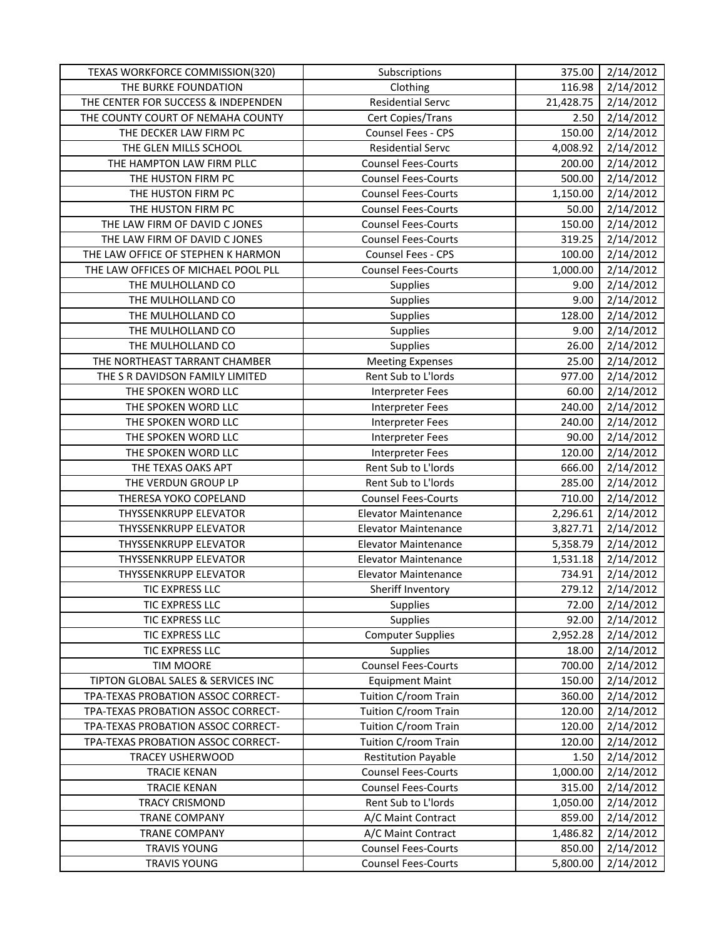| TEXAS WORKFORCE COMMISSION(320)     | Subscriptions               | 375.00    | 2/14/2012 |
|-------------------------------------|-----------------------------|-----------|-----------|
| THE BURKE FOUNDATION                | Clothing                    | 116.98    | 2/14/2012 |
| THE CENTER FOR SUCCESS & INDEPENDEN | <b>Residential Servc</b>    | 21,428.75 | 2/14/2012 |
| THE COUNTY COURT OF NEMAHA COUNTY   | Cert Copies/Trans           | 2.50      | 2/14/2012 |
| THE DECKER LAW FIRM PC              | <b>Counsel Fees - CPS</b>   | 150.00    | 2/14/2012 |
| THE GLEN MILLS SCHOOL               | <b>Residential Servc</b>    | 4,008.92  | 2/14/2012 |
| THE HAMPTON LAW FIRM PLLC           | <b>Counsel Fees-Courts</b>  | 200.00    | 2/14/2012 |
| THE HUSTON FIRM PC                  | <b>Counsel Fees-Courts</b>  | 500.00    | 2/14/2012 |
| THE HUSTON FIRM PC                  | <b>Counsel Fees-Courts</b>  | 1,150.00  | 2/14/2012 |
| THE HUSTON FIRM PC                  | <b>Counsel Fees-Courts</b>  | 50.00     | 2/14/2012 |
| THE LAW FIRM OF DAVID C JONES       | <b>Counsel Fees-Courts</b>  | 150.00    | 2/14/2012 |
| THE LAW FIRM OF DAVID C JONES       | <b>Counsel Fees-Courts</b>  | 319.25    | 2/14/2012 |
| THE LAW OFFICE OF STEPHEN K HARMON  | Counsel Fees - CPS          | 100.00    | 2/14/2012 |
| THE LAW OFFICES OF MICHAEL POOL PLL | <b>Counsel Fees-Courts</b>  | 1,000.00  | 2/14/2012 |
| THE MULHOLLAND CO                   | Supplies                    | 9.00      | 2/14/2012 |
| THE MULHOLLAND CO                   | Supplies                    | 9.00      | 2/14/2012 |
| THE MULHOLLAND CO                   | Supplies                    | 128.00    | 2/14/2012 |
| THE MULHOLLAND CO                   | Supplies                    | 9.00      | 2/14/2012 |
| THE MULHOLLAND CO                   | Supplies                    | 26.00     | 2/14/2012 |
| THE NORTHEAST TARRANT CHAMBER       | <b>Meeting Expenses</b>     | 25.00     | 2/14/2012 |
| THE S R DAVIDSON FAMILY LIMITED     | Rent Sub to L'Iords         | 977.00    | 2/14/2012 |
| THE SPOKEN WORD LLC                 | <b>Interpreter Fees</b>     | 60.00     | 2/14/2012 |
| THE SPOKEN WORD LLC                 | <b>Interpreter Fees</b>     | 240.00    | 2/14/2012 |
| THE SPOKEN WORD LLC                 | <b>Interpreter Fees</b>     | 240.00    | 2/14/2012 |
| THE SPOKEN WORD LLC                 | <b>Interpreter Fees</b>     | 90.00     | 2/14/2012 |
| THE SPOKEN WORD LLC                 | <b>Interpreter Fees</b>     | 120.00    | 2/14/2012 |
| THE TEXAS OAKS APT                  | Rent Sub to L'Iords         | 666.00    | 2/14/2012 |
| THE VERDUN GROUP LP                 | Rent Sub to L'Iords         | 285.00    | 2/14/2012 |
| THERESA YOKO COPELAND               | <b>Counsel Fees-Courts</b>  | 710.00    | 2/14/2012 |
| THYSSENKRUPP ELEVATOR               | <b>Elevator Maintenance</b> | 2,296.61  | 2/14/2012 |
| THYSSENKRUPP ELEVATOR               | <b>Elevator Maintenance</b> | 3,827.71  | 2/14/2012 |
| THYSSENKRUPP ELEVATOR               | <b>Elevator Maintenance</b> | 5,358.79  | 2/14/2012 |
| <b>THYSSENKRUPP ELEVATOR</b>        | <b>Elevator Maintenance</b> | 1,531.18  | 2/14/2012 |
| THYSSENKRUPP ELEVATOR               | <b>Elevator Maintenance</b> | 734.91    | 2/14/2012 |
| TIC EXPRESS LLC                     | Sheriff Inventory           | 279.12    | 2/14/2012 |
| TIC EXPRESS LLC                     | <b>Supplies</b>             | 72.00     | 2/14/2012 |
| TIC EXPRESS LLC                     | <b>Supplies</b>             | 92.00     | 2/14/2012 |
| TIC EXPRESS LLC                     | <b>Computer Supplies</b>    | 2,952.28  | 2/14/2012 |
| TIC EXPRESS LLC                     | Supplies                    | 18.00     | 2/14/2012 |
| <b>TIM MOORE</b>                    | <b>Counsel Fees-Courts</b>  | 700.00    | 2/14/2012 |
| TIPTON GLOBAL SALES & SERVICES INC  | <b>Equipment Maint</b>      | 150.00    | 2/14/2012 |
| TPA-TEXAS PROBATION ASSOC CORRECT-  | Tuition C/room Train        | 360.00    | 2/14/2012 |
| TPA-TEXAS PROBATION ASSOC CORRECT-  | Tuition C/room Train        | 120.00    | 2/14/2012 |
| TPA-TEXAS PROBATION ASSOC CORRECT-  | Tuition C/room Train        | 120.00    | 2/14/2012 |
| TPA-TEXAS PROBATION ASSOC CORRECT-  | Tuition C/room Train        | 120.00    | 2/14/2012 |
| <b>TRACEY USHERWOOD</b>             | <b>Restitution Payable</b>  | 1.50      | 2/14/2012 |
| <b>TRACIE KENAN</b>                 | <b>Counsel Fees-Courts</b>  | 1,000.00  | 2/14/2012 |
| <b>TRACIE KENAN</b>                 | <b>Counsel Fees-Courts</b>  | 315.00    | 2/14/2012 |
| <b>TRACY CRISMOND</b>               | Rent Sub to L'Iords         | 1,050.00  | 2/14/2012 |
| <b>TRANE COMPANY</b>                | A/C Maint Contract          | 859.00    | 2/14/2012 |
| <b>TRANE COMPANY</b>                | A/C Maint Contract          | 1,486.82  | 2/14/2012 |
| <b>TRAVIS YOUNG</b>                 | <b>Counsel Fees-Courts</b>  | 850.00    | 2/14/2012 |
| <b>TRAVIS YOUNG</b>                 | <b>Counsel Fees-Courts</b>  | 5,800.00  | 2/14/2012 |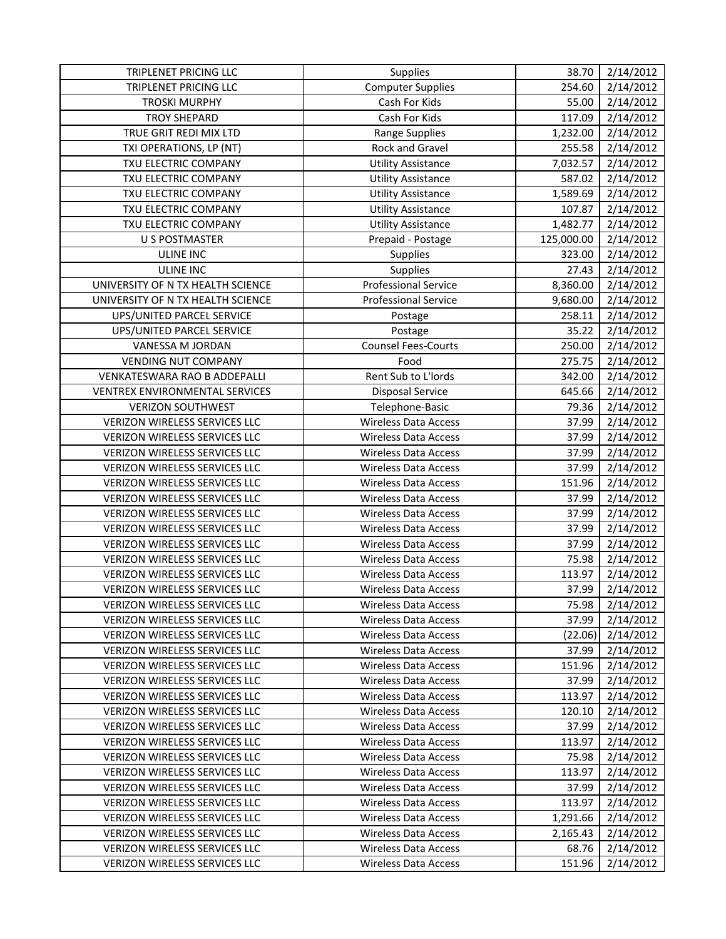| TRIPLENET PRICING LLC<br>TRIPLENET PRICING LLC | Supplies                                                   | 38.70      | 2/14/2012 |
|------------------------------------------------|------------------------------------------------------------|------------|-----------|
|                                                | <b>Computer Supplies</b><br>Cash For Kids                  | 254.60     | 2/14/2012 |
| <b>TROSKI MURPHY</b>                           |                                                            | 55.00      | 2/14/2012 |
| <b>TROY SHEPARD</b>                            | Cash For Kids                                              | 117.09     | 2/14/2012 |
| TRUE GRIT REDI MIX LTD                         | <b>Range Supplies</b>                                      | 1,232.00   | 2/14/2012 |
| TXI OPERATIONS, LP (NT)                        | <b>Rock and Gravel</b>                                     | 255.58     | 2/14/2012 |
| TXU ELECTRIC COMPANY                           | <b>Utility Assistance</b>                                  | 7,032.57   | 2/14/2012 |
| TXU ELECTRIC COMPANY<br>TXU ELECTRIC COMPANY   | <b>Utility Assistance</b>                                  | 587.02     | 2/14/2012 |
|                                                | <b>Utility Assistance</b>                                  | 1,589.69   | 2/14/2012 |
| TXU ELECTRIC COMPANY<br>TXU ELECTRIC COMPANY   | <b>Utility Assistance</b>                                  | 107.87     | 2/14/2012 |
|                                                | <b>Utility Assistance</b>                                  | 1,482.77   | 2/14/2012 |
| <b>U S POSTMASTER</b>                          | Prepaid - Postage                                          | 125,000.00 | 2/14/2012 |
| <b>ULINE INC</b>                               | Supplies                                                   | 323.00     | 2/14/2012 |
| <b>ULINE INC</b>                               | <b>Supplies</b>                                            | 27.43      | 2/14/2012 |
| UNIVERSITY OF N TX HEALTH SCIENCE              | <b>Professional Service</b><br><b>Professional Service</b> | 8,360.00   | 2/14/2012 |
| UNIVERSITY OF N TX HEALTH SCIENCE              |                                                            | 9,680.00   | 2/14/2012 |
| UPS/UNITED PARCEL SERVICE                      | Postage                                                    | 258.11     | 2/14/2012 |
| UPS/UNITED PARCEL SERVICE                      | Postage                                                    | 35.22      | 2/14/2012 |
| VANESSA M JORDAN                               | <b>Counsel Fees-Courts</b>                                 | 250.00     | 2/14/2012 |
| <b>VENDING NUT COMPANY</b>                     | Food                                                       | 275.75     | 2/14/2012 |
| VENKATESWARA RAO B ADDEPALLI                   | Rent Sub to L'Iords                                        | 342.00     | 2/14/2012 |
| VENTREX ENVIRONMENTAL SERVICES                 | <b>Disposal Service</b>                                    | 645.66     | 2/14/2012 |
| <b>VERIZON SOUTHWEST</b>                       | Telephone-Basic                                            | 79.36      | 2/14/2012 |
| VERIZON WIRELESS SERVICES LLC                  | <b>Wireless Data Access</b>                                | 37.99      | 2/14/2012 |
| VERIZON WIRELESS SERVICES LLC                  | <b>Wireless Data Access</b>                                | 37.99      | 2/14/2012 |
| <b>VERIZON WIRELESS SERVICES LLC</b>           | <b>Wireless Data Access</b>                                | 37.99      | 2/14/2012 |
| VERIZON WIRELESS SERVICES LLC                  | <b>Wireless Data Access</b>                                | 37.99      | 2/14/2012 |
| VERIZON WIRELESS SERVICES LLC                  | <b>Wireless Data Access</b>                                | 151.96     | 2/14/2012 |
| VERIZON WIRELESS SERVICES LLC                  | <b>Wireless Data Access</b>                                | 37.99      | 2/14/2012 |
| VERIZON WIRELESS SERVICES LLC                  | <b>Wireless Data Access</b>                                | 37.99      | 2/14/2012 |
| VERIZON WIRELESS SERVICES LLC                  | <b>Wireless Data Access</b>                                | 37.99      | 2/14/2012 |
| VERIZON WIRELESS SERVICES LLC                  | <b>Wireless Data Access</b>                                | 37.99      | 2/14/2012 |
| VERIZON WIRELESS SERVICES LLC                  | <b>Wireless Data Access</b>                                | 75.98      | 2/14/2012 |
| <b>VERIZON WIRELESS SERVICES LLC</b>           | <b>Wireless Data Access</b>                                | 113.97     | 2/14/2012 |
| <b>VERIZON WIRELESS SERVICES LLC</b>           | <b>Wireless Data Access</b>                                | 37.99      | 2/14/2012 |
| <b>VERIZON WIRELESS SERVICES LLC</b>           | Wireless Data Access                                       | 75.98      | 2/14/2012 |
| <b>VERIZON WIRELESS SERVICES LLC</b>           | <b>Wireless Data Access</b>                                | 37.99      | 2/14/2012 |
| VERIZON WIRELESS SERVICES LLC                  | Wireless Data Access                                       | (22.06)    | 2/14/2012 |
| <b>VERIZON WIRELESS SERVICES LLC</b>           | Wireless Data Access                                       | 37.99      | 2/14/2012 |
| <b>VERIZON WIRELESS SERVICES LLC</b>           | <b>Wireless Data Access</b>                                | 151.96     | 2/14/2012 |
| VERIZON WIRELESS SERVICES LLC                  | Wireless Data Access                                       | 37.99      | 2/14/2012 |
| VERIZON WIRELESS SERVICES LLC                  | <b>Wireless Data Access</b>                                | 113.97     | 2/14/2012 |
| <b>VERIZON WIRELESS SERVICES LLC</b>           | Wireless Data Access                                       | 120.10     | 2/14/2012 |
| VERIZON WIRELESS SERVICES LLC                  | <b>Wireless Data Access</b>                                | 37.99      | 2/14/2012 |
| VERIZON WIRELESS SERVICES LLC                  | <b>Wireless Data Access</b>                                | 113.97     | 2/14/2012 |
| VERIZON WIRELESS SERVICES LLC                  | <b>Wireless Data Access</b>                                | 75.98      | 2/14/2012 |
| <b>VERIZON WIRELESS SERVICES LLC</b>           | Wireless Data Access                                       | 113.97     | 2/14/2012 |
| <b>VERIZON WIRELESS SERVICES LLC</b>           | <b>Wireless Data Access</b>                                | 37.99      | 2/14/2012 |
| VERIZON WIRELESS SERVICES LLC                  | <b>Wireless Data Access</b>                                | 113.97     | 2/14/2012 |
| VERIZON WIRELESS SERVICES LLC                  | Wireless Data Access                                       | 1,291.66   | 2/14/2012 |
| <b>VERIZON WIRELESS SERVICES LLC</b>           | <b>Wireless Data Access</b>                                | 2,165.43   | 2/14/2012 |
| VERIZON WIRELESS SERVICES LLC                  | <b>Wireless Data Access</b>                                | 68.76      | 2/14/2012 |
| VERIZON WIRELESS SERVICES LLC                  | <b>Wireless Data Access</b>                                | 151.96     | 2/14/2012 |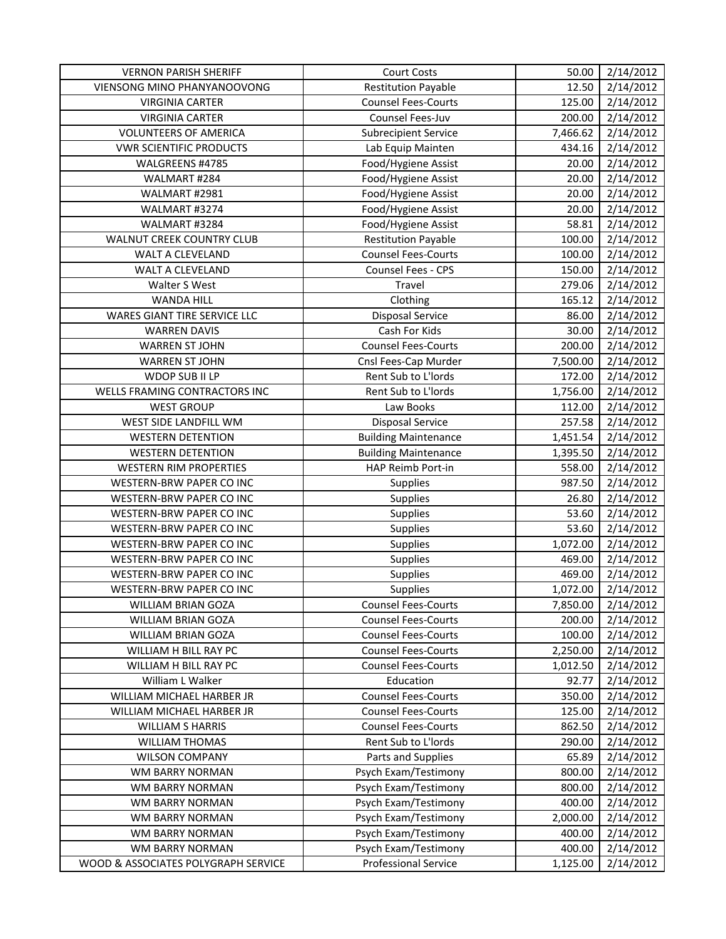| <b>VERNON PARISH SHERIFF</b>        | <b>Court Costs</b>          | 50.00    | 2/14/2012 |
|-------------------------------------|-----------------------------|----------|-----------|
| VIENSONG MINO PHANYANOOVONG         | <b>Restitution Payable</b>  | 12.50    | 2/14/2012 |
| <b>VIRGINIA CARTER</b>              | <b>Counsel Fees-Courts</b>  | 125.00   | 2/14/2012 |
| <b>VIRGINIA CARTER</b>              | Counsel Fees-Juv            | 200.00   | 2/14/2012 |
| <b>VOLUNTEERS OF AMERICA</b>        | <b>Subrecipient Service</b> | 7,466.62 | 2/14/2012 |
| <b>VWR SCIENTIFIC PRODUCTS</b>      | Lab Equip Mainten           | 434.16   | 2/14/2012 |
| WALGREENS #4785                     | Food/Hygiene Assist         | 20.00    | 2/14/2012 |
| WALMART #284                        | Food/Hygiene Assist         | 20.00    | 2/14/2012 |
| WALMART #2981                       | Food/Hygiene Assist         | 20.00    | 2/14/2012 |
| WALMART #3274                       | Food/Hygiene Assist         | 20.00    | 2/14/2012 |
| WALMART #3284                       | Food/Hygiene Assist         | 58.81    | 2/14/2012 |
| WALNUT CREEK COUNTRY CLUB           | Restitution Payable         | 100.00   | 2/14/2012 |
| WALT A CLEVELAND                    | <b>Counsel Fees-Courts</b>  | 100.00   | 2/14/2012 |
| WALT A CLEVELAND                    | Counsel Fees - CPS          | 150.00   | 2/14/2012 |
| Walter S West                       | Travel                      | 279.06   | 2/14/2012 |
| <b>WANDA HILL</b>                   | Clothing                    | 165.12   | 2/14/2012 |
| WARES GIANT TIRE SERVICE LLC        | <b>Disposal Service</b>     | 86.00    | 2/14/2012 |
| <b>WARREN DAVIS</b>                 | Cash For Kids               | 30.00    | 2/14/2012 |
| <b>WARREN ST JOHN</b>               | <b>Counsel Fees-Courts</b>  | 200.00   | 2/14/2012 |
| <b>WARREN ST JOHN</b>               | Cnsl Fees-Cap Murder        | 7,500.00 | 2/14/2012 |
| WDOP SUB II LP                      | Rent Sub to L'Iords         | 172.00   | 2/14/2012 |
| WELLS FRAMING CONTRACTORS INC       | Rent Sub to L'Iords         | 1,756.00 | 2/14/2012 |
| <b>WEST GROUP</b>                   | Law Books                   | 112.00   | 2/14/2012 |
| WEST SIDE LANDFILL WM               | <b>Disposal Service</b>     | 257.58   | 2/14/2012 |
| <b>WESTERN DETENTION</b>            | <b>Building Maintenance</b> | 1,451.54 | 2/14/2012 |
| <b>WESTERN DETENTION</b>            | <b>Building Maintenance</b> | 1,395.50 | 2/14/2012 |
| <b>WESTERN RIM PROPERTIES</b>       | HAP Reimb Port-in           | 558.00   | 2/14/2012 |
| WESTERN-BRW PAPER CO INC            | Supplies                    | 987.50   | 2/14/2012 |
| WESTERN-BRW PAPER CO INC            | Supplies                    | 26.80    | 2/14/2012 |
| WESTERN-BRW PAPER CO INC            | Supplies                    | 53.60    | 2/14/2012 |
| WESTERN-BRW PAPER CO INC            | Supplies                    | 53.60    | 2/14/2012 |
| WESTERN-BRW PAPER CO INC            | Supplies                    | 1,072.00 | 2/14/2012 |
| <b>WESTERN-BRW PAPER CO INC</b>     | Supplies                    | 469.00   | 2/14/2012 |
| WESTERN-BRW PAPER CO INC            | Supplies                    | 469.00   | 2/14/2012 |
| WESTERN-BRW PAPER CO INC            | Supplies                    | 1,072.00 | 2/14/2012 |
| WILLIAM BRIAN GOZA                  | <b>Counsel Fees-Courts</b>  | 7,850.00 | 2/14/2012 |
| WILLIAM BRIAN GOZA                  | <b>Counsel Fees-Courts</b>  | 200.00   | 2/14/2012 |
| WILLIAM BRIAN GOZA                  | <b>Counsel Fees-Courts</b>  | 100.00   | 2/14/2012 |
| WILLIAM H BILL RAY PC               | <b>Counsel Fees-Courts</b>  | 2,250.00 | 2/14/2012 |
| WILLIAM H BILL RAY PC               | <b>Counsel Fees-Courts</b>  | 1,012.50 | 2/14/2012 |
| William L Walker                    | Education                   | 92.77    | 2/14/2012 |
| WILLIAM MICHAEL HARBER JR           | <b>Counsel Fees-Courts</b>  | 350.00   | 2/14/2012 |
| WILLIAM MICHAEL HARBER JR           | <b>Counsel Fees-Courts</b>  | 125.00   | 2/14/2012 |
| <b>WILLIAM S HARRIS</b>             | <b>Counsel Fees-Courts</b>  | 862.50   | 2/14/2012 |
| <b>WILLIAM THOMAS</b>               | Rent Sub to L'Iords         | 290.00   | 2/14/2012 |
| <b>WILSON COMPANY</b>               | Parts and Supplies          | 65.89    | 2/14/2012 |
| WM BARRY NORMAN                     | Psych Exam/Testimony        | 800.00   | 2/14/2012 |
| WM BARRY NORMAN                     | Psych Exam/Testimony        | 800.00   | 2/14/2012 |
| WM BARRY NORMAN                     | Psych Exam/Testimony        | 400.00   | 2/14/2012 |
| WM BARRY NORMAN                     | Psych Exam/Testimony        | 2,000.00 | 2/14/2012 |
| WM BARRY NORMAN                     | Psych Exam/Testimony        | 400.00   | 2/14/2012 |
| WM BARRY NORMAN                     | Psych Exam/Testimony        | 400.00   | 2/14/2012 |
| WOOD & ASSOCIATES POLYGRAPH SERVICE | <b>Professional Service</b> | 1,125.00 | 2/14/2012 |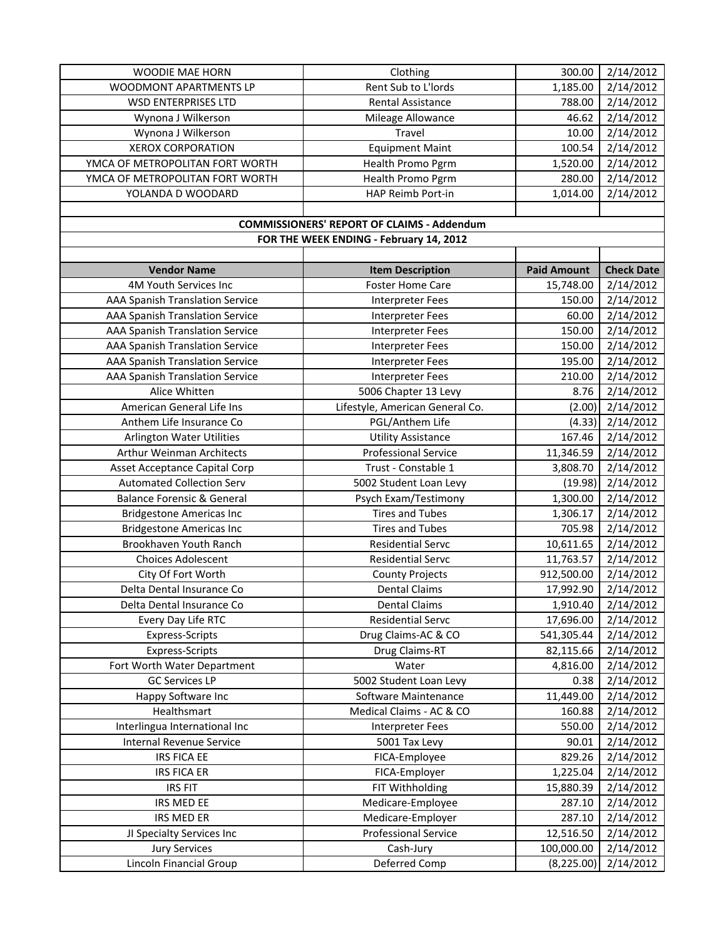| <b>WOODIE MAE HORN</b>                 | Clothing                                          | 300.00             | 2/14/2012         |
|----------------------------------------|---------------------------------------------------|--------------------|-------------------|
| WOODMONT APARTMENTS LP                 | Rent Sub to L'Iords                               | 1,185.00           | 2/14/2012         |
| <b>WSD ENTERPRISES LTD</b>             | <b>Rental Assistance</b>                          | 788.00             | 2/14/2012         |
| Wynona J Wilkerson                     | Mileage Allowance                                 | 46.62              | 2/14/2012         |
| Wynona J Wilkerson                     | Travel                                            | 10.00              | 2/14/2012         |
| <b>XEROX CORPORATION</b>               | <b>Equipment Maint</b>                            | 100.54             | 2/14/2012         |
| YMCA OF METROPOLITAN FORT WORTH        | Health Promo Pgrm                                 | 1,520.00           | 2/14/2012         |
| YMCA OF METROPOLITAN FORT WORTH        | Health Promo Pgrm                                 | 280.00             | 2/14/2012         |
| YOLANDA D WOODARD                      | HAP Reimb Port-in                                 | 1,014.00           | 2/14/2012         |
|                                        |                                                   |                    |                   |
|                                        | <b>COMMISSIONERS' REPORT OF CLAIMS - Addendum</b> |                    |                   |
|                                        | FOR THE WEEK ENDING - February 14, 2012           |                    |                   |
|                                        |                                                   |                    |                   |
| <b>Vendor Name</b>                     | <b>Item Description</b>                           | <b>Paid Amount</b> | <b>Check Date</b> |
| 4M Youth Services Inc                  | <b>Foster Home Care</b>                           | 15,748.00          | 2/14/2012         |
| AAA Spanish Translation Service        | <b>Interpreter Fees</b>                           | 150.00             | 2/14/2012         |
| AAA Spanish Translation Service        | <b>Interpreter Fees</b>                           | 60.00              | 2/14/2012         |
| AAA Spanish Translation Service        | <b>Interpreter Fees</b>                           | 150.00             | 2/14/2012         |
| <b>AAA Spanish Translation Service</b> | <b>Interpreter Fees</b>                           | 150.00             | 2/14/2012         |
| <b>AAA Spanish Translation Service</b> | <b>Interpreter Fees</b>                           | 195.00             | 2/14/2012         |
| AAA Spanish Translation Service        | <b>Interpreter Fees</b>                           | 210.00             | 2/14/2012         |
| Alice Whitten                          | 5006 Chapter 13 Levy                              | 8.76               | 2/14/2012         |
| American General Life Ins              | Lifestyle, American General Co.                   | (2.00)             | 2/14/2012         |
| Anthem Life Insurance Co               | PGL/Anthem Life                                   | (4.33)             | 2/14/2012         |
| <b>Arlington Water Utilities</b>       | <b>Utility Assistance</b>                         | 167.46             | 2/14/2012         |
| <b>Arthur Weinman Architects</b>       | <b>Professional Service</b>                       | 11,346.59          | 2/14/2012         |
| Asset Acceptance Capital Corp          | Trust - Constable 1                               | 3,808.70           | 2/14/2012         |
| <b>Automated Collection Serv</b>       | 5002 Student Loan Levy                            | (19.98)            | 2/14/2012         |
| <b>Balance Forensic &amp; General</b>  | Psych Exam/Testimony                              | 1,300.00           | 2/14/2012         |
| <b>Bridgestone Americas Inc</b>        | <b>Tires and Tubes</b>                            | 1,306.17           | 2/14/2012         |
| <b>Bridgestone Americas Inc</b>        | <b>Tires and Tubes</b>                            | 705.98             | 2/14/2012         |
| Brookhaven Youth Ranch                 | <b>Residential Servc</b>                          | 10,611.65          | 2/14/2012         |
| <b>Choices Adolescent</b>              | <b>Residential Servc</b>                          | 11,763.57          | 2/14/2012         |
| City Of Fort Worth                     | <b>County Projects</b>                            | 912,500.00         | 2/14/2012         |
| Delta Dental Insurance Co              | <b>Dental Claims</b>                              | 17,992.90          | 2/14/2012         |
| Delta Dental Insurance Co              | <b>Dental Claims</b>                              | 1,910.40           | 2/14/2012         |
| Every Day Life RTC                     | <b>Residential Servc</b>                          | 17,696.00          | 2/14/2012         |
| Express-Scripts                        | Drug Claims-AC & CO                               | 541,305.44         | 2/14/2012         |
| <b>Express-Scripts</b>                 | Drug Claims-RT                                    | 82,115.66          | 2/14/2012         |
| Fort Worth Water Department            | Water                                             | 4,816.00           | 2/14/2012         |
| <b>GC Services LP</b>                  | 5002 Student Loan Levy                            | 0.38               | 2/14/2012         |
| Happy Software Inc                     | Software Maintenance                              | 11,449.00          | 2/14/2012         |
| Healthsmart                            | Medical Claims - AC & CO                          | 160.88             | 2/14/2012         |
| Interlingua International Inc          | <b>Interpreter Fees</b>                           | 550.00             | 2/14/2012         |
| <b>Internal Revenue Service</b>        | 5001 Tax Levy                                     | 90.01              | 2/14/2012         |
| <b>IRS FICA EE</b>                     | FICA-Employee                                     | 829.26             | 2/14/2012         |
| <b>IRS FICA ER</b>                     | FICA-Employer                                     | 1,225.04           | 2/14/2012         |
| <b>IRS FIT</b>                         | FIT Withholding                                   | 15,880.39          | 2/14/2012         |
| IRS MED EE                             | Medicare-Employee                                 | 287.10             | 2/14/2012         |
| IRS MED ER                             | Medicare-Employer                                 | 287.10             | 2/14/2012         |
| JI Specialty Services Inc              | <b>Professional Service</b>                       | 12,516.50          | 2/14/2012         |
| <b>Jury Services</b>                   | Cash-Jury                                         | 100,000.00         | 2/14/2012         |
| Lincoln Financial Group                | Deferred Comp                                     | (8, 225.00)        | 2/14/2012         |